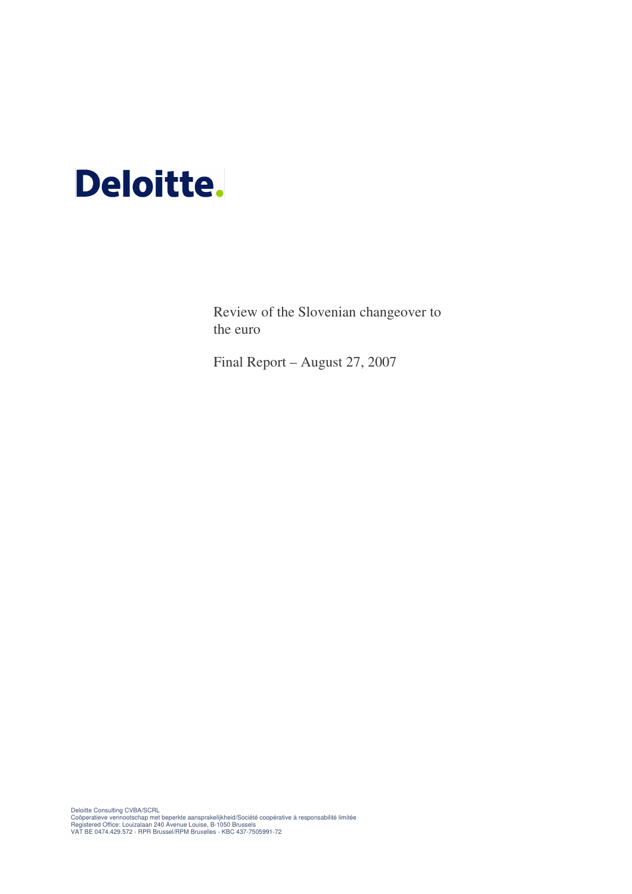# **Deloitte.**

Review of the Slovenian changeover to the euro

Final Report – August 27, 2007

Deloitte Consulting CVBA/SCRL<br>Coöperatieve vennootschap met beperkte aansprakelijkheid/Société coopérative à responsabilité limitée<br>Registered Office: Louizalaan 240 Avenue Louise, B-1050 Brussels<br>VAT BE 0474.429.572 - RPR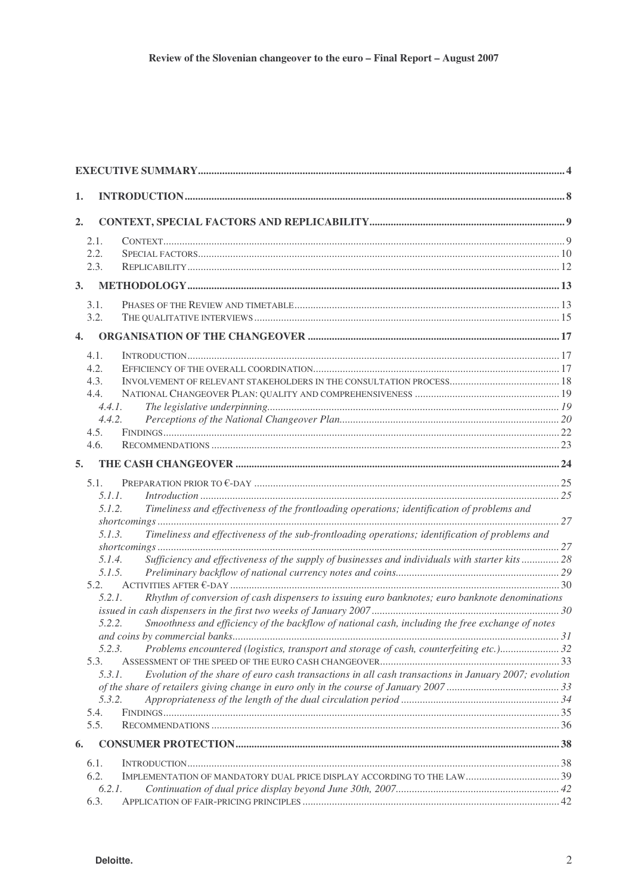| 1.           |                                                                                                                  |  |
|--------------|------------------------------------------------------------------------------------------------------------------|--|
| 2.           |                                                                                                                  |  |
|              | 2.1.<br>2.2.<br>2.3.                                                                                             |  |
| 3.           |                                                                                                                  |  |
|              | 3.1.                                                                                                             |  |
|              | 3.2.                                                                                                             |  |
| $\mathbf{4}$ |                                                                                                                  |  |
|              | 4.1.                                                                                                             |  |
|              | 4.2.<br>4.3.                                                                                                     |  |
|              | 4.4.                                                                                                             |  |
|              | 4.4.1.<br>4.4.2.                                                                                                 |  |
|              | 4.5.                                                                                                             |  |
|              | 4.6.                                                                                                             |  |
| 5.           |                                                                                                                  |  |
|              | 5.1.                                                                                                             |  |
|              | 5.1.1.<br>Timeliness and effectiveness of the frontloading operations; identification of problems and<br>5.1.2.  |  |
|              |                                                                                                                  |  |
|              | Timeliness and effectiveness of the sub-frontloading operations; identification of problems and<br>5.1.3.        |  |
|              | Sufficiency and effectiveness of the supply of businesses and individuals with starter kits  28<br>5.1.4.        |  |
|              | 5.1.5.                                                                                                           |  |
|              | 5.2.<br>Rhythm of conversion of cash dispensers to issuing euro banknotes; euro banknote denominations<br>5.2.1. |  |
|              |                                                                                                                  |  |
|              | Smoothness and efficiency of the backflow of national cash, including the free exchange of notes<br>5.2.2.       |  |
|              | 5.2.3.<br>Problems encountered (logistics, transport and storage of cash, counterfeiting etc.)32                 |  |
|              | 5.3.                                                                                                             |  |
|              | Evolution of the share of euro cash transactions in all cash transactions in January 2007; evolution<br>5.3.1.   |  |
|              | 5.3.2.                                                                                                           |  |
|              | 5.4.                                                                                                             |  |
|              | 5.5.                                                                                                             |  |
| 6.           |                                                                                                                  |  |
|              | 6.1.<br>6.2.<br>IMPLEMENTATION OF MANDATORY DUAL PRICE DISPLAY ACCORDING TO THE LAW 39                           |  |
|              | 6.2.1.                                                                                                           |  |
|              | 6.3.                                                                                                             |  |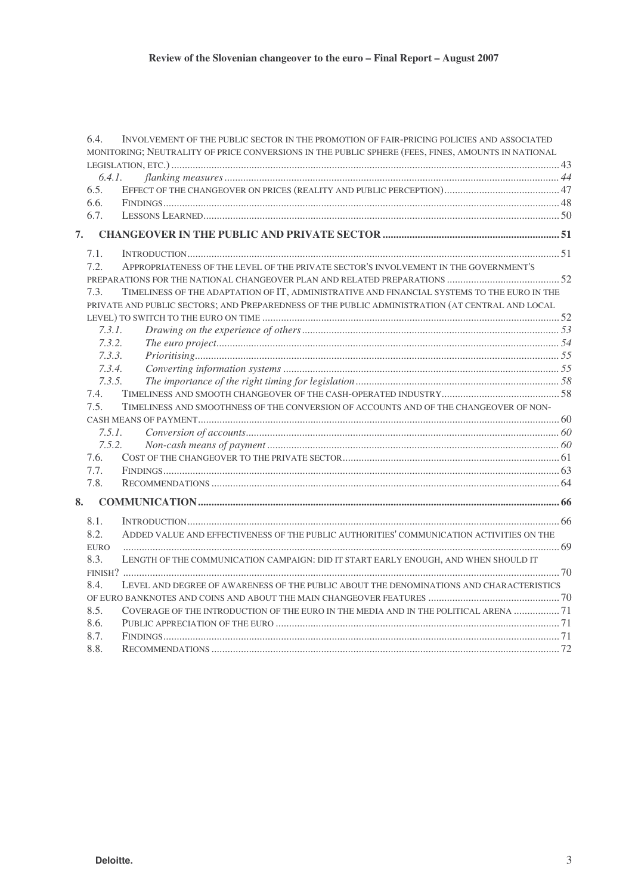|    | 6.4.        | INVOLVEMENT OF THE PUBLIC SECTOR IN THE PROMOTION OF FAIR-PRICING POLICIES AND ASSOCIATED          |  |
|----|-------------|----------------------------------------------------------------------------------------------------|--|
|    |             | MONITORING; NEUTRALITY OF PRICE CONVERSIONS IN THE PUBLIC SPHERE (FEES, FINES, AMOUNTS IN NATIONAL |  |
|    |             |                                                                                                    |  |
|    | 6.4.1.      |                                                                                                    |  |
|    | 6.5.        |                                                                                                    |  |
|    | 6.6.        |                                                                                                    |  |
|    | 6.7.        |                                                                                                    |  |
| 7. |             |                                                                                                    |  |
|    | 7.1.        |                                                                                                    |  |
|    | 7.2.        | APPROPRIATENESS OF THE LEVEL OF THE PRIVATE SECTOR'S INVOLVEMENT IN THE GOVERNMENT'S               |  |
|    |             |                                                                                                    |  |
|    | 7.3.        | TIMELINESS OF THE ADAPTATION OF IT, ADMINISTRATIVE AND FINANCIAL SYSTEMS TO THE EURO IN THE        |  |
|    |             | PRIVATE AND PUBLIC SECTORS; AND PREPAREDNESS OF THE PUBLIC ADMINISTRATION (AT CENTRAL AND LOCAL    |  |
|    |             |                                                                                                    |  |
|    | 7.3.1.      |                                                                                                    |  |
|    | 7.3.2.      |                                                                                                    |  |
|    | 7.3.3.      |                                                                                                    |  |
|    | 7.3.4.      |                                                                                                    |  |
|    | 7.3.5.      |                                                                                                    |  |
|    | 7.4.        |                                                                                                    |  |
|    | 7.5.        | TIMELINESS AND SMOOTHNESS OF THE CONVERSION OF ACCOUNTS AND OF THE CHANGEOVER OF NON-              |  |
|    |             |                                                                                                    |  |
|    | 7.5.1.      |                                                                                                    |  |
|    | 7.5.2.      |                                                                                                    |  |
|    | 7.6.        |                                                                                                    |  |
|    | 7.7.        |                                                                                                    |  |
|    | 7.8.        |                                                                                                    |  |
| 8. |             |                                                                                                    |  |
|    | 8.1.        |                                                                                                    |  |
|    | 8.2.        | ADDED VALUE AND EFFECTIVENESS OF THE PUBLIC AUTHORITIES' COMMUNICATION ACTIVITIES ON THE           |  |
|    | <b>EURO</b> |                                                                                                    |  |
|    | 8.3.        | LENGTH OF THE COMMUNICATION CAMPAIGN: DID IT START EARLY ENOUGH, AND WHEN SHOULD IT                |  |
|    |             |                                                                                                    |  |
|    | 8.4.        | LEVEL AND DEGREE OF AWARENESS OF THE PUBLIC ABOUT THE DENOMINATIONS AND CHARACTERISTICS            |  |
|    |             |                                                                                                    |  |
|    | 8.5.        | COVERAGE OF THE INTRODUCTION OF THE EURO IN THE MEDIA AND IN THE POLITICAL ARENA  71               |  |
|    | 8.6.        |                                                                                                    |  |
|    | 8.7.        |                                                                                                    |  |
|    | 8.8.        |                                                                                                    |  |
|    |             |                                                                                                    |  |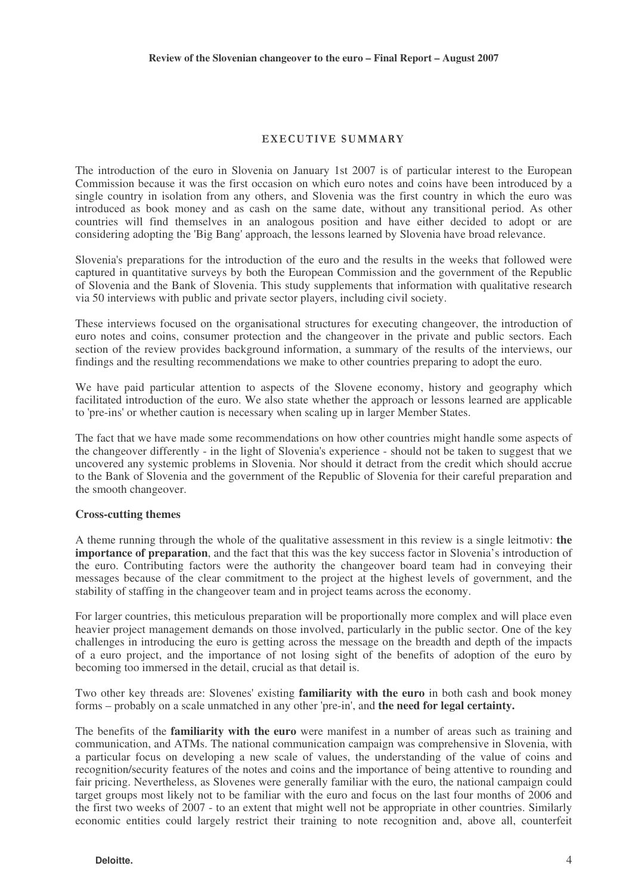### EXECUTIVE SUMMARY

The introduction of the euro in Slovenia on January 1st 2007 is of particular interest to the European Commission because it was the first occasion on which euro notes and coins have been introduced by a single country in isolation from any others, and Slovenia was the first country in which the euro was introduced as book money and as cash on the same date, without any transitional period. As other countries will find themselves in an analogous position and have either decided to adopt or are considering adopting the 'Big Bang' approach, the lessons learned by Slovenia have broad relevance.

Slovenia's preparations for the introduction of the euro and the results in the weeks that followed were captured in quantitative surveys by both the European Commission and the government of the Republic of Slovenia and the Bank of Slovenia. This study supplements that information with qualitative research via 50 interviews with public and private sector players, including civil society.

These interviews focused on the organisational structures for executing changeover, the introduction of euro notes and coins, consumer protection and the changeover in the private and public sectors. Each section of the review provides background information, a summary of the results of the interviews, our findings and the resulting recommendations we make to other countries preparing to adopt the euro.

We have paid particular attention to aspects of the Slovene economy, history and geography which facilitated introduction of the euro. We also state whether the approach or lessons learned are applicable to 'pre-ins' or whether caution is necessary when scaling up in larger Member States.

The fact that we have made some recommendations on how other countries might handle some aspects of the changeover differently - in the light of Slovenia's experience - should not be taken to suggest that we uncovered any systemic problems in Slovenia. Nor should it detract from the credit which should accrue to the Bank of Slovenia and the government of the Republic of Slovenia for their careful preparation and the smooth changeover.

#### **Cross-cutting themes**

A theme running through the whole of the qualitative assessment in this review is a single leitmotiv: **the importance of preparation**, and the fact that this was the key success factor in Slovenia's introduction of the euro. Contributing factors were the authority the changeover board team had in conveying their messages because of the clear commitment to the project at the highest levels of government, and the stability of staffing in the changeover team and in project teams across the economy.

For larger countries, this meticulous preparation will be proportionally more complex and will place even heavier project management demands on those involved, particularly in the public sector. One of the key challenges in introducing the euro is getting across the message on the breadth and depth of the impacts of a euro project, and the importance of not losing sight of the benefits of adoption of the euro by becoming too immersed in the detail, crucial as that detail is.

Two other key threads are: Slovenes' existing **familiarity with the euro** in both cash and book money forms – probably on a scale unmatched in any other 'pre-in', and **the need for legal certainty.**

The benefits of the **familiarity with the euro** were manifest in a number of areas such as training and communication, and ATMs. The national communication campaign was comprehensive in Slovenia, with a particular focus on developing a new scale of values, the understanding of the value of coins and recognition/security features of the notes and coins and the importance of being attentive to rounding and fair pricing. Nevertheless, as Slovenes were generally familiar with the euro, the national campaign could target groups most likely not to be familiar with the euro and focus on the last four months of 2006 and the first two weeks of 2007 - to an extent that might well not be appropriate in other countries. Similarly economic entities could largely restrict their training to note recognition and, above all, counterfeit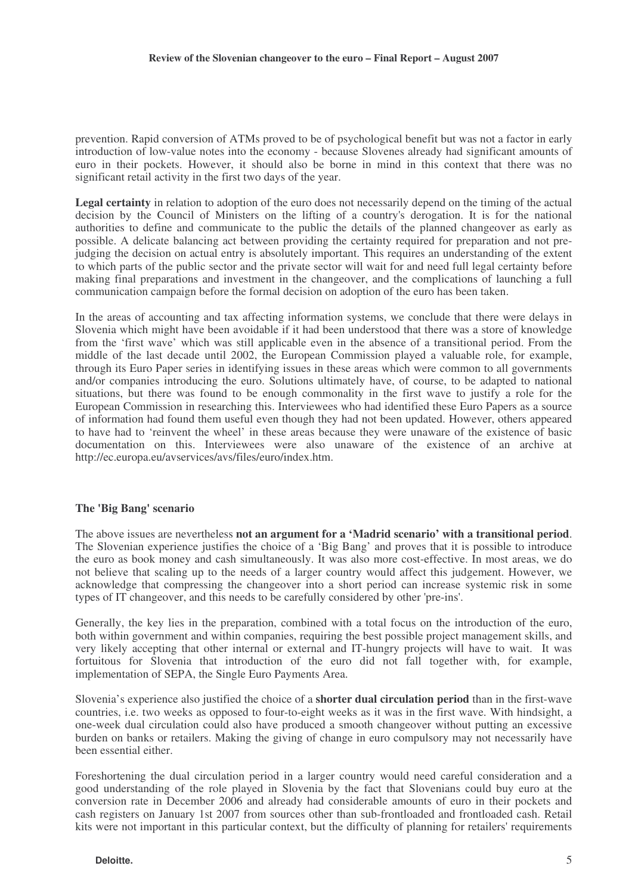prevention. Rapid conversion of ATMs proved to be of psychological benefit but was not a factor in early introduction of low-value notes into the economy - because Slovenes already had significant amounts of euro in their pockets. However, it should also be borne in mind in this context that there was no significant retail activity in the first two days of the year.

**Legal certainty** in relation to adoption of the euro does not necessarily depend on the timing of the actual decision by the Council of Ministers on the lifting of a country's derogation. It is for the national authorities to define and communicate to the public the details of the planned changeover as early as possible. A delicate balancing act between providing the certainty required for preparation and not prejudging the decision on actual entry is absolutely important. This requires an understanding of the extent to which parts of the public sector and the private sector will wait for and need full legal certainty before making final preparations and investment in the changeover, and the complications of launching a full communication campaign before the formal decision on adoption of the euro has been taken.

In the areas of accounting and tax affecting information systems, we conclude that there were delays in Slovenia which might have been avoidable if it had been understood that there was a store of knowledge from the 'first wave' which was still applicable even in the absence of a transitional period. From the middle of the last decade until 2002, the European Commission played a valuable role, for example, through its Euro Paper series in identifying issues in these areas which were common to all governments and/or companies introducing the euro. Solutions ultimately have, of course, to be adapted to national situations, but there was found to be enough commonality in the first wave to justify a role for the European Commission in researching this. Interviewees who had identified these Euro Papers as a source of information had found them useful even though they had not been updated. However, others appeared to have had to 'reinvent the wheel' in these areas because they were unaware of the existence of basic documentation on this. Interviewees were also unaware of the existence of an archive at http://ec.europa.eu/avservices/avs/files/euro/index.htm.

### **The 'Big Bang' scenario**

The above issues are nevertheless **not an argument for a 'Madrid scenario' with a transitional period**. The Slovenian experience justifies the choice of a 'Big Bang' and proves that it is possible to introduce the euro as book money and cash simultaneously. It was also more cost-effective. In most areas, we do not believe that scaling up to the needs of a larger country would affect this judgement. However, we acknowledge that compressing the changeover into a short period can increase systemic risk in some types of IT changeover, and this needs to be carefully considered by other 'pre-ins'.

Generally, the key lies in the preparation, combined with a total focus on the introduction of the euro, both within government and within companies, requiring the best possible project management skills, and very likely accepting that other internal or external and IT-hungry projects will have to wait. It was fortuitous for Slovenia that introduction of the euro did not fall together with, for example, implementation of SEPA, the Single Euro Payments Area.

Slovenia's experience also justified the choice of a **shorter dual circulation period** than in the first-wave countries, i.e. two weeks as opposed to four-to-eight weeks as it was in the first wave. With hindsight, a one-week dual circulation could also have produced a smooth changeover without putting an excessive burden on banks or retailers. Making the giving of change in euro compulsory may not necessarily have been essential either.

Foreshortening the dual circulation period in a larger country would need careful consideration and a good understanding of the role played in Slovenia by the fact that Slovenians could buy euro at the conversion rate in December 2006 and already had considerable amounts of euro in their pockets and cash registers on January 1st 2007 from sources other than sub-frontloaded and frontloaded cash. Retail kits were not important in this particular context, but the difficulty of planning for retailers' requirements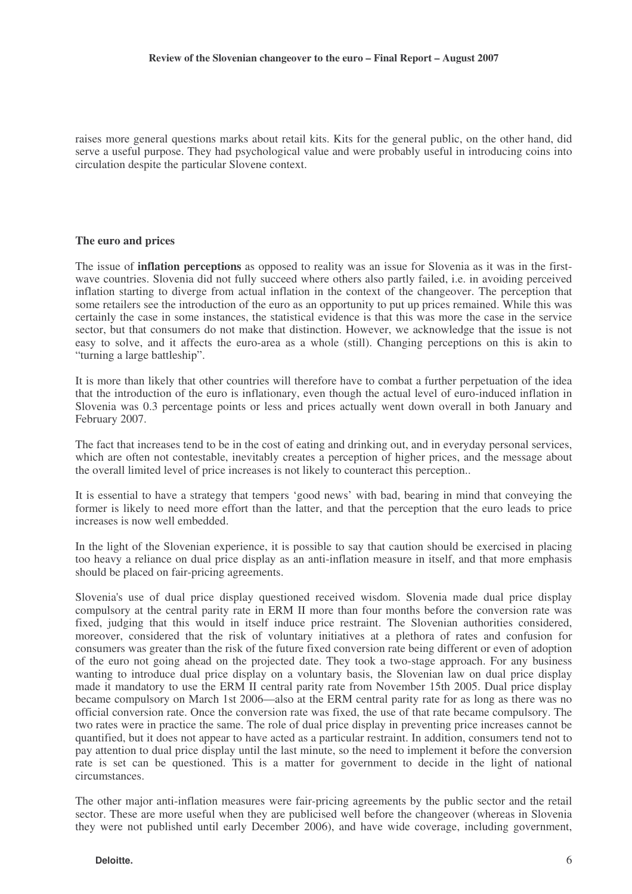raises more general questions marks about retail kits. Kits for the general public, on the other hand, did serve a useful purpose. They had psychological value and were probably useful in introducing coins into circulation despite the particular Slovene context.

#### **The euro and prices**

The issue of **inflation perceptions** as opposed to reality was an issue for Slovenia as it was in the firstwave countries. Slovenia did not fully succeed where others also partly failed, i.e. in avoiding perceived inflation starting to diverge from actual inflation in the context of the changeover. The perception that some retailers see the introduction of the euro as an opportunity to put up prices remained. While this was certainly the case in some instances, the statistical evidence is that this was more the case in the service sector, but that consumers do not make that distinction. However, we acknowledge that the issue is not easy to solve, and it affects the euro-area as a whole (still). Changing perceptions on this is akin to "turning a large battleship".

It is more than likely that other countries will therefore have to combat a further perpetuation of the idea that the introduction of the euro is inflationary, even though the actual level of euro-induced inflation in Slovenia was 0.3 percentage points or less and prices actually went down overall in both January and February 2007.

The fact that increases tend to be in the cost of eating and drinking out, and in everyday personal services, which are often not contestable, inevitably creates a perception of higher prices, and the message about the overall limited level of price increases is not likely to counteract this perception..

It is essential to have a strategy that tempers 'good news' with bad, bearing in mind that conveying the former is likely to need more effort than the latter, and that the perception that the euro leads to price increases is now well embedded.

In the light of the Slovenian experience, it is possible to say that caution should be exercised in placing too heavy a reliance on dual price display as an anti-inflation measure in itself, and that more emphasis should be placed on fair-pricing agreements.

Slovenia's use of dual price display questioned received wisdom. Slovenia made dual price display compulsory at the central parity rate in ERM II more than four months before the conversion rate was fixed, judging that this would in itself induce price restraint. The Slovenian authorities considered, moreover, considered that the risk of voluntary initiatives at a plethora of rates and confusion for consumers was greater than the risk of the future fixed conversion rate being different or even of adoption of the euro not going ahead on the projected date. They took a two-stage approach. For any business wanting to introduce dual price display on a voluntary basis, the Slovenian law on dual price display made it mandatory to use the ERM II central parity rate from November 15th 2005. Dual price display became compulsory on March 1st 2006—also at the ERM central parity rate for as long as there was no official conversion rate. Once the conversion rate was fixed, the use of that rate became compulsory. The two rates were in practice the same. The role of dual price display in preventing price increases cannot be quantified, but it does not appear to have acted as a particular restraint. In addition, consumers tend not to pay attention to dual price display until the last minute, so the need to implement it before the conversion rate is set can be questioned. This is a matter for government to decide in the light of national circumstances.

The other major anti-inflation measures were fair-pricing agreements by the public sector and the retail sector. These are more useful when they are publicised well before the changeover (whereas in Slovenia they were not published until early December 2006), and have wide coverage, including government,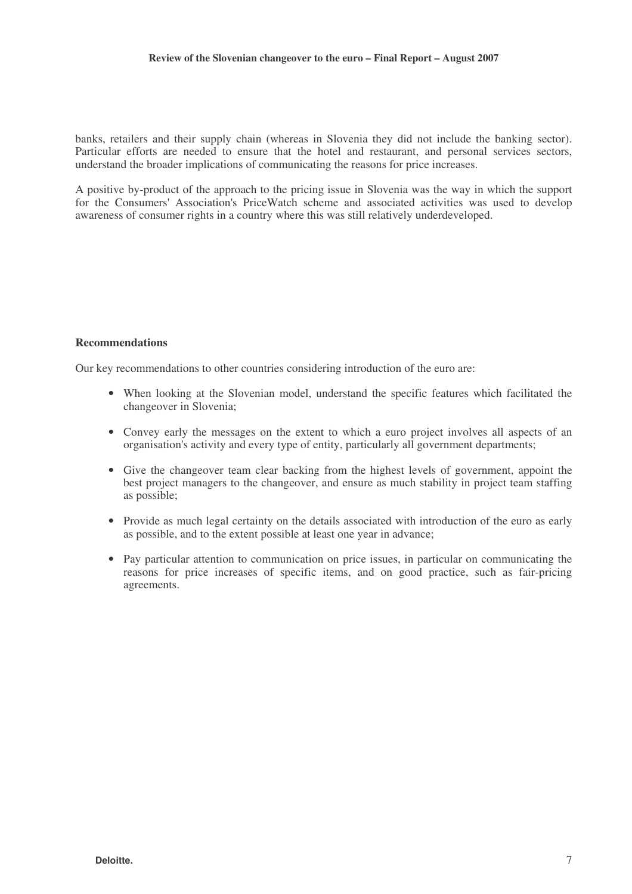banks, retailers and their supply chain (whereas in Slovenia they did not include the banking sector). Particular efforts are needed to ensure that the hotel and restaurant, and personal services sectors, understand the broader implications of communicating the reasons for price increases.

A positive by-product of the approach to the pricing issue in Slovenia was the way in which the support for the Consumers' Association's PriceWatch scheme and associated activities was used to develop awareness of consumer rights in a country where this was still relatively underdeveloped.

#### **Recommendations**

Our key recommendations to other countries considering introduction of the euro are:

- When looking at the Slovenian model, understand the specific features which facilitated the changeover in Slovenia;
- Convey early the messages on the extent to which a euro project involves all aspects of an organisation's activity and every type of entity, particularly all government departments;
- Give the changeover team clear backing from the highest levels of government, appoint the best project managers to the changeover, and ensure as much stability in project team staffing as possible;
- Provide as much legal certainty on the details associated with introduction of the euro as early as possible, and to the extent possible at least one year in advance;
- Pay particular attention to communication on price issues, in particular on communicating the reasons for price increases of specific items, and on good practice, such as fair-pricing agreements.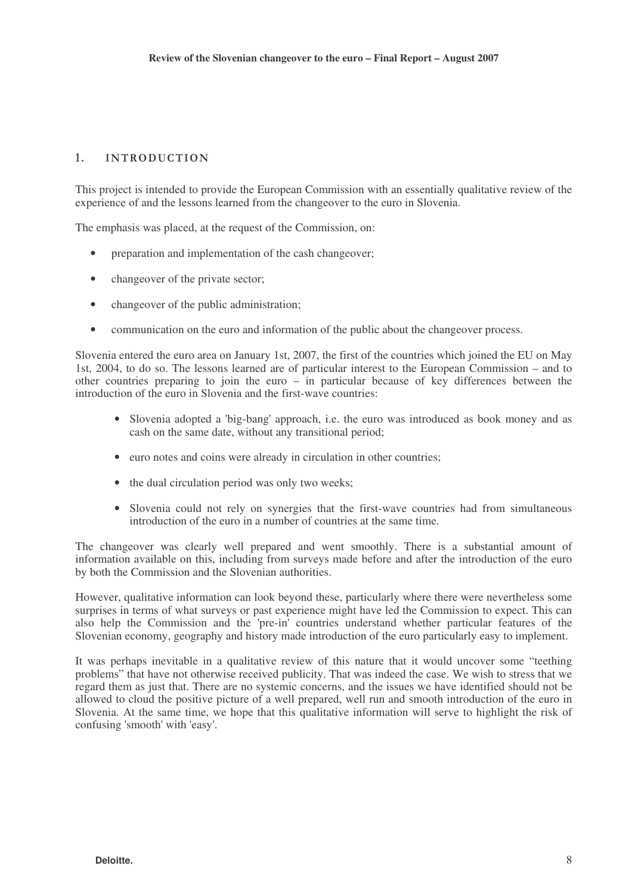# 1. INTRODUCTION

This project is intended to provide the European Commission with an essentially qualitative review of the experience of and the lessons learned from the changeover to the euro in Slovenia.

The emphasis was placed, at the request of the Commission, on:

- preparation and implementation of the cash changeover;
- changeover of the private sector;
- changeover of the public administration;
- communication on the euro and information of the public about the changeover process.

Slovenia entered the euro area on January 1st, 2007, the first of the countries which joined the EU on May 1st, 2004, to do so. The lessons learned are of particular interest to the European Commission – and to other countries preparing to join the euro – in particular because of key differences between the introduction of the euro in Slovenia and the first-wave countries:

- Slovenia adopted a 'big-bang' approach, i.e. the euro was introduced as book money and as cash on the same date, without any transitional period;
- euro notes and coins were already in circulation in other countries;
- the dual circulation period was only two weeks:
- Slovenia could not rely on synergies that the first-wave countries had from simultaneous introduction of the euro in a number of countries at the same time.

The changeover was clearly well prepared and went smoothly. There is a substantial amount of information available on this, including from surveys made before and after the introduction of the euro by both the Commission and the Slovenian authorities.

However, qualitative information can look beyond these, particularly where there were nevertheless some surprises in terms of what surveys or past experience might have led the Commission to expect. This can also help the Commission and the 'pre-in' countries understand whether particular features of the Slovenian economy, geography and history made introduction of the euro particularly easy to implement.

It was perhaps inevitable in a qualitative review of this nature that it would uncover some "teething problems" that have not otherwise received publicity. That was indeed the case. We wish to stress that we regard them as just that. There are no systemic concerns, and the issues we have identified should not be allowed to cloud the positive picture of a well prepared, well run and smooth introduction of the euro in Slovenia. At the same time, we hope that this qualitative information will serve to highlight the risk of confusing 'smooth' with 'easy'.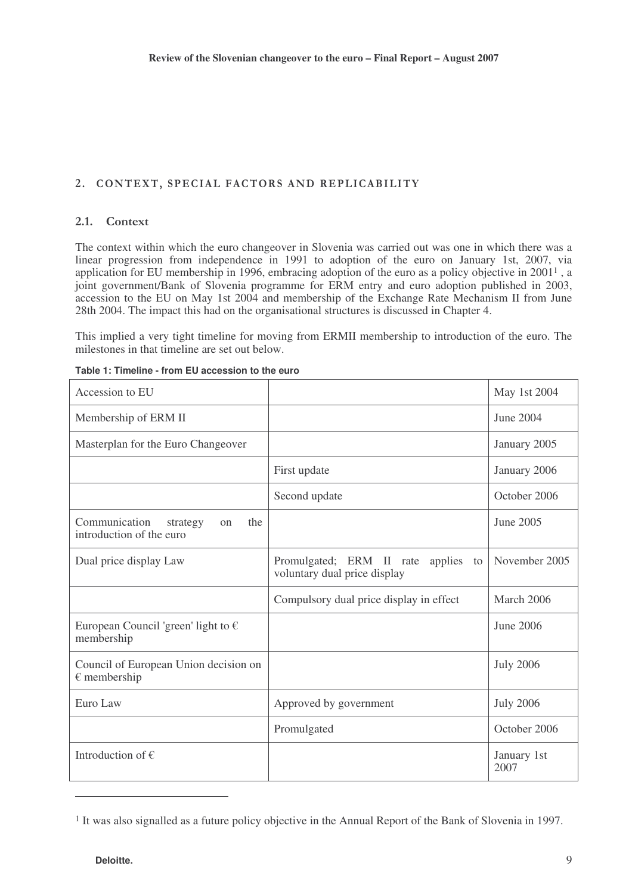# 2. CONTEXT, SPECIAL FACTORS AND REPLICABILITY

### 2.1. Context

The context within which the euro changeover in Slovenia was carried out was one in which there was a linear progression from independence in 1991 to adoption of the euro on January 1st, 2007, via application for EU membership in 1996, embracing adoption of the euro as a policy objective in 2001<sup>1</sup>, a joint government/Bank of Slovenia programme for ERM entry and euro adoption published in 2003, accession to the EU on May 1st 2004 and membership of the Exchange Rate Mechanism II from June 28th 2004. The impact this had on the organisational structures is discussed in Chapter 4.

This implied a very tight timeline for moving from ERMII membership to introduction of the euro. The milestones in that timeline are set out below.

| Accession to EU                                                    |                                                                           | May 1st 2004        |
|--------------------------------------------------------------------|---------------------------------------------------------------------------|---------------------|
| Membership of ERM II                                               |                                                                           | June 2004           |
| Masterplan for the Euro Changeover                                 |                                                                           | January 2005        |
|                                                                    | First update                                                              | January 2006        |
|                                                                    | Second update                                                             | October 2006        |
| Communication<br>the<br>strategy<br>on<br>introduction of the euro |                                                                           | June 2005           |
| Dual price display Law                                             | Promulgated; ERM II rate<br>applies<br>to<br>voluntary dual price display | November 2005       |
|                                                                    | Compulsory dual price display in effect                                   | March 2006          |
| European Council 'green' light to $\epsilon$<br>membership         |                                                                           | June 2006           |
| Council of European Union decision on<br>$\epsilon$ membership     |                                                                           | <b>July 2006</b>    |
| Euro Law                                                           | Approved by government                                                    | <b>July 2006</b>    |
|                                                                    | Promulgated                                                               | October 2006        |
| Introduction of $\epsilon$                                         |                                                                           | January 1st<br>2007 |

| Table 1: Timeline - from EU accession to the euro |  |  |  |
|---------------------------------------------------|--|--|--|
|---------------------------------------------------|--|--|--|

<sup>&</sup>lt;sup>1</sup> It was also signalled as a future policy objective in the Annual Report of the Bank of Slovenia in 1997.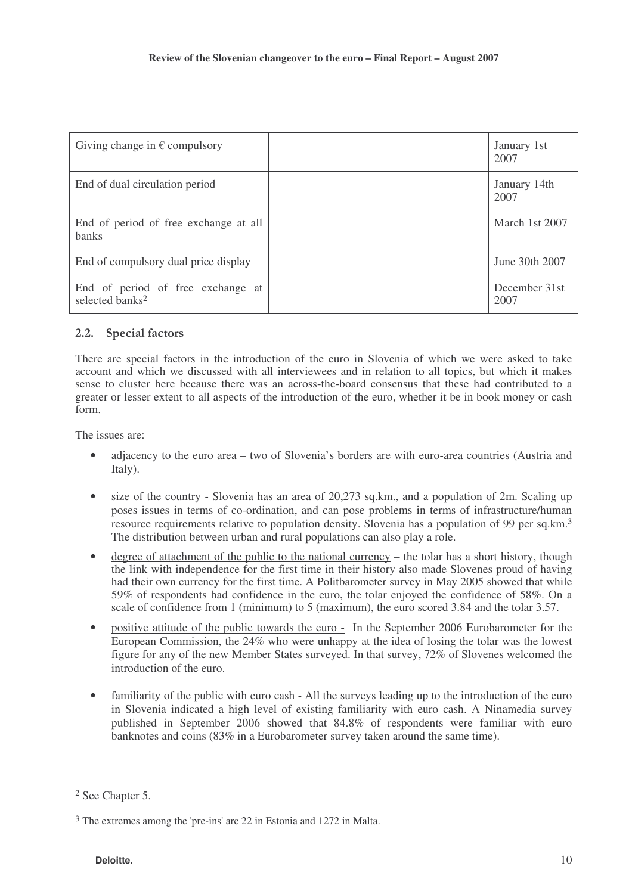| Giving change in $\epsilon$ compulsory                           | January 1st<br>2007   |
|------------------------------------------------------------------|-----------------------|
| End of dual circulation period                                   | January 14th<br>2007  |
| End of period of free exchange at all<br><b>banks</b>            | March 1st 2007        |
| End of compulsory dual price display                             | June 30th 2007        |
| End of period of free exchange at<br>selected banks <sup>2</sup> | December 31st<br>2007 |

# 2.2. Special factors

There are special factors in the introduction of the euro in Slovenia of which we were asked to take account and which we discussed with all interviewees and in relation to all topics, but which it makes sense to cluster here because there was an across-the-board consensus that these had contributed to a greater or lesser extent to all aspects of the introduction of the euro, whether it be in book money or cash form.

The issues are:

- adjacency to the euro area two of Slovenia's borders are with euro-area countries (Austria and Italy).
- size of the country Slovenia has an area of 20,273 sq.km., and a population of 2m. Scaling up poses issues in terms of co-ordination, and can pose problems in terms of infrastructure/human resource requirements relative to population density. Slovenia has a population of 99 per sq.km.<sup>3</sup> The distribution between urban and rural populations can also play a role.
- degree of attachment of the public to the national currency the tolar has a short history, though the link with independence for the first time in their history also made Slovenes proud of having had their own currency for the first time. A Politbarometer survey in May 2005 showed that while 59% of respondents had confidence in the euro, the tolar enjoyed the confidence of 58%. On a scale of confidence from 1 (minimum) to 5 (maximum), the euro scored 3.84 and the tolar 3.57.
- positive attitude of the public towards the euro In the September 2006 Eurobarometer for the European Commission, the 24% who were unhappy at the idea of losing the tolar was the lowest figure for any of the new Member States surveyed. In that survey, 72% of Slovenes welcomed the introduction of the euro.
- familiarity of the public with euro cash All the surveys leading up to the introduction of the euro in Slovenia indicated a high level of existing familiarity with euro cash. A Ninamedia survey published in September 2006 showed that 84.8% of respondents were familiar with euro banknotes and coins (83% in a Eurobarometer survey taken around the same time).

<sup>2</sup> See Chapter 5.

<sup>3</sup> The extremes among the 'pre-ins' are 22 in Estonia and 1272 in Malta.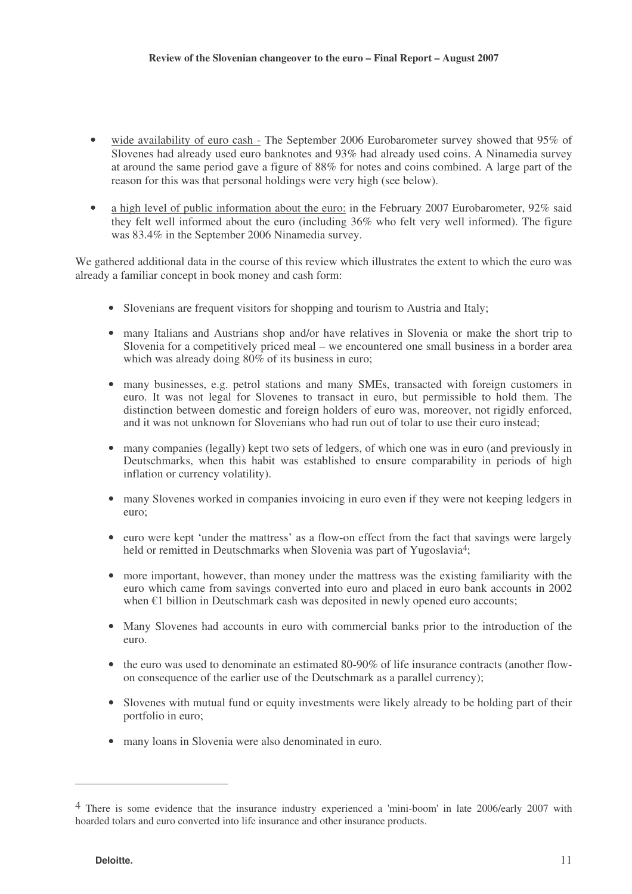- wide availability of euro cash The September 2006 Eurobarometer survey showed that 95% of Slovenes had already used euro banknotes and 93% had already used coins. A Ninamedia survey at around the same period gave a figure of 88% for notes and coins combined. A large part of the reason for this was that personal holdings were very high (see below).
- a high level of public information about the euro: in the February 2007 Eurobarometer, 92% said they felt well informed about the euro (including 36% who felt very well informed). The figure was 83.4% in the September 2006 Ninamedia survey.

We gathered additional data in the course of this review which illustrates the extent to which the euro was already a familiar concept in book money and cash form:

- Slovenians are frequent visitors for shopping and tourism to Austria and Italy;
- many Italians and Austrians shop and/or have relatives in Slovenia or make the short trip to Slovenia for a competitively priced meal – we encountered one small business in a border area which was already doing  $80\%$  of its business in euro;
- many businesses, e.g. petrol stations and many SMEs, transacted with foreign customers in euro. It was not legal for Slovenes to transact in euro, but permissible to hold them. The distinction between domestic and foreign holders of euro was, moreover, not rigidly enforced, and it was not unknown for Slovenians who had run out of tolar to use their euro instead;
- many companies (legally) kept two sets of ledgers, of which one was in euro (and previously in Deutschmarks, when this habit was established to ensure comparability in periods of high inflation or currency volatility).
- many Slovenes worked in companies invoicing in euro even if they were not keeping ledgers in euro;
- euro were kept 'under the mattress' as a flow-on effect from the fact that savings were largely held or remitted in Deutschmarks when Slovenia was part of Yugoslavia<sup>4</sup>;
- more important, however, than money under the mattress was the existing familiarity with the euro which came from savings converted into euro and placed in euro bank accounts in 2002 when  $\epsilon$ 1 billion in Deutschmark cash was deposited in newly opened euro accounts;
- Many Slovenes had accounts in euro with commercial banks prior to the introduction of the euro.
- the euro was used to denominate an estimated 80-90% of life insurance contracts (another flowon consequence of the earlier use of the Deutschmark as a parallel currency);
- Slovenes with mutual fund or equity investments were likely already to be holding part of their portfolio in euro;
- many loans in Slovenia were also denominated in euro.

<sup>4</sup> There is some evidence that the insurance industry experienced a 'mini-boom' in late 2006/early 2007 with hoarded tolars and euro converted into life insurance and other insurance products.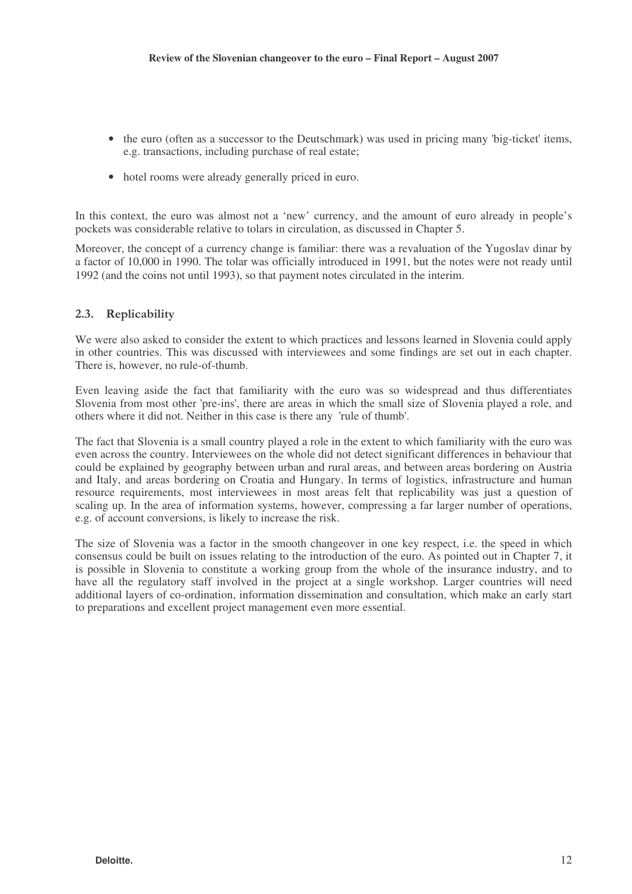- the euro (often as a successor to the Deutschmark) was used in pricing many 'big-ticket' items, e.g. transactions, including purchase of real estate;
- hotel rooms were already generally priced in euro.

In this context, the euro was almost not a 'new' currency, and the amount of euro already in people's pockets was considerable relative to tolars in circulation, as discussed in Chapter 5.

Moreover, the concept of a currency change is familiar: there was a revaluation of the Yugoslav dinar by a factor of 10,000 in 1990. The tolar was officially introduced in 1991, but the notes were not ready until 1992 (and the coins not until 1993), so that payment notes circulated in the interim.

# 2.3. Replicability

We were also asked to consider the extent to which practices and lessons learned in Slovenia could apply in other countries. This was discussed with interviewees and some findings are set out in each chapter. There is, however, no rule-of-thumb.

Even leaving aside the fact that familiarity with the euro was so widespread and thus differentiates Slovenia from most other 'pre-ins', there are areas in which the small size of Slovenia played a role, and others where it did not. Neither in this case is there any 'rule of thumb'.

The fact that Slovenia is a small country played a role in the extent to which familiarity with the euro was even across the country. Interviewees on the whole did not detect significant differences in behaviour that could be explained by geography between urban and rural areas, and between areas bordering on Austria and Italy, and areas bordering on Croatia and Hungary. In terms of logistics, infrastructure and human resource requirements, most interviewees in most areas felt that replicability was just a question of scaling up. In the area of information systems, however, compressing a far larger number of operations, e.g. of account conversions, is likely to increase the risk.

The size of Slovenia was a factor in the smooth changeover in one key respect, i.e. the speed in which consensus could be built on issues relating to the introduction of the euro. As pointed out in Chapter 7, it is possible in Slovenia to constitute a working group from the whole of the insurance industry, and to have all the regulatory staff involved in the project at a single workshop. Larger countries will need additional layers of co-ordination, information dissemination and consultation, which make an early start to preparations and excellent project management even more essential.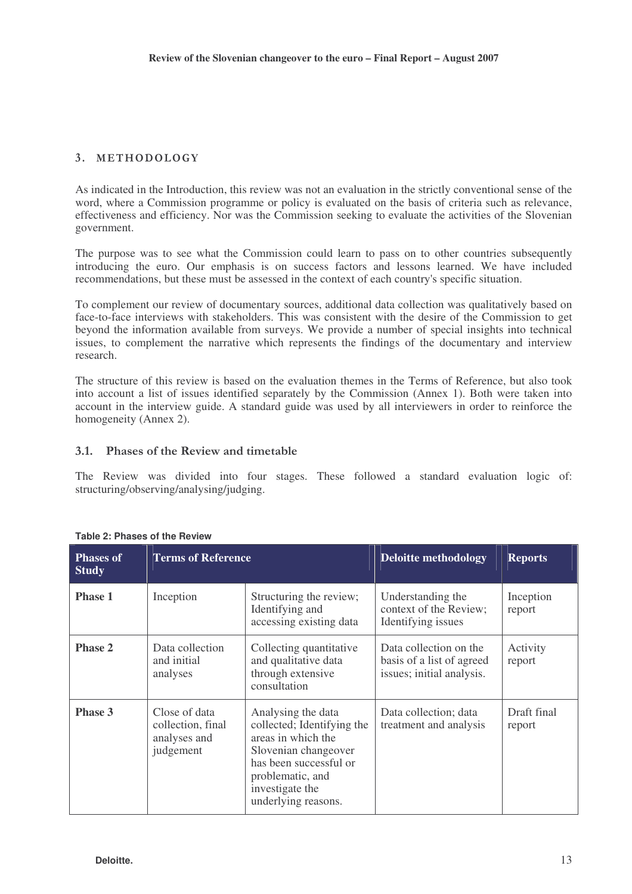# 3. METHODOLOGY

As indicated in the Introduction, this review was not an evaluation in the strictly conventional sense of the word, where a Commission programme or policy is evaluated on the basis of criteria such as relevance, effectiveness and efficiency. Nor was the Commission seeking to evaluate the activities of the Slovenian government.

The purpose was to see what the Commission could learn to pass on to other countries subsequently introducing the euro. Our emphasis is on success factors and lessons learned. We have included recommendations, but these must be assessed in the context of each country's specific situation.

To complement our review of documentary sources, additional data collection was qualitatively based on face-to-face interviews with stakeholders. This was consistent with the desire of the Commission to get beyond the information available from surveys. We provide a number of special insights into technical issues, to complement the narrative which represents the findings of the documentary and interview research.

The structure of this review is based on the evaluation themes in the Terms of Reference, but also took into account a list of issues identified separately by the Commission (Annex 1). Both were taken into account in the interview guide. A standard guide was used by all interviewers in order to reinforce the homogeneity (Annex 2).

# 3.1. Phases of the Review and timetable

The Review was divided into four stages. These followed a standard evaluation logic of: structuring/observing/analysing/judging.

| <b>Phases of</b><br><b>Study</b> | <b>Terms of Reference</b>                                                                                                                                                                                                                                                                                    |                                                                                      | <b>Deloitte methodology</b>                                                      | <b>Reports</b>      |  |
|----------------------------------|--------------------------------------------------------------------------------------------------------------------------------------------------------------------------------------------------------------------------------------------------------------------------------------------------------------|--------------------------------------------------------------------------------------|----------------------------------------------------------------------------------|---------------------|--|
| <b>Phase 1</b>                   | Inception                                                                                                                                                                                                                                                                                                    | Structuring the review;<br>Identifying and<br>accessing existing data                | Understanding the<br>context of the Review;<br>Identifying issues                | Inception<br>report |  |
| <b>Phase 2</b>                   | Data collection<br>and initial<br>analyses                                                                                                                                                                                                                                                                   | Collecting quantitative<br>and qualitative data<br>through extensive<br>consultation | Data collection on the<br>basis of a list of agreed<br>issues; initial analysis. | Activity<br>report  |  |
| <b>Phase 3</b>                   | Close of data<br>Analysing the data<br>Data collection; data<br>collected; Identifying the<br>collection, final<br>treatment and analysis<br>areas in which the<br>analyses and<br>judgement<br>Slovenian changeover<br>has been successful or<br>problematic, and<br>investigate the<br>underlying reasons. |                                                                                      | Draft final<br>report                                                            |                     |  |

#### **Table 2: Phases of the Review**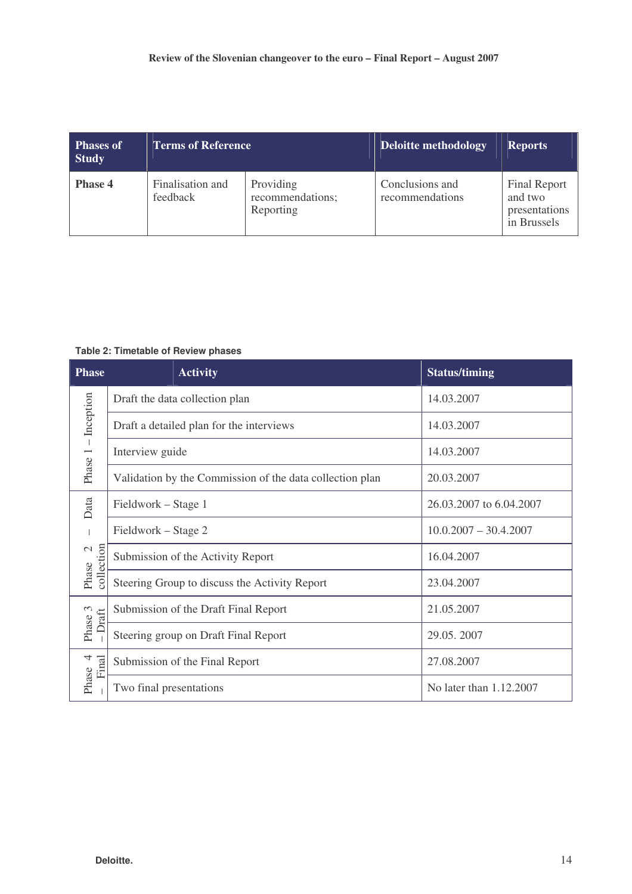| <b>Phases of</b><br><b>Study</b> | <b>Terms of Reference</b>    |                                            | Deloitte methodology               | <b>Reports</b>                                                 |
|----------------------------------|------------------------------|--------------------------------------------|------------------------------------|----------------------------------------------------------------|
| <b>Phase 4</b>                   | Finalisation and<br>feedback | Providing<br>recommendations;<br>Reporting | Conclusions and<br>recommendations | <b>Final Report</b><br>and two<br>presentations<br>in Brussels |

#### **Table 2: Timetable of Review phases**

| <b>Phase</b>                      | <b>Activity</b>                                          | <b>Status/timing</b>    |
|-----------------------------------|----------------------------------------------------------|-------------------------|
|                                   | Draft the data collection plan                           | 14.03.2007              |
| $-$ Inception                     | Draft a detailed plan for the interviews                 | 14.03.2007              |
|                                   | Interview guide                                          | 14.03.2007              |
| Phase 1                           | Validation by the Commission of the data collection plan | 20.03.2007              |
| Data                              | Fieldwork – Stage 1                                      | 26.03.2007 to 6.04.2007 |
|                                   | Fieldwork – Stage 2                                      | $10.0.2007 - 30.4.2007$ |
| collection<br>$\mathcal{C}$       | Submission of the Activity Report                        | 16.04.2007              |
| Phase                             | Steering Group to discuss the Activity Report            | 23.04.2007              |
| $\mathcal{C}$<br>Draft            | Submission of the Draft Final Report                     | 21.05.2007              |
| Phase                             | Steering group on Draft Final Report                     | 29.05.2007              |
| $\overline{\mathcal{A}}$<br>Final | Submission of the Final Report                           | 27.08.2007              |
| Phase                             | Two final presentations                                  | No later than 1.12.2007 |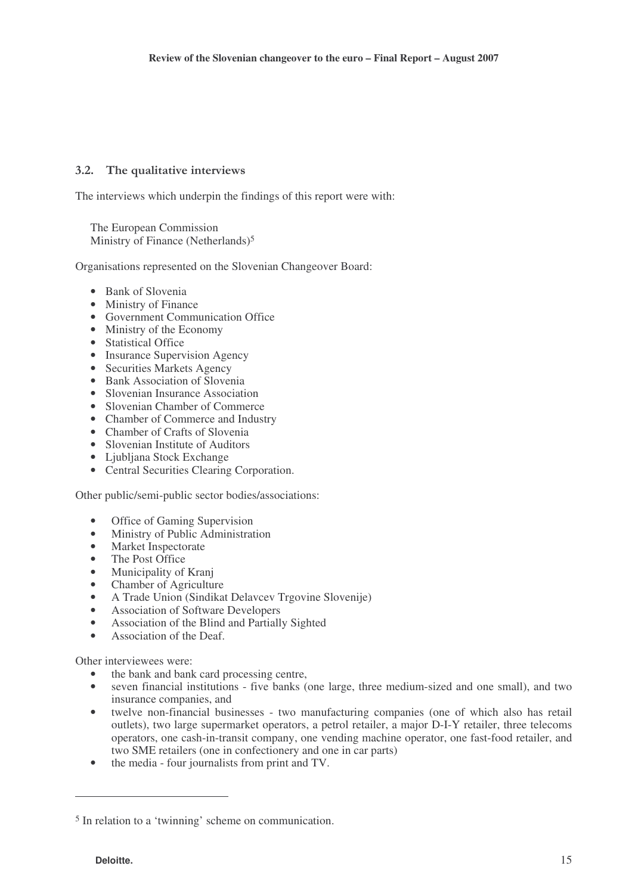# 3.2. The qualitative interviews

The interviews which underpin the findings of this report were with:

The European Commission Ministry of Finance (Netherlands)<sup>5</sup>

Organisations represented on the Slovenian Changeover Board:

- Bank of Slovenia
- Ministry of Finance
- Government Communication Office
- Ministry of the Economy
- Statistical Office
- Insurance Supervision Agency
- Securities Markets Agency
- Bank Association of Slovenia
- Slovenian Insurance Association
- Slovenian Chamber of Commerce
- Chamber of Commerce and Industry
- Chamber of Crafts of Slovenia
- Slovenian Institute of Auditors
- Ljubljana Stock Exchange
- Central Securities Clearing Corporation.

Other public/semi-public sector bodies/associations:

- Office of Gaming Supervision
- Ministry of Public Administration
- Market Inspectorate
- The Post Office
- Municipality of Kranj
- Chamber of Agriculture
- A Trade Union (Sindikat Delavcev Trgovine Slovenije)
- Association of Software Developers
- Association of the Blind and Partially Sighted
- Association of the Deaf.

Other interviewees were:

- the bank and bank card processing centre,
- seven financial institutions five banks (one large, three medium-sized and one small), and two insurance companies, and
- twelve non-financial businesses two manufacturing companies (one of which also has retail outlets), two large supermarket operators, a petrol retailer, a major D-I-Y retailer, three telecoms operators, one cash-in-transit company, one vending machine operator, one fast-food retailer, and two SME retailers (one in confectionery and one in car parts)
- the media four journalists from print and TV.

<sup>5</sup> In relation to a 'twinning' scheme on communication.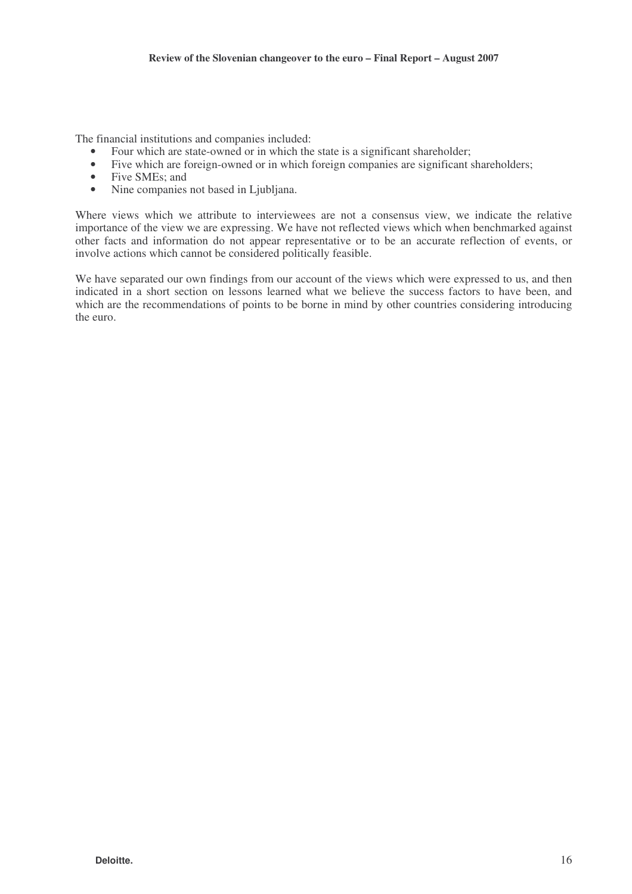The financial institutions and companies included:

- Four which are state-owned or in which the state is a significant shareholder;
- Five which are foreign-owned or in which foreign companies are significant shareholders;
- Five SMEs; and
- Nine companies not based in Ljubljana.

Where views which we attribute to interviewees are not a consensus view, we indicate the relative importance of the view we are expressing. We have not reflected views which when benchmarked against other facts and information do not appear representative or to be an accurate reflection of events, or involve actions which cannot be considered politically feasible.

We have separated our own findings from our account of the views which were expressed to us, and then indicated in a short section on lessons learned what we believe the success factors to have been, and which are the recommendations of points to be borne in mind by other countries considering introducing the euro.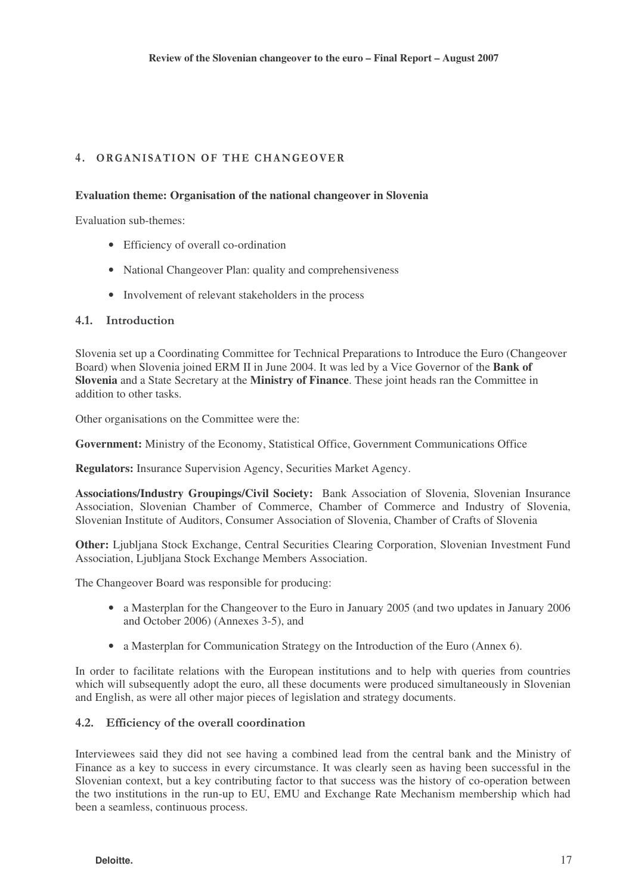# 4. ORGANISATION OF THE CHANGEOVER

#### **Evaluation theme: Organisation of the national changeover in Slovenia**

Evaluation sub-themes:

- Efficiency of overall co-ordination
- National Changeover Plan: quality and comprehensiveness
- Involvement of relevant stakeholders in the process

### 4.1. Introduction

Slovenia set up a Coordinating Committee for Technical Preparations to Introduce the Euro (Changeover Board) when Slovenia joined ERM II in June 2004. It was led by a Vice Governor of the **Bank of Slovenia** and a State Secretary at the **Ministry of Finance**. These joint heads ran the Committee in addition to other tasks.

Other organisations on the Committee were the:

**Government:** Ministry of the Economy, Statistical Office, Government Communications Office

**Regulators:** Insurance Supervision Agency, Securities Market Agency.

**Associations/Industry Groupings/Civil Society:** Bank Association of Slovenia, Slovenian Insurance Association, Slovenian Chamber of Commerce, Chamber of Commerce and Industry of Slovenia, Slovenian Institute of Auditors, Consumer Association of Slovenia, Chamber of Crafts of Slovenia

**Other:** Ljubljana Stock Exchange, Central Securities Clearing Corporation, Slovenian Investment Fund Association, Ljubljana Stock Exchange Members Association.

The Changeover Board was responsible for producing:

- a Masterplan for the Changeover to the Euro in January 2005 (and two updates in January 2006 and October 2006) (Annexes 3-5), and
- a Masterplan for Communication Strategy on the Introduction of the Euro (Annex 6).

In order to facilitate relations with the European institutions and to help with queries from countries which will subsequently adopt the euro, all these documents were produced simultaneously in Slovenian and English, as were all other major pieces of legislation and strategy documents.

# 4.2. Efficiency of the overall coordination

Interviewees said they did not see having a combined lead from the central bank and the Ministry of Finance as a key to success in every circumstance. It was clearly seen as having been successful in the Slovenian context, but a key contributing factor to that success was the history of co-operation between the two institutions in the run-up to EU, EMU and Exchange Rate Mechanism membership which had been a seamless, continuous process.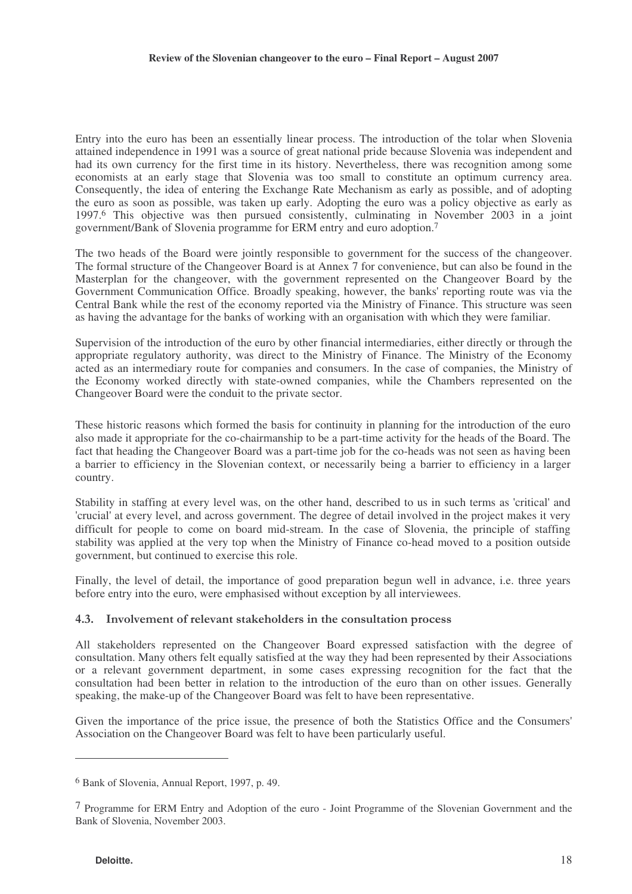Entry into the euro has been an essentially linear process. The introduction of the tolar when Slovenia attained independence in 1991 was a source of great national pride because Slovenia was independent and had its own currency for the first time in its history. Nevertheless, there was recognition among some economists at an early stage that Slovenia was too small to constitute an optimum currency area. Consequently, the idea of entering the Exchange Rate Mechanism as early as possible, and of adopting the euro as soon as possible, was taken up early. Adopting the euro was a policy objective as early as 1997. <sup>6</sup> This objective was then pursued consistently, culminating in November 2003 in a joint government/Bank of Slovenia programme for ERM entry and euro adoption. 7

The two heads of the Board were jointly responsible to government for the success of the changeover. The formal structure of the Changeover Board is at Annex 7 for convenience, but can also be found in the Masterplan for the changeover, with the government represented on the Changeover Board by the Government Communication Office. Broadly speaking, however, the banks' reporting route was via the Central Bank while the rest of the economy reported via the Ministry of Finance. This structure was seen as having the advantage for the banks of working with an organisation with which they were familiar.

Supervision of the introduction of the euro by other financial intermediaries, either directly or through the appropriate regulatory authority, was direct to the Ministry of Finance. The Ministry of the Economy acted as an intermediary route for companies and consumers. In the case of companies, the Ministry of the Economy worked directly with state-owned companies, while the Chambers represented on the Changeover Board were the conduit to the private sector.

These historic reasons which formed the basis for continuity in planning for the introduction of the euro also made it appropriate for the co-chairmanship to be a part-time activity for the heads of the Board. The fact that heading the Changeover Board was a part-time job for the co-heads was not seen as having been a barrier to efficiency in the Slovenian context, or necessarily being a barrier to efficiency in a larger country.

Stability in staffing at every level was, on the other hand, described to us in such terms as 'critical' and 'crucial' at every level, and across government. The degree of detail involved in the project makes it very difficult for people to come on board mid-stream. In the case of Slovenia, the principle of staffing stability was applied at the very top when the Ministry of Finance co-head moved to a position outside government, but continued to exercise this role.

Finally, the level of detail, the importance of good preparation begun well in advance, i.e. three years before entry into the euro, were emphasised without exception by all interviewees.

### 4.3. Involvement of relevant stakeholders in the consultation process

All stakeholders represented on the Changeover Board expressed satisfaction with the degree of consultation. Many others felt equally satisfied at the way they had been represented by their Associations or a relevant government department, in some cases expressing recognition for the fact that the consultation had been better in relation to the introduction of the euro than on other issues. Generally speaking, the make-up of the Changeover Board was felt to have been representative.

Given the importance of the price issue, the presence of both the Statistics Office and the Consumers' Association on the Changeover Board was felt to have been particularly useful.

<sup>6</sup> Bank of Slovenia, Annual Report, 1997, p. 49.

<sup>7</sup> Programme for ERM Entry and Adoption of the euro - Joint Programme of the Slovenian Government and the Bank of Slovenia, November 2003.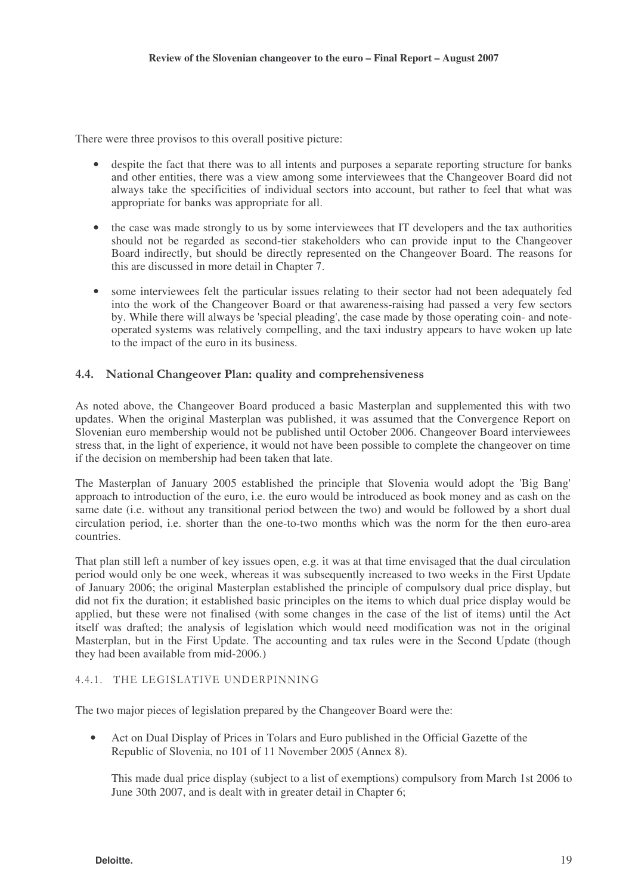There were three provisos to this overall positive picture:

- despite the fact that there was to all intents and purposes a separate reporting structure for banks and other entities, there was a view among some interviewees that the Changeover Board did not always take the specificities of individual sectors into account, but rather to feel that what was appropriate for banks was appropriate for all.
- the case was made strongly to us by some interviewees that IT developers and the tax authorities should not be regarded as second-tier stakeholders who can provide input to the Changeover Board indirectly, but should be directly represented on the Changeover Board. The reasons for this are discussed in more detail in Chapter 7.
- some interviewees felt the particular issues relating to their sector had not been adequately fed into the work of the Changeover Board or that awareness-raising had passed a very few sectors by. While there will always be 'special pleading', the case made by those operating coin- and noteoperated systems was relatively compelling, and the taxi industry appears to have woken up late to the impact of the euro in its business.

# 4.4. National Changeover Plan: quality and comprehensiveness

As noted above, the Changeover Board produced a basic Masterplan and supplemented this with two updates. When the original Masterplan was published, it was assumed that the Convergence Report on Slovenian euro membership would not be published until October 2006. Changeover Board interviewees stress that, in the light of experience, it would not have been possible to complete the changeover on time if the decision on membership had been taken that late.

The Masterplan of January 2005 established the principle that Slovenia would adopt the 'Big Bang' approach to introduction of the euro, i.e. the euro would be introduced as book money and as cash on the same date (i.e. without any transitional period between the two) and would be followed by a short dual circulation period, i.e. shorter than the one-to-two months which was the norm for the then euro-area countries.

That plan still left a number of key issues open, e.g. it was at that time envisaged that the dual circulation period would only be one week, whereas it was subsequently increased to two weeks in the First Update of January 2006; the original Masterplan established the principle of compulsory dual price display, but did not fix the duration; it established basic principles on the items to which dual price display would be applied, but these were not finalised (with some changes in the case of the list of items) until the Act itself was drafted; the analysis of legislation which would need modification was not in the original Masterplan, but in the First Update. The accounting and tax rules were in the Second Update (though they had been available from mid-2006.)

# 4.4.1. THE LEGISLATIVE UNDERPINNING

The two major pieces of legislation prepared by the Changeover Board were the:

• Act on Dual Display of Prices in Tolars and Euro published in the Official Gazette of the Republic of Slovenia, no 101 of 11 November 2005 (Annex 8).

This made dual price display (subject to a list of exemptions) compulsory from March 1st 2006 to June 30th 2007, and is dealt with in greater detail in Chapter 6;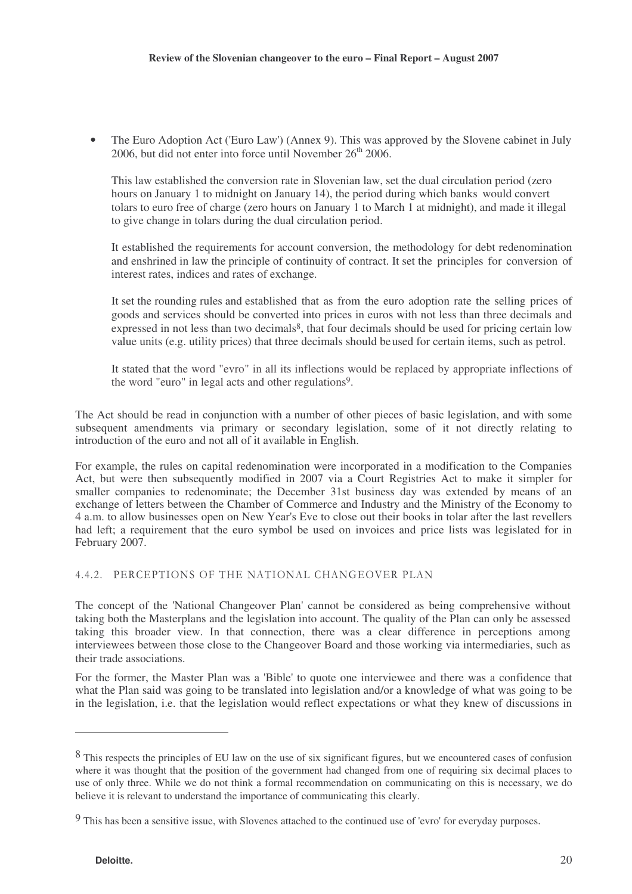• The Euro Adoption Act ('Euro Law') (Annex 9). This was approved by the Slovene cabinet in July 2006, but did not enter into force until November  $26<sup>th</sup>$  2006.

This law established the conversion rate in Slovenian law, set the dual circulation period (zero hours on January 1 to midnight on January 14), the period during which banks would convert tolars to euro free of charge (zero hours on January 1 to March 1 at midnight), and made it illegal to give change in tolars during the dual circulation period.

It established the requirements for account conversion, the methodology for debt redenomination and enshrined in law the principle of continuity of contract. It set the principles for conversion of interest rates, indices and rates of exchange.

It set the rounding rules and established that as from the euro adoption rate the selling prices of goods and services should be converted into prices in euros with not less than three decimals and expressed in not less than two decimals<sup>8</sup>, that four decimals should be used for pricing certain low value units (e.g. utility prices) that three decimals should beused for certain items, such as petrol.

It stated that the word "evro" in all its inflections would be replaced by appropriate inflections of the word "euro" in legal acts and other regulations<sup>9</sup>.

The Act should be read in conjunction with a number of other pieces of basic legislation, and with some subsequent amendments via primary or secondary legislation, some of it not directly relating to introduction of the euro and not all of it available in English.

For example, the rules on capital redenomination were incorporated in a modification to the Companies Act, but were then subsequently modified in 2007 via a Court Registries Act to make it simpler for smaller companies to redenominate; the December 31st business day was extended by means of an exchange of letters between the Chamber of Commerce and Industry and the Ministry of the Economy to 4 a.m. to allow businesses open on New Year's Eve to close out their books in tolar after the last revellers had left; a requirement that the euro symbol be used on invoices and price lists was legislated for in February 2007.

### 4.4.2. PERCEPTIONS OF THE NATIONAL CHANGEOVER PLAN

The concept of the 'National Changeover Plan' cannot be considered as being comprehensive without taking both the Masterplans and the legislation into account. The quality of the Plan can only be assessed taking this broader view. In that connection, there was a clear difference in perceptions among interviewees between those close to the Changeover Board and those working via intermediaries, such as their trade associations.

For the former, the Master Plan was a 'Bible' to quote one interviewee and there was a confidence that what the Plan said was going to be translated into legislation and/or a knowledge of what was going to be in the legislation, i.e. that the legislation would reflect expectations or what they knew of discussions in

<sup>&</sup>lt;sup>8</sup> This respects the principles of EU law on the use of six significant figures, but we encountered cases of confusion where it was thought that the position of the government had changed from one of requiring six decimal places to use of only three. While we do not think a formal recommendation on communicating on this is necessary, we do believe it is relevant to understand the importance of communicating this clearly.

<sup>9</sup> This has been a sensitive issue, with Slovenes attached to the continued use of 'evro' for everyday purposes.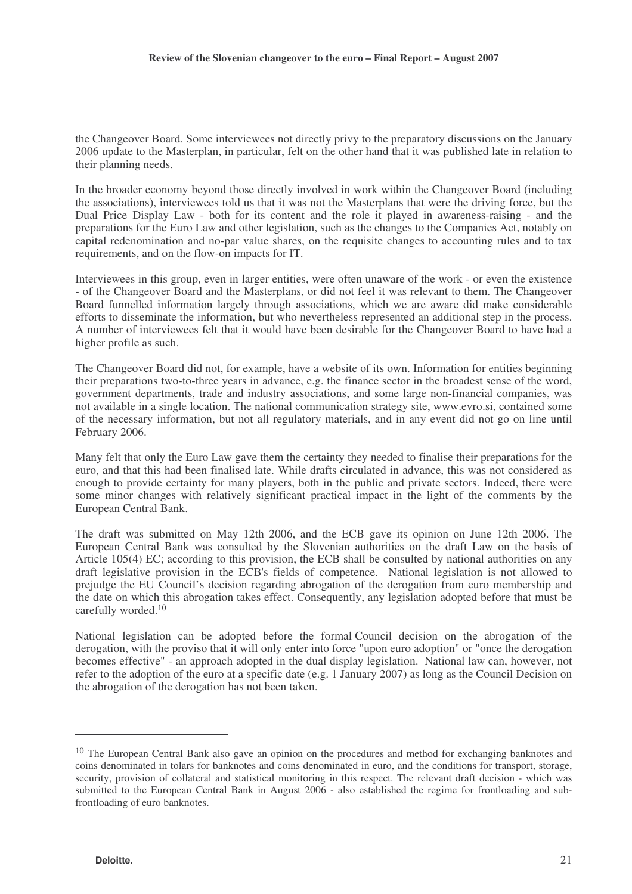the Changeover Board. Some interviewees not directly privy to the preparatory discussions on the January 2006 update to the Masterplan, in particular, felt on the other hand that it was published late in relation to their planning needs.

In the broader economy beyond those directly involved in work within the Changeover Board (including the associations), interviewees told us that it was not the Masterplans that were the driving force, but the Dual Price Display Law - both for its content and the role it played in awareness-raising - and the preparations for the Euro Law and other legislation, such as the changes to the Companies Act, notably on capital redenomination and no-par value shares, on the requisite changes to accounting rules and to tax requirements, and on the flow-on impacts for IT.

Interviewees in this group, even in larger entities, were often unaware of the work - or even the existence - of the Changeover Board and the Masterplans, or did not feel it was relevant to them. The Changeover Board funnelled information largely through associations, which we are aware did make considerable efforts to disseminate the information, but who nevertheless represented an additional step in the process. A number of interviewees felt that it would have been desirable for the Changeover Board to have had a higher profile as such.

The Changeover Board did not, for example, have a website of its own. Information for entities beginning their preparations two-to-three years in advance, e.g. the finance sector in the broadest sense of the word, government departments, trade and industry associations, and some large non-financial companies, was not available in a single location. The national communication strategy site, www.evro.si, contained some of the necessary information, but not all regulatory materials, and in any event did not go on line until February 2006.

Many felt that only the Euro Law gave them the certainty they needed to finalise their preparations for the euro, and that this had been finalised late. While drafts circulated in advance, this was not considered as enough to provide certainty for many players, both in the public and private sectors. Indeed, there were some minor changes with relatively significant practical impact in the light of the comments by the European Central Bank.

The draft was submitted on May 12th 2006, and the ECB gave its opinion on June 12th 2006. The European Central Bank was consulted by the Slovenian authorities on the draft Law on the basis of Article 105(4) EC; according to this provision, the ECB shall be consulted by national authorities on any draft legislative provision in the ECB's fields of competence. National legislation is not allowed to prejudge the EU Council's decision regarding abrogation of the derogation from euro membership and the date on which this abrogation takes effect. Consequently, any legislation adopted before that must be carefully worded. 10

National legislation can be adopted before the formal Council decision on the abrogation of the derogation, with the proviso that it will only enter into force "upon euro adoption" or "once the derogation becomes effective" - an approach adopted in the dual display legislation. National law can, however, not refer to the adoption of the euro at a specific date (e.g. 1 January 2007) as long as the Council Decision on the abrogation of the derogation has not been taken.

<sup>&</sup>lt;sup>10</sup> The European Central Bank also gave an opinion on the procedures and method for exchanging banknotes and coins denominated in tolars for banknotes and coins denominated in euro, and the conditions for transport, storage, security, provision of collateral and statistical monitoring in this respect. The relevant draft decision - which was submitted to the European Central Bank in August 2006 - also established the regime for frontloading and subfrontloading of euro banknotes.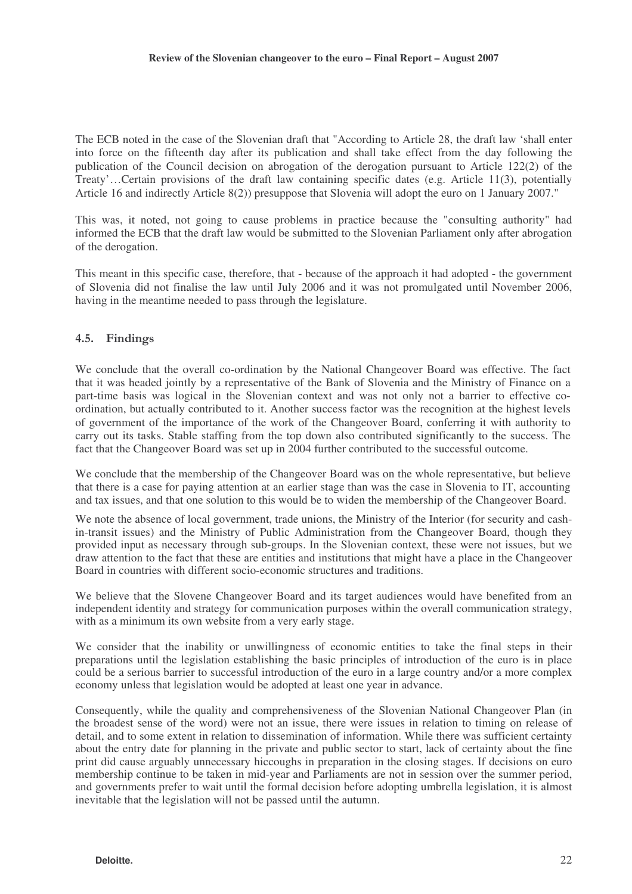The ECB noted in the case of the Slovenian draft that "According to Article 28, the draft law 'shall enter into force on the fifteenth day after its publication and shall take effect from the day following the publication of the Council decision on abrogation of the derogation pursuant to Article 122(2) of the Treaty'…Certain provisions of the draft law containing specific dates (e.g. Article 11(3), potentially Article 16 and indirectly Article 8(2)) presuppose that Slovenia will adopt the euro on 1 January 2007."

This was, it noted, not going to cause problems in practice because the "consulting authority" had informed the ECB that the draft law would be submitted to the Slovenian Parliament only after abrogation of the derogation.

This meant in this specific case, therefore, that - because of the approach it had adopted - the government of Slovenia did not finalise the law until July 2006 and it was not promulgated until November 2006, having in the meantime needed to pass through the legislature.

# 4.5. Findings

We conclude that the overall co-ordination by the National Changeover Board was effective. The fact that it was headed jointly by a representative of the Bank of Slovenia and the Ministry of Finance on a part-time basis was logical in the Slovenian context and was not only not a barrier to effective coordination, but actually contributed to it. Another success factor was the recognition at the highest levels of government of the importance of the work of the Changeover Board, conferring it with authority to carry out its tasks. Stable staffing from the top down also contributed significantly to the success. The fact that the Changeover Board was set up in 2004 further contributed to the successful outcome.

We conclude that the membership of the Changeover Board was on the whole representative, but believe that there is a case for paying attention at an earlier stage than was the case in Slovenia to IT, accounting and tax issues, and that one solution to this would be to widen the membership of the Changeover Board.

We note the absence of local government, trade unions, the Ministry of the Interior (for security and cashin-transit issues) and the Ministry of Public Administration from the Changeover Board, though they provided input as necessary through sub-groups. In the Slovenian context, these were not issues, but we draw attention to the fact that these are entities and institutions that might have a place in the Changeover Board in countries with different socio-economic structures and traditions.

We believe that the Slovene Changeover Board and its target audiences would have benefited from an independent identity and strategy for communication purposes within the overall communication strategy, with as a minimum its own website from a very early stage.

We consider that the inability or unwillingness of economic entities to take the final steps in their preparations until the legislation establishing the basic principles of introduction of the euro is in place could be a serious barrier to successful introduction of the euro in a large country and/or a more complex economy unless that legislation would be adopted at least one year in advance.

Consequently, while the quality and comprehensiveness of the Slovenian National Changeover Plan (in the broadest sense of the word) were not an issue, there were issues in relation to timing on release of detail, and to some extent in relation to dissemination of information. While there was sufficient certainty about the entry date for planning in the private and public sector to start, lack of certainty about the fine print did cause arguably unnecessary hiccoughs in preparation in the closing stages. If decisions on euro membership continue to be taken in mid-year and Parliaments are not in session over the summer period, and governments prefer to wait until the formal decision before adopting umbrella legislation, it is almost inevitable that the legislation will not be passed until the autumn.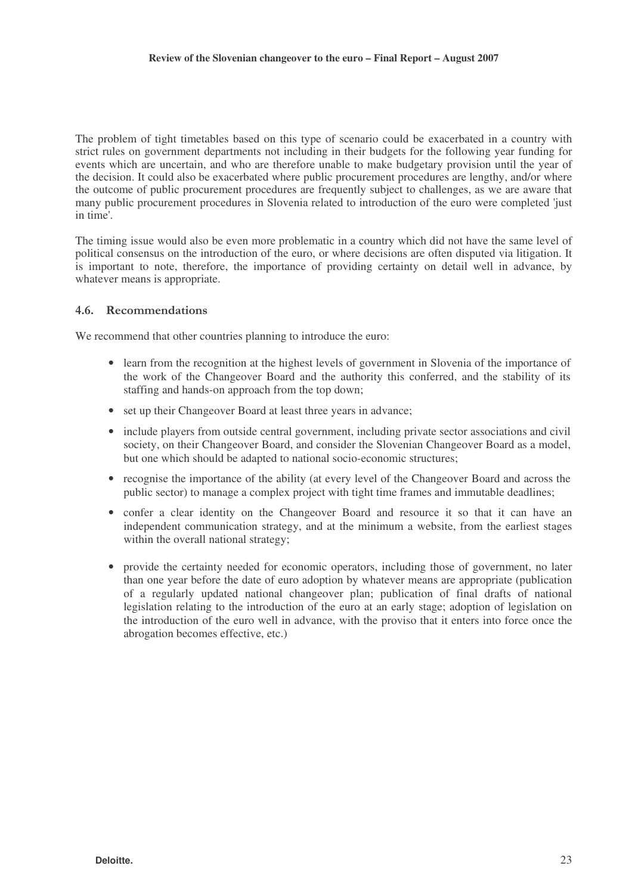The problem of tight timetables based on this type of scenario could be exacerbated in a country with strict rules on government departments not including in their budgets for the following year funding for events which are uncertain, and who are therefore unable to make budgetary provision until the year of the decision. It could also be exacerbated where public procurement procedures are lengthy, and/or where the outcome of public procurement procedures are frequently subject to challenges, as we are aware that many public procurement procedures in Slovenia related to introduction of the euro were completed 'just in time'.

The timing issue would also be even more problematic in a country which did not have the same level of political consensus on the introduction of the euro, or where decisions are often disputed via litigation. It is important to note, therefore, the importance of providing certainty on detail well in advance, by whatever means is appropriate.

### 4.6. Recommendations

We recommend that other countries planning to introduce the euro:

- learn from the recognition at the highest levels of government in Slovenia of the importance of the work of the Changeover Board and the authority this conferred, and the stability of its staffing and hands-on approach from the top down;
- set up their Changeover Board at least three years in advance;
- include players from outside central government, including private sector associations and civil society, on their Changeover Board, and consider the Slovenian Changeover Board as a model, but one which should be adapted to national socio-economic structures;
- recognise the importance of the ability (at every level of the Changeover Board and across the public sector) to manage a complex project with tight time frames and immutable deadlines;
- confer a clear identity on the Changeover Board and resource it so that it can have an independent communication strategy, and at the minimum a website, from the earliest stages within the overall national strategy;
- provide the certainty needed for economic operators, including those of government, no later than one year before the date of euro adoption by whatever means are appropriate (publication of a regularly updated national changeover plan; publication of final drafts of national legislation relating to the introduction of the euro at an early stage; adoption of legislation on the introduction of the euro well in advance, with the proviso that it enters into force once the abrogation becomes effective, etc.)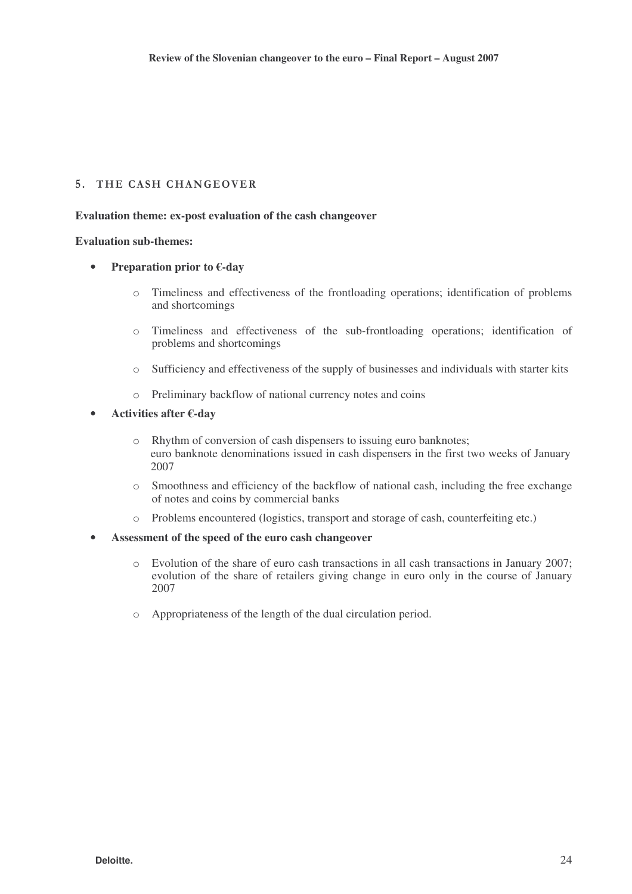# 5. THE CASH CHANGEOVER

#### **Evaluation theme: ex-post evaluation of the cash changeover**

#### **Evaluation sub-themes:**

- **Preparation prior to €-day**
	- o Timeliness and effectiveness of the frontloading operations; identification of problems and shortcomings
	- o Timeliness and effectiveness of the sub-frontloading operations; identification of problems and shortcomings
	- o Sufficiency and effectiveness of the supply of businesses and individuals with starter kits
	- o Preliminary backflow of national currency notes and coins

#### • **Activities after €-day**

- o Rhythm of conversion of cash dispensers to issuing euro banknotes; euro banknote denominations issued in cash dispensers in the first two weeks of January 2007
- o Smoothness and efficiency of the backflow of national cash, including the free exchange of notes and coins by commercial banks
- o Problems encountered (logistics, transport and storage of cash, counterfeiting etc.)

#### • **Assessment of the speed of the euro cash changeover**

- o Evolution of the share of euro cash transactions in all cash transactions in January 2007; evolution of the share of retailers giving change in euro only in the course of January 2007
- o Appropriateness of the length of the dual circulation period.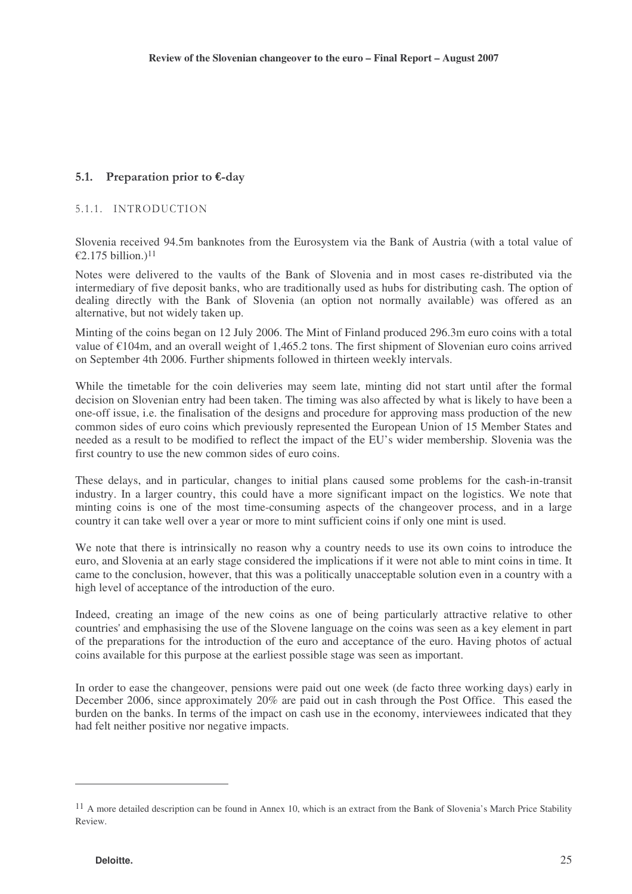# 5.1. Preparation prior to  $\epsilon$ -day

# 5.1.1. INTRODUCTION

Slovenia received 94.5m banknotes from the Eurosystem via the Bank of Austria (with a total value of €2.175 billion.)<sup>11</sup>

Notes were delivered to the vaults of the Bank of Slovenia and in most cases re-distributed via the intermediary of five deposit banks, who are traditionally used as hubs for distributing cash. The option of dealing directly with the Bank of Slovenia (an option not normally available) was offered as an alternative, but not widely taken up.

Minting of the coins began on 12 July 2006. The Mint of Finland produced 296.3m euro coins with a total value of €104m, and an overall weight of 1,465.2 tons. The first shipment of Slovenian euro coins arrived on September 4th 2006. Further shipments followed in thirteen weekly intervals.

While the timetable for the coin deliveries may seem late, minting did not start until after the formal decision on Slovenian entry had been taken. The timing was also affected by what is likely to have been a one-off issue, i.e. the finalisation of the designs and procedure for approving mass production of the new common sides of euro coins which previously represented the European Union of 15 Member States and needed as a result to be modified to reflect the impact of the EU's wider membership. Slovenia was the first country to use the new common sides of euro coins.

These delays, and in particular, changes to initial plans caused some problems for the cash-in-transit industry. In a larger country, this could have a more significant impact on the logistics. We note that minting coins is one of the most time-consuming aspects of the changeover process, and in a large country it can take well over a year or more to mint sufficient coins if only one mint is used.

We note that there is intrinsically no reason why a country needs to use its own coins to introduce the euro, and Slovenia at an early stage considered the implications if it were not able to mint coins in time. It came to the conclusion, however, that this was a politically unacceptable solution even in a country with a high level of acceptance of the introduction of the euro.

Indeed, creating an image of the new coins as one of being particularly attractive relative to other countries' and emphasising the use of the Slovene language on the coins was seen as a key element in part of the preparations for the introduction of the euro and acceptance of the euro. Having photos of actual coins available for this purpose at the earliest possible stage was seen as important.

In order to ease the changeover, pensions were paid out one week (de facto three working days) early in December 2006, since approximately 20% are paid out in cash through the Post Office. This eased the burden on the banks. In terms of the impact on cash use in the economy, interviewees indicated that they had felt neither positive nor negative impacts.

 $11$  A more detailed description can be found in Annex 10, which is an extract from the Bank of Slovenia's March Price Stability Review.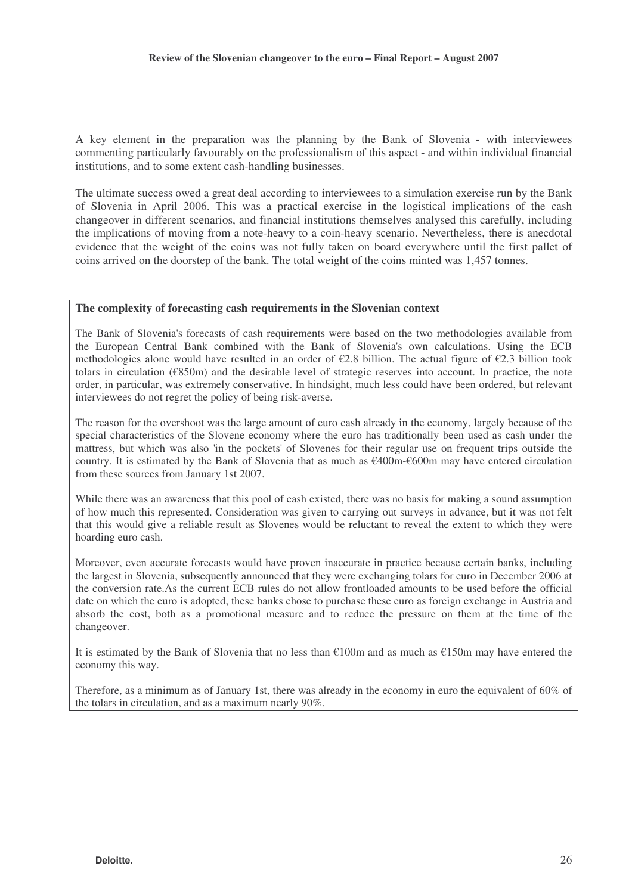A key element in the preparation was the planning by the Bank of Slovenia - with interviewees commenting particularly favourably on the professionalism of this aspect - and within individual financial institutions, and to some extent cash-handling businesses.

The ultimate success owed a great deal according to interviewees to a simulation exercise run by the Bank of Slovenia in April 2006. This was a practical exercise in the logistical implications of the cash changeover in different scenarios, and financial institutions themselves analysed this carefully, including the implications of moving from a note-heavy to a coin-heavy scenario. Nevertheless, there is anecdotal evidence that the weight of the coins was not fully taken on board everywhere until the first pallet of coins arrived on the doorstep of the bank. The total weight of the coins minted was 1,457 tonnes.

#### **The complexity of forecasting cash requirements in the Slovenian context**

The Bank of Slovenia's forecasts of cash requirements were based on the two methodologies available from the European Central Bank combined with the Bank of Slovenia's own calculations. Using the ECB methodologies alone would have resulted in an order of €2.8 billion. The actual figure of €2.3 billion took tolars in circulation (€850m) and the desirable level of strategic reserves into account. In practice, the note order, in particular, was extremely conservative. In hindsight, much less could have been ordered, but relevant interviewees do not regret the policy of being risk-averse.

The reason for the overshoot was the large amount of euro cash already in the economy, largely because of the special characteristics of the Slovene economy where the euro has traditionally been used as cash under the mattress, but which was also 'in the pockets' of Slovenes for their regular use on frequent trips outside the country. It is estimated by the Bank of Slovenia that as much as  $\epsilon$ 400m- $\epsilon$ 600m may have entered circulation from these sources from January 1st 2007.

While there was an awareness that this pool of cash existed, there was no basis for making a sound assumption of how much this represented. Consideration was given to carrying out surveys in advance, but it was not felt that this would give a reliable result as Slovenes would be reluctant to reveal the extent to which they were hoarding euro cash.

Moreover, even accurate forecasts would have proven inaccurate in practice because certain banks, including the largest in Slovenia, subsequently announced that they were exchanging tolars for euro in December 2006 at the conversion rate.As the current ECB rules do not allow frontloaded amounts to be used before the official date on which the euro is adopted, these banks chose to purchase these euro as foreign exchange in Austria and absorb the cost, both as a promotional measure and to reduce the pressure on them at the time of the changeover.

It is estimated by the Bank of Slovenia that no less than €100m and as much as €150m may have entered the economy this way.

Therefore, as a minimum as of January 1st, there was already in the economy in euro the equivalent of 60% of the tolars in circulation, and as a maximum nearly 90%.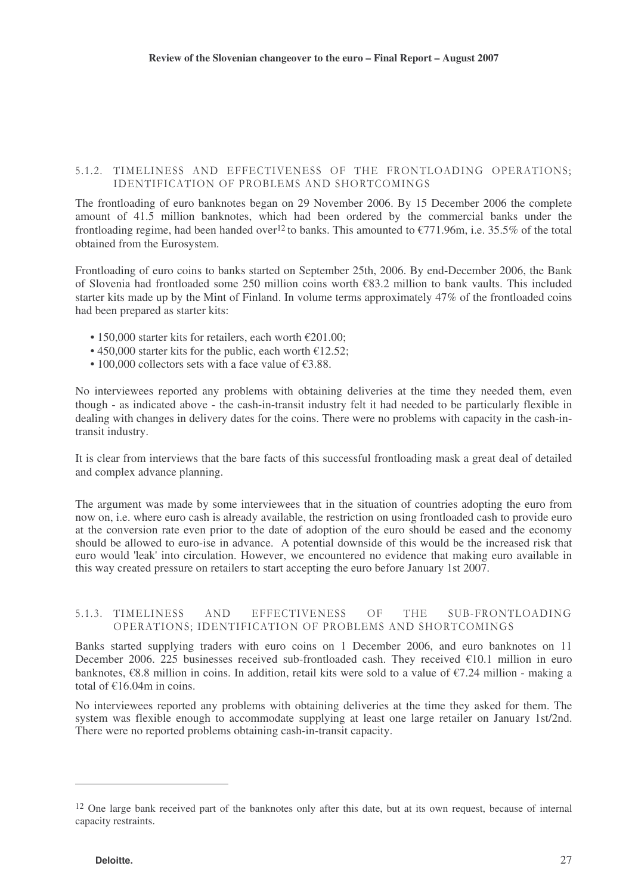#### 5.1.2. TIMELINESS AND EFFECTIVENESS OF THE FRONTLOADING OPERATIONS; IDENTIFICATION OF PROBLEMS AND SHORTCOMINGS

The frontloading of euro banknotes began on 29 November 2006. By 15 December 2006 the complete amount of 41.5 million banknotes, which had been ordered by the commercial banks under the frontloading regime, had been handed over<sup>12</sup> to banks. This amounted to  $\text{\textsterling}771.96m$ , i.e. 35.5% of the total obtained from the Eurosystem.

Frontloading of euro coins to banks started on September 25th, 2006. By end-December 2006, the Bank of Slovenia had frontloaded some 250 million coins worth €83.2 million to bank vaults. This included starter kits made up by the Mint of Finland. In volume terms approximately 47% of the frontloaded coins had been prepared as starter kits:

- 150,000 starter kits for retailers, each worth  $\epsilon$ 201.00:
- 450,000 starter kits for the public, each worth  $£12.52$ ;
- 100,000 collectors sets with a face value of  $£3.88$ .

No interviewees reported any problems with obtaining deliveries at the time they needed them, even though - as indicated above - the cash-in-transit industry felt it had needed to be particularly flexible in dealing with changes in delivery dates for the coins. There were no problems with capacity in the cash-intransit industry.

It is clear from interviews that the bare facts of this successful frontloading mask a great deal of detailed and complex advance planning.

The argument was made by some interviewees that in the situation of countries adopting the euro from now on, i.e. where euro cash is already available, the restriction on using frontloaded cash to provide euro at the conversion rate even prior to the date of adoption of the euro should be eased and the economy should be allowed to euro-ise in advance. A potential downside of this would be the increased risk that euro would 'leak' into circulation. However, we encountered no evidence that making euro available in this way created pressure on retailers to start accepting the euro before January 1st 2007.

#### 5.1.3. TIMELII AND EFFECTIVENESS OF VENESS OF THE SUB-FRONTLOADING OPERATIONS; IDENTIFICATION OF PROBLEMS AND SHORTCOMINGS

Banks started supplying traders with euro coins on 1 December 2006, and euro banknotes on 11 December 2006. 225 businesses received sub-frontloaded cash. They received  $€10.1$  million in euro banknotes,  $\epsilon$ 8.8 million in coins. In addition, retail kits were sold to a value of  $\epsilon$ 7.24 million - making a total of  $f(16.04m)$  in coins.

No interviewees reported any problems with obtaining deliveries at the time they asked for them. The system was flexible enough to accommodate supplying at least one large retailer on January 1st/2nd. There were no reported problems obtaining cash-in-transit capacity.

<sup>&</sup>lt;sup>12</sup> One large bank received part of the banknotes only after this date, but at its own request, because of internal capacity restraints.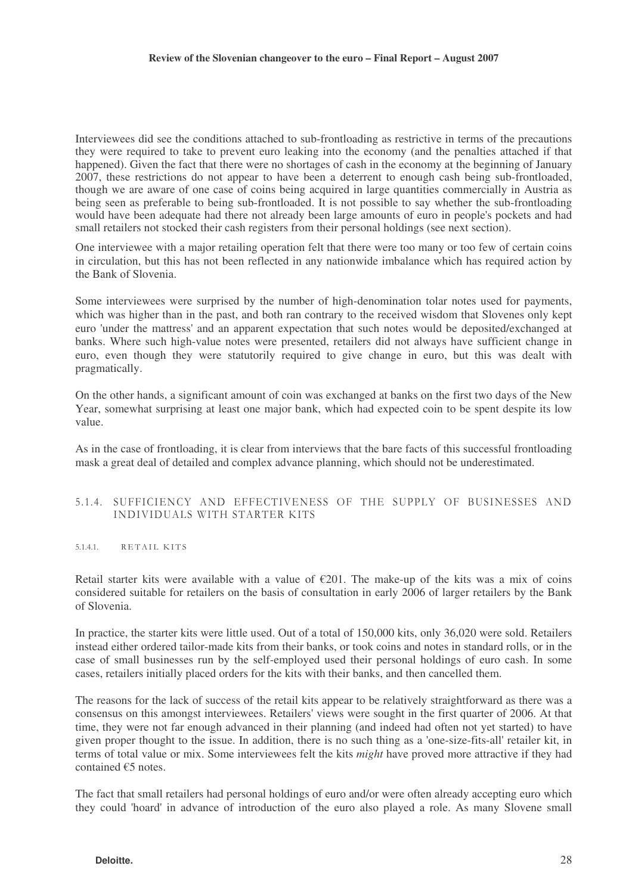Interviewees did see the conditions attached to sub-frontloading as restrictive in terms of the precautions they were required to take to prevent euro leaking into the economy (and the penalties attached if that happened). Given the fact that there were no shortages of cash in the economy at the beginning of January 2007, these restrictions do not appear to have been a deterrent to enough cash being sub-frontloaded, though we are aware of one case of coins being acquired in large quantities commercially in Austria as being seen as preferable to being sub-frontloaded. It is not possible to say whether the sub-frontloading would have been adequate had there not already been large amounts of euro in people's pockets and had small retailers not stocked their cash registers from their personal holdings (see next section).

One interviewee with a major retailing operation felt that there were too many or too few of certain coins in circulation, but this has not been reflected in any nationwide imbalance which has required action by the Bank of Slovenia.

Some interviewees were surprised by the number of high-denomination tolar notes used for payments, which was higher than in the past, and both ran contrary to the received wisdom that Slovenes only kept euro 'under the mattress' and an apparent expectation that such notes would be deposited/exchanged at banks. Where such high-value notes were presented, retailers did not always have sufficient change in euro, even though they were statutorily required to give change in euro, but this was dealt with pragmatically.

On the other hands, a significant amount of coin was exchanged at banks on the first two days of the New Year, somewhat surprising at least one major bank, which had expected coin to be spent despite its low value.

As in the case of frontloading, it is clear from interviews that the bare facts of this successful frontloading mask a great deal of detailed and complex advance planning, which should not be underestimated.

#### 5.1.4. SUFFICIENCY AND EFFECTIVENESS OF THE SUPPLY OF BUSINESSES AND INDIVIDUALS WITH STARTER KITS

 $5.1.4.1.$ RETAIL KITS

Retail starter kits were available with a value of  $\epsilon$ 201. The make-up of the kits was a mix of coins considered suitable for retailers on the basis of consultation in early 2006 of larger retailers by the Bank of Slovenia.

In practice, the starter kits were little used. Out of a total of 150,000 kits, only 36,020 were sold. Retailers instead either ordered tailor-made kits from their banks, or took coins and notes in standard rolls, or in the case of small businesses run by the self-employed used their personal holdings of euro cash. In some cases, retailers initially placed orders for the kits with their banks, and then cancelled them.

The reasons for the lack of success of the retail kits appear to be relatively straightforward as there was a consensus on this amongst interviewees. Retailers' views were sought in the first quarter of 2006. At that time, they were not far enough advanced in their planning (and indeed had often not yet started) to have given proper thought to the issue. In addition, there is no such thing as a 'one-size-fits-all' retailer kit, in terms of total value or mix. Some interviewees felt the kits *might* have proved more attractive if they had contained €5 notes.

The fact that small retailers had personal holdings of euro and/or were often already accepting euro which they could 'hoard' in advance of introduction of the euro also played a role. As many Slovene small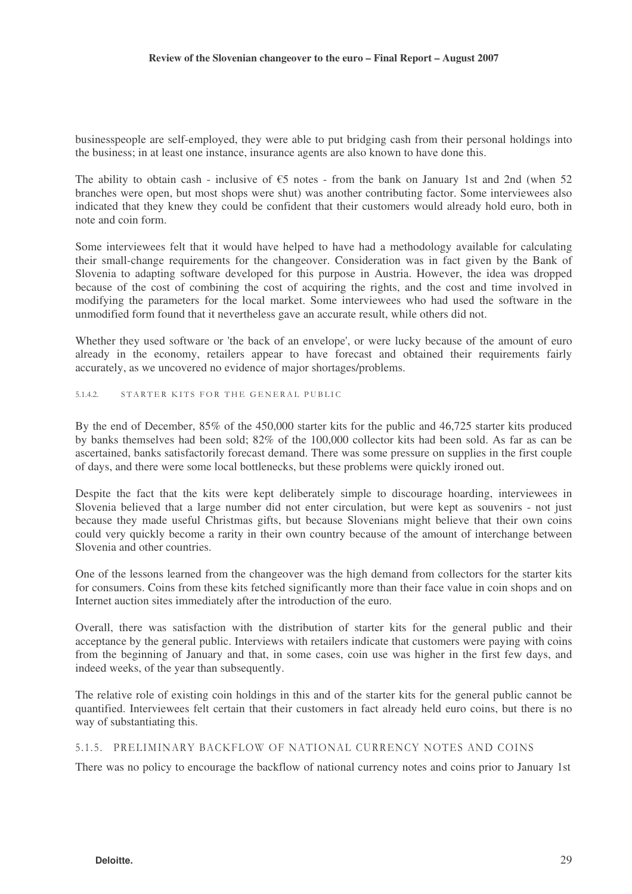businesspeople are self-employed, they were able to put bridging cash from their personal holdings into the business; in at least one instance, insurance agents are also known to have done this.

The ability to obtain cash - inclusive of  $\epsilon$ 5 notes - from the bank on January 1st and 2nd (when 52 branches were open, but most shops were shut) was another contributing factor. Some interviewees also indicated that they knew they could be confident that their customers would already hold euro, both in note and coin form.

Some interviewees felt that it would have helped to have had a methodology available for calculating their small-change requirements for the changeover. Consideration was in fact given by the Bank of Slovenia to adapting software developed for this purpose in Austria. However, the idea was dropped because of the cost of combining the cost of acquiring the rights, and the cost and time involved in modifying the parameters for the local market. Some interviewees who had used the software in the unmodified form found that it nevertheless gave an accurate result, while others did not.

Whether they used software or 'the back of an envelope', or were lucky because of the amount of euro already in the economy, retailers appear to have forecast and obtained their requirements fairly accurately, as we uncovered no evidence of major shortages/problems.

#### 5.1.4.2. STARTER KITS FOR THE GENERAL PUBLIC

By the end of December, 85% of the 450,000 starter kits for the public and 46,725 starter kits produced by banks themselves had been sold; 82% of the 100,000 collector kits had been sold. As far as can be ascertained, banks satisfactorily forecast demand. There was some pressure on supplies in the first couple of days, and there were some local bottlenecks, but these problems were quickly ironed out.

Despite the fact that the kits were kept deliberately simple to discourage hoarding, interviewees in Slovenia believed that a large number did not enter circulation, but were kept as souvenirs - not just because they made useful Christmas gifts, but because Slovenians might believe that their own coins could very quickly become a rarity in their own country because of the amount of interchange between Slovenia and other countries.

One of the lessons learned from the changeover was the high demand from collectors for the starter kits for consumers. Coins from these kits fetched significantly more than their face value in coin shops and on Internet auction sites immediately after the introduction of the euro.

Overall, there was satisfaction with the distribution of starter kits for the general public and their acceptance by the general public. Interviews with retailers indicate that customers were paying with coins from the beginning of January and that, in some cases, coin use was higher in the first few days, and indeed weeks, of the year than subsequently.

The relative role of existing coin holdings in this and of the starter kits for the general public cannot be quantified. Interviewees felt certain that their customers in fact already held euro coins, but there is no way of substantiating this.

#### ---

There was no policy to encourage the backflow of national currency notes and coins prior to January 1st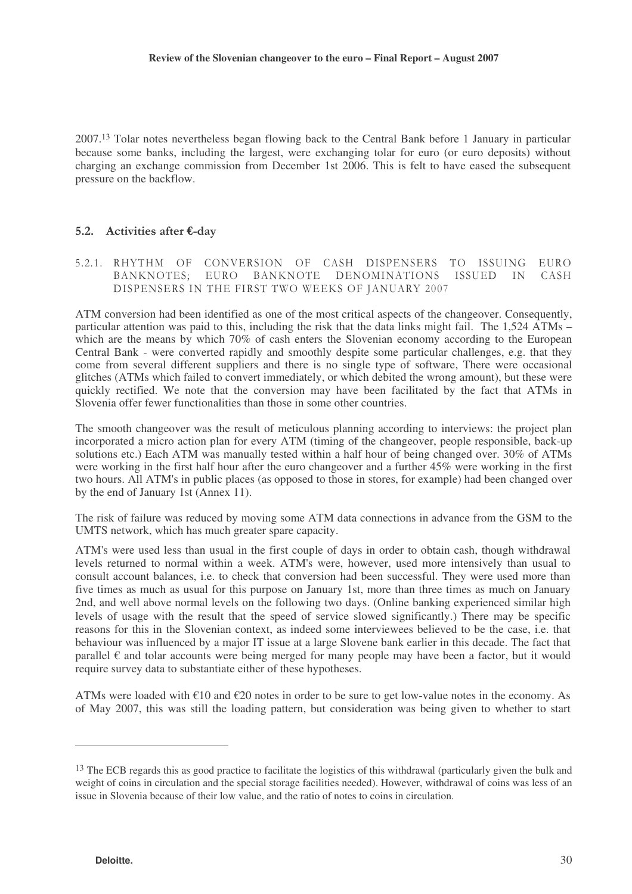2007. <sup>13</sup> Tolar notes nevertheless began flowing back to the Central Bank before 1 January in particular because some banks, including the largest, were exchanging tolar for euro (or euro deposits) without charging an exchange commission from December 1st 2006. This is felt to have eased the subsequent pressure on the backflow.

# 5.2. Activities after  $\epsilon$ -day

5.2.1. RHYTHM OF CONVERSION OF CASH DISPENSERS TO ISSUING EURO BANKNOTES; EURO BANKNOTE DENOMINATIONS ISSUED IN CASH DISPENSERS IN THE FIRST TWO WEEKS OF JANUARY 2007

ATM conversion had been identified as one of the most critical aspects of the changeover. Consequently, particular attention was paid to this, including the risk that the data links might fail. The 1,524 ATMs – which are the means by which 70% of cash enters the Slovenian economy according to the European Central Bank - were converted rapidly and smoothly despite some particular challenges, e.g. that they come from several different suppliers and there is no single type of software, There were occasional glitches (ATMs which failed to convert immediately, or which debited the wrong amount), but these were quickly rectified. We note that the conversion may have been facilitated by the fact that ATMs in Slovenia offer fewer functionalities than those in some other countries.

The smooth changeover was the result of meticulous planning according to interviews: the project plan incorporated a micro action plan for every ATM (timing of the changeover, people responsible, back-up solutions etc.) Each ATM was manually tested within a half hour of being changed over. 30% of ATMs were working in the first half hour after the euro changeover and a further 45% were working in the first two hours. All ATM's in public places (as opposed to those in stores, for example) had been changed over by the end of January 1st (Annex 11).

The risk of failure was reduced by moving some ATM data connections in advance from the GSM to the UMTS network, which has much greater spare capacity.

ATM's were used less than usual in the first couple of days in order to obtain cash, though withdrawal levels returned to normal within a week. ATM's were, however, used more intensively than usual to consult account balances, i.e. to check that conversion had been successful. They were used more than five times as much as usual for this purpose on January 1st, more than three times as much on January 2nd, and well above normal levels on the following two days. (Online banking experienced similar high levels of usage with the result that the speed of service slowed significantly.) There may be specific reasons for this in the Slovenian context, as indeed some interviewees believed to be the case, i.e. that behaviour was influenced by a major IT issue at a large Slovene bank earlier in this decade. The fact that parallel  $\epsilon$  and tolar accounts were being merged for many people may have been a factor, but it would require survey data to substantiate either of these hypotheses.

ATMs were loaded with €10 and €20 notes in order to be sure to get low-value notes in the economy. As of May 2007, this was still the loading pattern, but consideration was being given to whether to start

<sup>&</sup>lt;sup>13</sup> The ECB regards this as good practice to facilitate the logistics of this withdrawal (particularly given the bulk and weight of coins in circulation and the special storage facilities needed). However, withdrawal of coins was less of an issue in Slovenia because of their low value, and the ratio of notes to coins in circulation.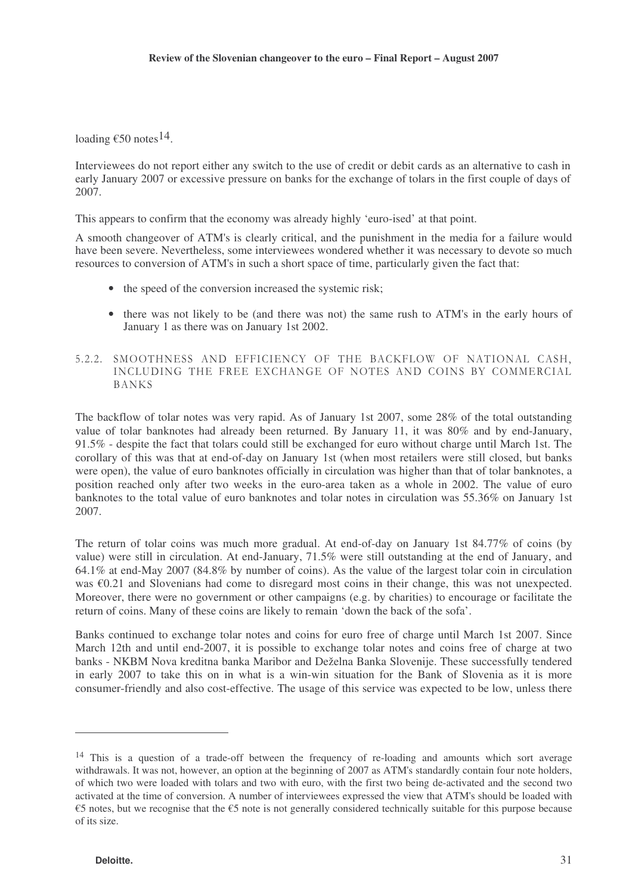loading  $\epsilon$ 50 notes  $^{14}$ .

Interviewees do not report either any switch to the use of credit or debit cards as an alternative to cash in early January 2007 or excessive pressure on banks for the exchange of tolars in the first couple of days of 2007.

This appears to confirm that the economy was already highly 'euro-ised' at that point.

A smooth changeover of ATM's is clearly critical, and the punishment in the media for a failure would have been severe. Nevertheless, some interviewees wondered whether it was necessary to devote so much resources to conversion of ATM's in such a short space of time, particularly given the fact that:

- the speed of the conversion increased the systemic risk;
- there was not likely to be (and there was not) the same rush to ATM's in the early hours of January 1 as there was on January 1st 2002.
- 5.2.2. SMOOTHNESS AND EFFICIENCY OF THE BACKFLOW OF NATIONAL CASH, INCLUDING THE FREE EXCHANGE OF NOTES AND COINS BY COMMERCIAL **BANKS**

The backflow of tolar notes was very rapid. As of January 1st 2007, some 28% of the total outstanding value of tolar banknotes had already been returned. By January 11, it was 80% and by end-January, 91.5% - despite the fact that tolars could still be exchanged for euro without charge until March 1st. The corollary of this was that at end-of-day on January 1st (when most retailers were still closed, but banks were open), the value of euro banknotes officially in circulation was higher than that of tolar banknotes, a position reached only after two weeks in the euro-area taken as a whole in 2002. The value of euro banknotes to the total value of euro banknotes and tolar notes in circulation was 55.36% on January 1st 2007.

The return of tolar coins was much more gradual. At end-of-day on January 1st 84.77% of coins (by value) were still in circulation. At end-January, 71.5% were still outstanding at the end of January, and 64.1% at end-May 2007 (84.8% by number of coins). As the value of the largest tolar coin in circulation was €0.21 and Slovenians had come to disregard most coins in their change, this was not unexpected. Moreover, there were no government or other campaigns (e.g. by charities) to encourage or facilitate the return of coins. Many of these coins are likely to remain 'down the back of the sofa'.

Banks continued to exchange tolar notes and coins for euro free of charge until March 1st 2007. Since March 12th and until end-2007, it is possible to exchange tolar notes and coins free of charge at two banks - NKBM Nova kreditna banka Maribor and Deželna Banka Slovenije. These successfully tendered in early 2007 to take this on in what is a win-win situation for the Bank of Slovenia as it is more consumer-friendly and also cost-effective. The usage of this service was expected to be low, unless there

<sup>14</sup> This is a question of a trade-off between the frequency of re-loading and amounts which sort average withdrawals. It was not, however, an option at the beginning of 2007 as ATM's standardly contain four note holders, of which two were loaded with tolars and two with euro, with the first two being de-activated and the second two activated at the time of conversion. A number of interviewees expressed the view that ATM's should be loaded with €5 notes, but we recognise that the €5 note is not generally considered technically suitable for this purpose because of its size.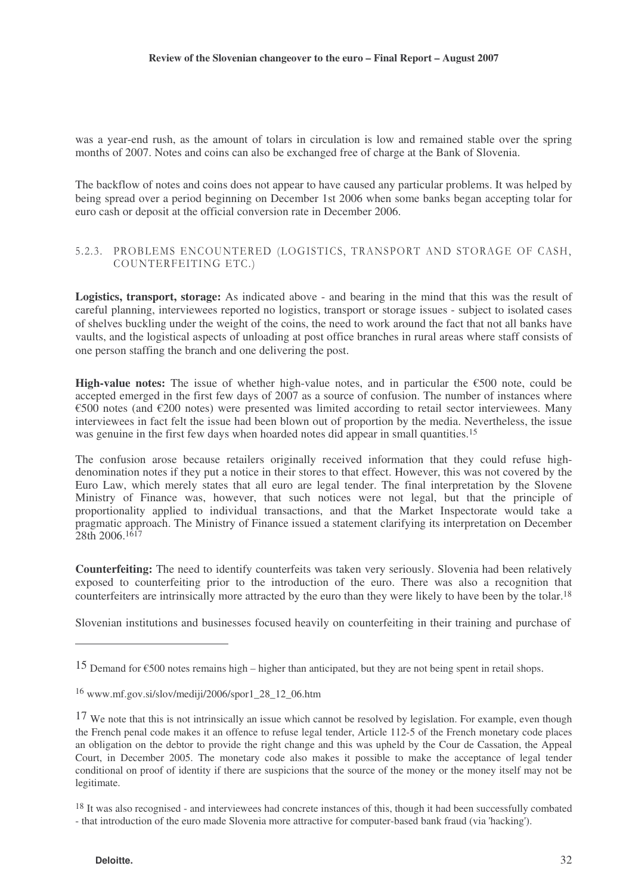was a year-end rush, as the amount of tolars in circulation is low and remained stable over the spring months of 2007. Notes and coins can also be exchanged free of charge at the Bank of Slovenia.

The backflow of notes and coins does not appear to have caused any particular problems. It was helped by being spread over a period beginning on December 1st 2006 when some banks began accepting tolar for euro cash or deposit at the official conversion rate in December 2006.

### 5.2.3. PROBLEMS ENCOUNTERED (LOGISTICS, TRANSPORT AND STORAGE OF CASH, COUNTERFEITING ETC.)

**Logistics, transport, storage:** As indicated above - and bearing in the mind that this was the result of careful planning, interviewees reported no logistics, transport or storage issues - subject to isolated cases of shelves buckling under the weight of the coins, the need to work around the fact that not all banks have vaults, and the logistical aspects of unloading at post office branches in rural areas where staff consists of one person staffing the branch and one delivering the post.

**High-value notes:** The issue of whether high-value notes, and in particular the €500 note, could be accepted emerged in the first few days of 2007 as a source of confusion. The number of instances where €500 notes (and €200 notes) were presented was limited according to retail sector interviewees. Many interviewees in fact felt the issue had been blown out of proportion by the media. Nevertheless, the issue was genuine in the first few days when hoarded notes did appear in small quantities. 15

The confusion arose because retailers originally received information that they could refuse highdenomination notes if they put a notice in their stores to that effect. However, this was not covered by the Euro Law, which merely states that all euro are legal tender. The final interpretation by the Slovene Ministry of Finance was, however, that such notices were not legal, but that the principle of proportionality applied to individual transactions, and that the Market Inspectorate would take a pragmatic approach. The Ministry of Finance issued a statement clarifying its interpretation on December 28th 2006. 1617

**Counterfeiting:** The need to identify counterfeits was taken very seriously. Slovenia had been relatively exposed to counterfeiting prior to the introduction of the euro. There was also a recognition that counterfeiters are intrinsically more attracted by the euro than they were likely to have been by the tolar. 18

Slovenian institutions and businesses focused heavily on counterfeiting in their training and purchase of

<sup>15</sup> Demand for  $\epsilon$ 500 notes remains high – higher than anticipated, but they are not being spent in retail shops.

<sup>16</sup> www.mf.gov.si/slov/mediji/2006/spor1\_28\_12\_06.htm

<sup>&</sup>lt;sup>17</sup> We note that this is not intrinsically an issue which cannot be resolved by legislation. For example, even though the French penal code makes it an offence to refuse legal tender, Article 112-5 of the French monetary code places an obligation on the debtor to provide the right change and this was upheld by the Cour de Cassation, the Appeal Court, in December 2005. The monetary code also makes it possible to make the acceptance of legal tender conditional on proof of identity if there are suspicions that the source of the money or the money itself may not be legitimate.

<sup>&</sup>lt;sup>18</sup> It was also recognised - and interviewees had concrete instances of this, though it had been successfully combated - that introduction of the euro made Slovenia more attractive for computer-based bank fraud (via 'hacking').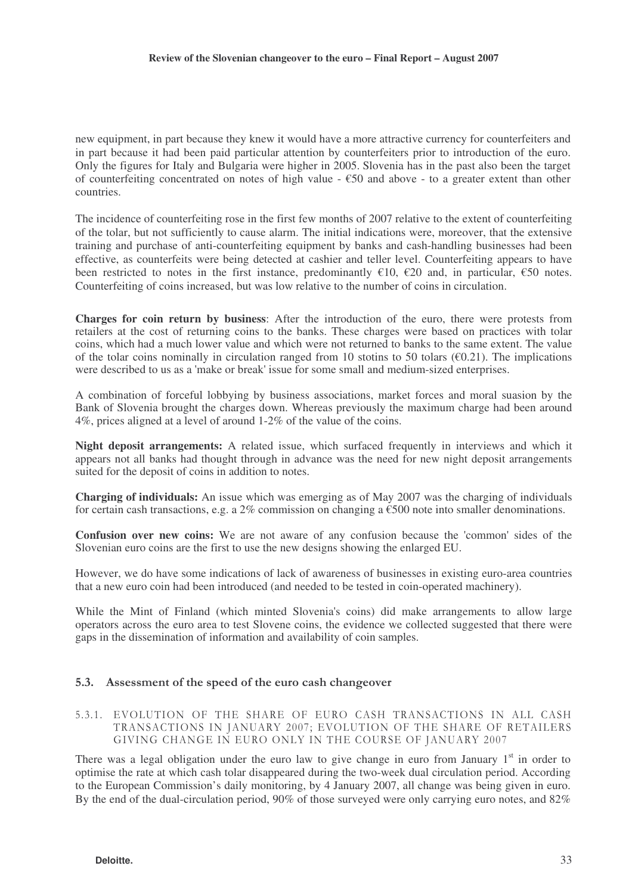new equipment, in part because they knew it would have a more attractive currency for counterfeiters and in part because it had been paid particular attention by counterfeiters prior to introduction of the euro. Only the figures for Italy and Bulgaria were higher in 2005. Slovenia has in the past also been the target of counterfeiting concentrated on notes of high value  $- \epsilon$ 50 and above - to a greater extent than other countries.

The incidence of counterfeiting rose in the first few months of 2007 relative to the extent of counterfeiting of the tolar, but not sufficiently to cause alarm. The initial indications were, moreover, that the extensive training and purchase of anti-counterfeiting equipment by banks and cash-handling businesses had been effective, as counterfeits were being detected at cashier and teller level. Counterfeiting appears to have been restricted to notes in the first instance, predominantly  $\epsilon$ 10,  $\epsilon$ 20 and, in particular,  $\epsilon$ 50 notes. Counterfeiting of coins increased, but was low relative to the number of coins in circulation.

**Charges for coin return by business**: After the introduction of the euro, there were protests from retailers at the cost of returning coins to the banks. These charges were based on practices with tolar coins, which had a much lower value and which were not returned to banks to the same extent. The value of the tolar coins nominally in circulation ranged from 10 stotins to 50 tolars ( $\epsilon$ 0.21). The implications were described to us as a 'make or break' issue for some small and medium-sized enterprises.

A combination of forceful lobbying by business associations, market forces and moral suasion by the Bank of Slovenia brought the charges down. Whereas previously the maximum charge had been around 4%, prices aligned at a level of around 1-2% of the value of the coins.

**Night deposit arrangements:** A related issue, which surfaced frequently in interviews and which it appears not all banks had thought through in advance was the need for new night deposit arrangements suited for the deposit of coins in addition to notes.

**Charging of individuals:** An issue which was emerging as of May 2007 was the charging of individuals for certain cash transactions, e.g. a 2% commission on changing a  $\epsilon$ 500 note into smaller denominations.

**Confusion over new coins:** We are not aware of any confusion because the 'common' sides of the Slovenian euro coins are the first to use the new designs showing the enlarged EU.

However, we do have some indications of lack of awareness of businesses in existing euro-area countries that a new euro coin had been introduced (and needed to be tested in coin-operated machinery).

While the Mint of Finland (which minted Slovenia's coins) did make arrangements to allow large operators across the euro area to test Slovene coins, the evidence we collected suggested that there were gaps in the dissemination of information and availability of coin samples.

### 5.3. Assessment of the speed of the euro cash changeover

#### 5.3.1. EVOLUTION OF THE SHARE OF EURO CASH TRANSACTIONS IN ALL CASH TRANSACTIONS IN JANUARY 2007; EVOLUTION OF THE SHARE OF RETAILERS GIVING CHANGE IN EURO ONLY IN THE COURSE OF JANUARY 2007

There was a legal obligation under the euro law to give change in euro from January 1<sup>st</sup> in order to optimise the rate at which cash tolar disappeared during the two-week dual circulation period. According to the European Commission's daily monitoring, by 4 January 2007, all change was being given in euro. By the end of the dual-circulation period, 90% of those surveyed were only carrying euro notes, and 82%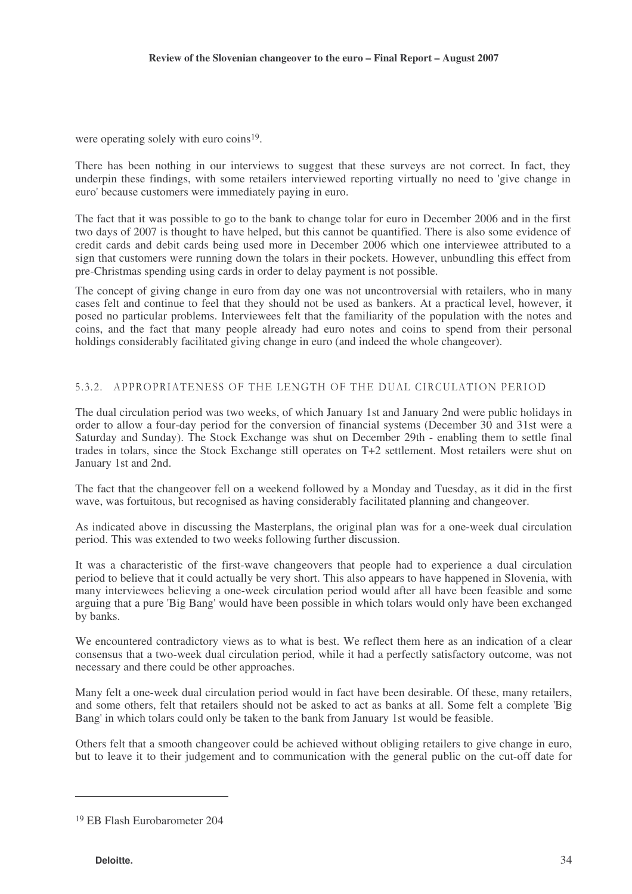were operating solely with euro coins<sup>19</sup>.

There has been nothing in our interviews to suggest that these surveys are not correct. In fact, they underpin these findings, with some retailers interviewed reporting virtually no need to 'give change in euro' because customers were immediately paying in euro.

The fact that it was possible to go to the bank to change tolar for euro in December 2006 and in the first two days of 2007 is thought to have helped, but this cannot be quantified. There is also some evidence of credit cards and debit cards being used more in December 2006 which one interviewee attributed to a sign that customers were running down the tolars in their pockets. However, unbundling this effect from pre-Christmas spending using cards in order to delay payment is not possible.

The concept of giving change in euro from day one was not uncontroversial with retailers, who in many cases felt and continue to feel that they should not be used as bankers. At a practical level, however, it posed no particular problems. Interviewees felt that the familiarity of the population with the notes and coins, and the fact that many people already had euro notes and coins to spend from their personal holdings considerably facilitated giving change in euro (and indeed the whole changeover).

# 5.3.2. APPROPRIATENESS OF THE LENGTH OF THE DUAL CIRCULATION PERIOD

The dual circulation period was two weeks, of which January 1st and January 2nd were public holidays in order to allow a four-day period for the conversion of financial systems (December 30 and 31st were a Saturday and Sunday). The Stock Exchange was shut on December 29th - enabling them to settle final trades in tolars, since the Stock Exchange still operates on T+2 settlement. Most retailers were shut on January 1st and 2nd.

The fact that the changeover fell on a weekend followed by a Monday and Tuesday, as it did in the first wave, was fortuitous, but recognised as having considerably facilitated planning and changeover.

As indicated above in discussing the Masterplans, the original plan was for a one-week dual circulation period. This was extended to two weeks following further discussion.

It was a characteristic of the first-wave changeovers that people had to experience a dual circulation period to believe that it could actually be very short. This also appears to have happened in Slovenia, with many interviewees believing a one-week circulation period would after all have been feasible and some arguing that a pure 'Big Bang' would have been possible in which tolars would only have been exchanged by banks.

We encountered contradictory views as to what is best. We reflect them here as an indication of a clear consensus that a two-week dual circulation period, while it had a perfectly satisfactory outcome, was not necessary and there could be other approaches.

Many felt a one-week dual circulation period would in fact have been desirable. Of these, many retailers, and some others, felt that retailers should not be asked to act as banks at all. Some felt a complete 'Big Bang' in which tolars could only be taken to the bank from January 1st would be feasible.

Others felt that a smooth changeover could be achieved without obliging retailers to give change in euro, but to leave it to their judgement and to communication with the general public on the cut-off date for

<sup>19</sup> EB Flash Eurobarometer 204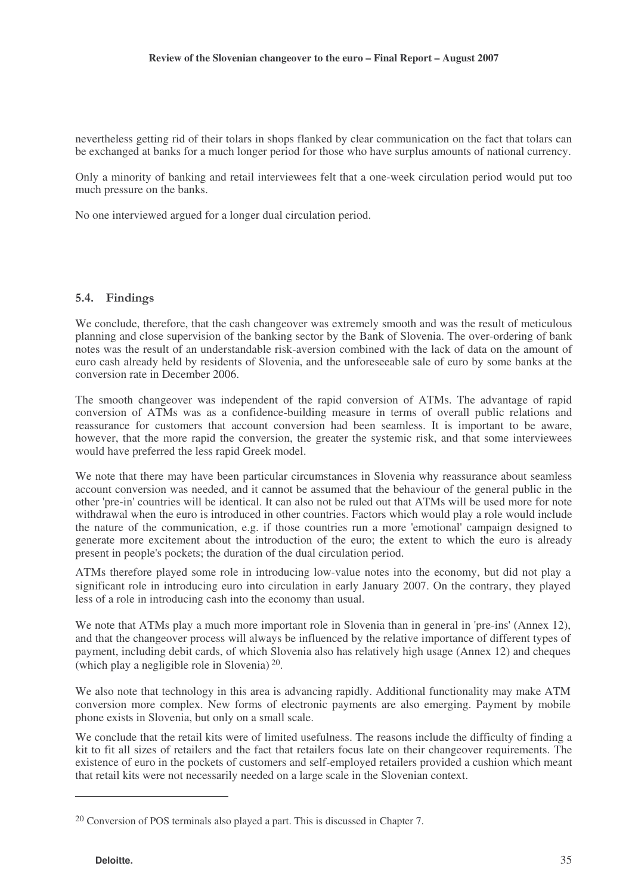nevertheless getting rid of their tolars in shops flanked by clear communication on the fact that tolars can be exchanged at banks for a much longer period for those who have surplus amounts of national currency.

Only a minority of banking and retail interviewees felt that a one-week circulation period would put too much pressure on the banks.

No one interviewed argued for a longer dual circulation period.

### 5.4. Findings

We conclude, therefore, that the cash changeover was extremely smooth and was the result of meticulous planning and close supervision of the banking sector by the Bank of Slovenia. The over-ordering of bank notes was the result of an understandable risk-aversion combined with the lack of data on the amount of euro cash already held by residents of Slovenia, and the unforeseeable sale of euro by some banks at the conversion rate in December 2006.

The smooth changeover was independent of the rapid conversion of ATMs. The advantage of rapid conversion of ATMs was as a confidence-building measure in terms of overall public relations and reassurance for customers that account conversion had been seamless. It is important to be aware, however, that the more rapid the conversion, the greater the systemic risk, and that some interviewees would have preferred the less rapid Greek model.

We note that there may have been particular circumstances in Slovenia why reassurance about seamless account conversion was needed, and it cannot be assumed that the behaviour of the general public in the other 'pre-in' countries will be identical. It can also not be ruled out that ATMs will be used more for note withdrawal when the euro is introduced in other countries. Factors which would play a role would include the nature of the communication, e.g. if those countries run a more 'emotional' campaign designed to generate more excitement about the introduction of the euro; the extent to which the euro is already present in people's pockets; the duration of the dual circulation period.

ATMs therefore played some role in introducing low-value notes into the economy, but did not play a significant role in introducing euro into circulation in early January 2007. On the contrary, they played less of a role in introducing cash into the economy than usual.

We note that ATMs play a much more important role in Slovenia than in general in 'pre-ins' (Annex 12), and that the changeover process will always be influenced by the relative importance of different types of payment, including debit cards, of which Slovenia also has relatively high usage (Annex 12) and cheques (which play a negligible role in Slovenia) 20 .

We also note that technology in this area is advancing rapidly. Additional functionality may make ATM conversion more complex. New forms of electronic payments are also emerging. Payment by mobile phone exists in Slovenia, but only on a small scale.

We conclude that the retail kits were of limited usefulness. The reasons include the difficulty of finding a kit to fit all sizes of retailers and the fact that retailers focus late on their changeover requirements. The existence of euro in the pockets of customers and self-employed retailers provided a cushion which meant that retail kits were not necessarily needed on a large scale in the Slovenian context.

<sup>20</sup> Conversion of POS terminals also played a part. This is discussed in Chapter 7.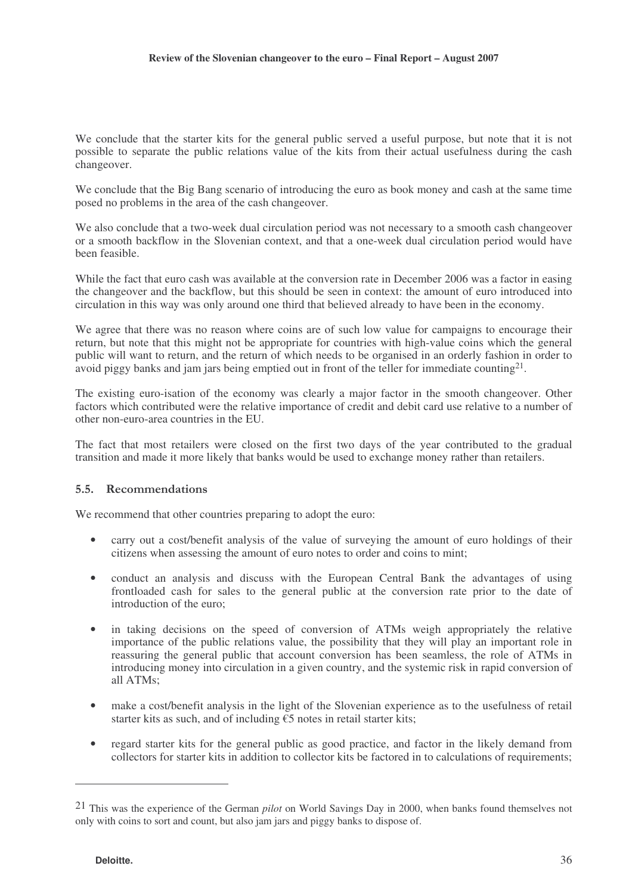We conclude that the starter kits for the general public served a useful purpose, but note that it is not possible to separate the public relations value of the kits from their actual usefulness during the cash changeover.

We conclude that the Big Bang scenario of introducing the euro as book money and cash at the same time posed no problems in the area of the cash changeover.

We also conclude that a two-week dual circulation period was not necessary to a smooth cash changeover or a smooth backflow in the Slovenian context, and that a one-week dual circulation period would have been feasible.

While the fact that euro cash was available at the conversion rate in December 2006 was a factor in easing the changeover and the backflow, but this should be seen in context: the amount of euro introduced into circulation in this way was only around one third that believed already to have been in the economy.

We agree that there was no reason where coins are of such low value for campaigns to encourage their return, but note that this might not be appropriate for countries with high-value coins which the general public will want to return, and the return of which needs to be organised in an orderly fashion in order to avoid piggy banks and jam jars being emptied out in front of the teller for immediate counting<sup>21</sup>.

The existing euro-isation of the economy was clearly a major factor in the smooth changeover. Other factors which contributed were the relative importance of credit and debit card use relative to a number of other non-euro-area countries in the EU.

The fact that most retailers were closed on the first two days of the year contributed to the gradual transition and made it more likely that banks would be used to exchange money rather than retailers.

### 5.5. Recommendations

We recommend that other countries preparing to adopt the euro:

- carry out a cost/benefit analysis of the value of surveying the amount of euro holdings of their citizens when assessing the amount of euro notes to order and coins to mint;
- conduct an analysis and discuss with the European Central Bank the advantages of using frontloaded cash for sales to the general public at the conversion rate prior to the date of introduction of the euro;
- in taking decisions on the speed of conversion of ATMs weigh appropriately the relative importance of the public relations value, the possibility that they will play an important role in reassuring the general public that account conversion has been seamless, the role of ATMs in introducing money into circulation in a given country, and the systemic risk in rapid conversion of all ATMs;
- make a cost/benefit analysis in the light of the Slovenian experience as to the usefulness of retail starter kits as such, and of including  $\epsilon$ 5 notes in retail starter kits;
- regard starter kits for the general public as good practice, and factor in the likely demand from collectors for starter kits in addition to collector kits be factored in to calculations of requirements;

<sup>21</sup> This was the experience of the German *pilot* on World Savings Day in 2000, when banks found themselves not only with coins to sort and count, but also jam jars and piggy banks to dispose of.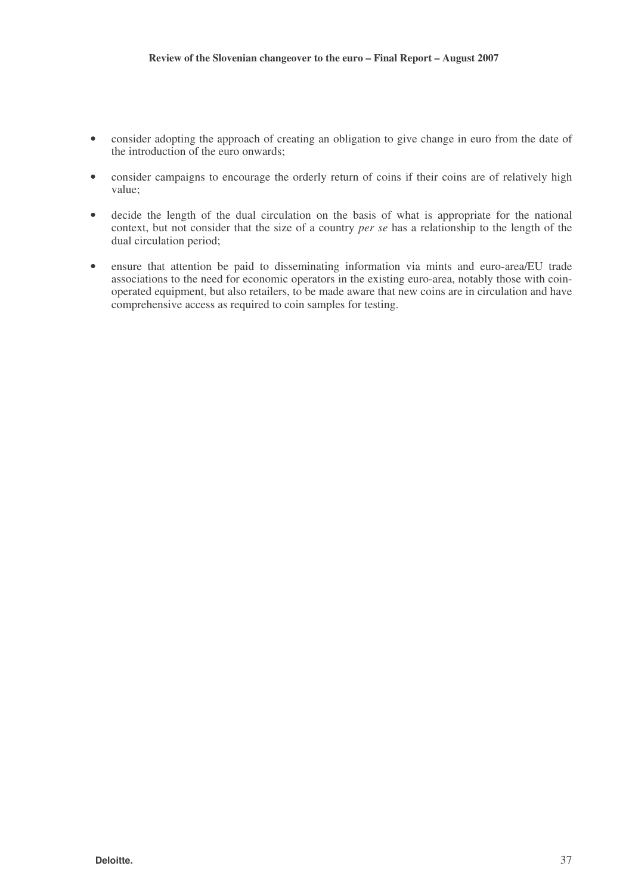- consider adopting the approach of creating an obligation to give change in euro from the date of the introduction of the euro onwards;
- consider campaigns to encourage the orderly return of coins if their coins are of relatively high value;
- decide the length of the dual circulation on the basis of what is appropriate for the national context, but not consider that the size of a country *per se* has a relationship to the length of the dual circulation period;
- ensure that attention be paid to disseminating information via mints and euro-area/EU trade associations to the need for economic operators in the existing euro-area, notably those with coinoperated equipment, but also retailers, to be made aware that new coins are in circulation and have comprehensive access as required to coin samples for testing.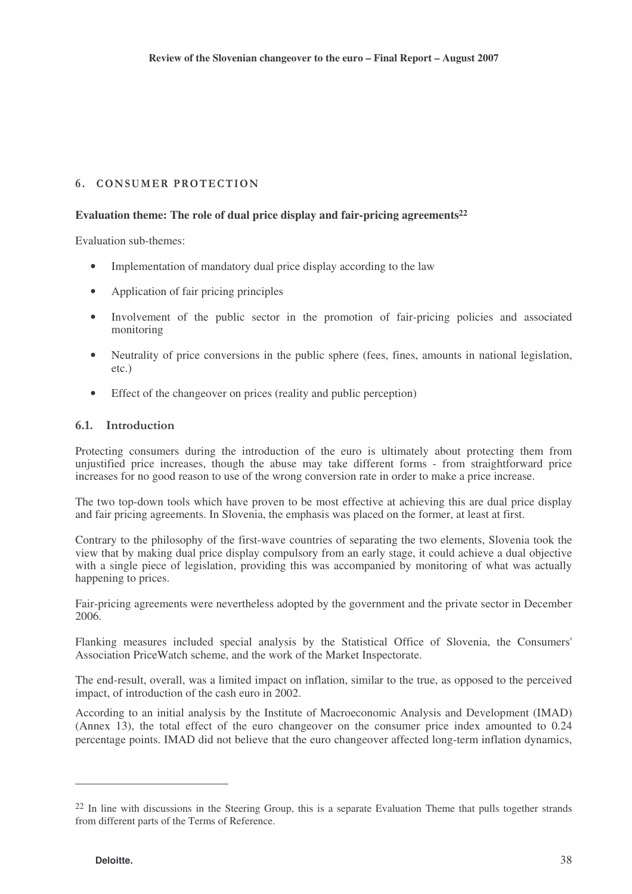# 6. CONSUMER PROTECTION

# **Evaluation theme: The role of dual price display and fair-pricing agreements 22**

Evaluation sub-themes:

- Implementation of mandatory dual price display according to the law
- Application of fair pricing principles
- Involvement of the public sector in the promotion of fair-pricing policies and associated monitoring
- Neutrality of price conversions in the public sphere (fees, fines, amounts in national legislation, etc.)
- Effect of the changeover on prices (reality and public perception)

## 6.1. Introduction

Protecting consumers during the introduction of the euro is ultimately about protecting them from unjustified price increases, though the abuse may take different forms - from straightforward price increases for no good reason to use of the wrong conversion rate in order to make a price increase.

The two top-down tools which have proven to be most effective at achieving this are dual price display and fair pricing agreements. In Slovenia, the emphasis was placed on the former, at least at first.

Contrary to the philosophy of the first-wave countries of separating the two elements, Slovenia took the view that by making dual price display compulsory from an early stage, it could achieve a dual objective with a single piece of legislation, providing this was accompanied by monitoring of what was actually happening to prices.

Fair-pricing agreements were nevertheless adopted by the government and the private sector in December 2006.

Flanking measures included special analysis by the Statistical Office of Slovenia, the Consumers' Association PriceWatch scheme, and the work of the Market Inspectorate.

The end-result, overall, was a limited impact on inflation, similar to the true, as opposed to the perceived impact, of introduction of the cash euro in 2002.

According to an initial analysis by the Institute of Macroeconomic Analysis and Development (IMAD) (Annex 13), the total effect of the euro changeover on the consumer price index amounted to 0.24 percentage points. IMAD did not believe that the euro changeover affected long-term inflation dynamics,

<sup>&</sup>lt;sup>22</sup> In line with discussions in the Steering Group, this is a separate Evaluation Theme that pulls together strands from different parts of the Terms of Reference.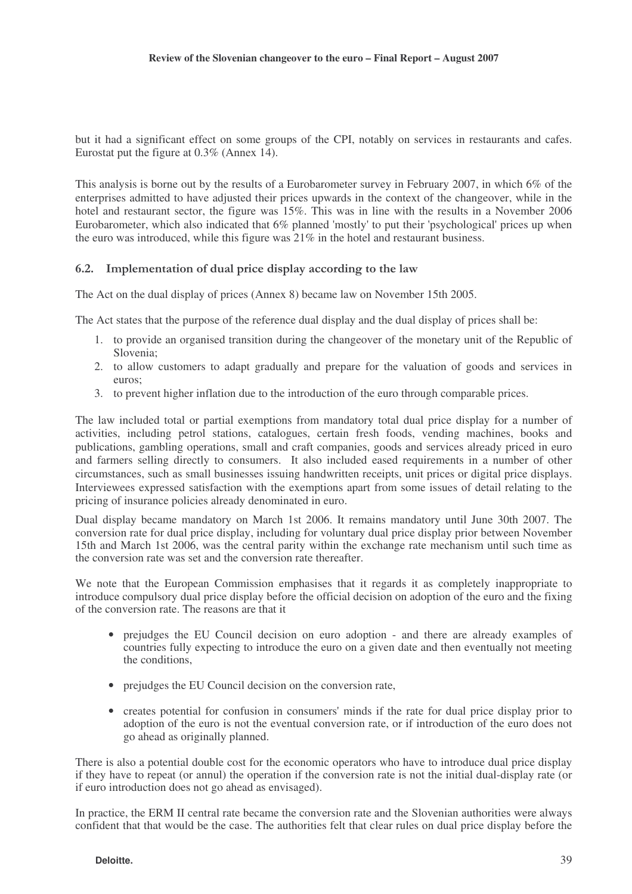but it had a significant effect on some groups of the CPI, notably on services in restaurants and cafes. Eurostat put the figure at 0.3% (Annex 14).

This analysis is borne out by the results of a Eurobarometer survey in February 2007, in which 6% of the enterprises admitted to have adjusted their prices upwards in the context of the changeover, while in the hotel and restaurant sector, the figure was 15%. This was in line with the results in a November 2006 Eurobarometer, which also indicated that 6% planned 'mostly' to put their 'psychological' prices up when the euro was introduced, while this figure was 21% in the hotel and restaurant business.

### 6.2. Implementation of dual price display according to the law

The Act on the dual display of prices (Annex 8) became law on November 15th 2005.

The Act states that the purpose of the reference dual display and the dual display of prices shall be:

- 1. to provide an organised transition during the changeover of the monetary unit of the Republic of Slovenia;
- 2. to allow customers to adapt gradually and prepare for the valuation of goods and services in euros;
- 3. to prevent higher inflation due to the introduction of the euro through comparable prices.

The law included total or partial exemptions from mandatory total dual price display for a number of activities, including petrol stations, catalogues, certain fresh foods, vending machines, books and publications, gambling operations, small and craft companies, goods and services already priced in euro and farmers selling directly to consumers. It also included eased requirements in a number of other circumstances, such as small businesses issuing handwritten receipts, unit prices or digital price displays. Interviewees expressed satisfaction with the exemptions apart from some issues of detail relating to the pricing of insurance policies already denominated in euro.

Dual display became mandatory on March 1st 2006. It remains mandatory until June 30th 2007. The conversion rate for dual price display, including for voluntary dual price display prior between November 15th and March 1st 2006, was the central parity within the exchange rate mechanism until such time as the conversion rate was set and the conversion rate thereafter.

We note that the European Commission emphasises that it regards it as completely inappropriate to introduce compulsory dual price display before the official decision on adoption of the euro and the fixing of the conversion rate. The reasons are that it

- prejudges the EU Council decision on euro adoption and there are already examples of countries fully expecting to introduce the euro on a given date and then eventually not meeting the conditions,
- prejudges the EU Council decision on the conversion rate,
- creates potential for confusion in consumers' minds if the rate for dual price display prior to adoption of the euro is not the eventual conversion rate, or if introduction of the euro does not go ahead as originally planned.

There is also a potential double cost for the economic operators who have to introduce dual price display if they have to repeat (or annul) the operation if the conversion rate is not the initial dual-display rate (or if euro introduction does not go ahead as envisaged).

In practice, the ERM II central rate became the conversion rate and the Slovenian authorities were always confident that that would be the case. The authorities felt that clear rules on dual price display before the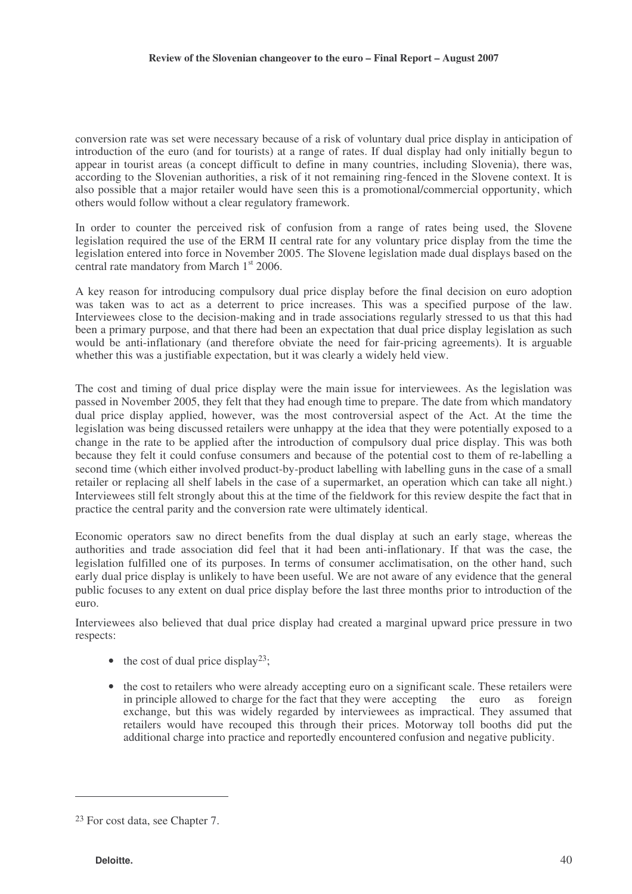conversion rate was set were necessary because of a risk of voluntary dual price display in anticipation of introduction of the euro (and for tourists) at a range of rates. If dual display had only initially begun to appear in tourist areas (a concept difficult to define in many countries, including Slovenia), there was, according to the Slovenian authorities, a risk of it not remaining ring-fenced in the Slovene context. It is also possible that a major retailer would have seen this is a promotional/commercial opportunity, which others would follow without a clear regulatory framework.

In order to counter the perceived risk of confusion from a range of rates being used, the Slovene legislation required the use of the ERM II central rate for any voluntary price display from the time the legislation entered into force in November 2005. The Slovene legislation made dual displays based on the central rate mandatory from March 1<sup>st</sup> 2006.

A key reason for introducing compulsory dual price display before the final decision on euro adoption was taken was to act as a deterrent to price increases. This was a specified purpose of the law. Interviewees close to the decision-making and in trade associations regularly stressed to us that this had been a primary purpose, and that there had been an expectation that dual price display legislation as such would be anti-inflationary (and therefore obviate the need for fair-pricing agreements). It is arguable whether this was a justifiable expectation, but it was clearly a widely held view.

The cost and timing of dual price display were the main issue for interviewees. As the legislation was passed in November 2005, they felt that they had enough time to prepare. The date from which mandatory dual price display applied, however, was the most controversial aspect of the Act. At the time the legislation was being discussed retailers were unhappy at the idea that they were potentially exposed to a change in the rate to be applied after the introduction of compulsory dual price display. This was both because they felt it could confuse consumers and because of the potential cost to them of re-labelling a second time (which either involved product-by-product labelling with labelling guns in the case of a small retailer or replacing all shelf labels in the case of a supermarket, an operation which can take all night.) Interviewees still felt strongly about this at the time of the fieldwork for this review despite the fact that in practice the central parity and the conversion rate were ultimately identical.

Economic operators saw no direct benefits from the dual display at such an early stage, whereas the authorities and trade association did feel that it had been anti-inflationary. If that was the case, the legislation fulfilled one of its purposes. In terms of consumer acclimatisation, on the other hand, such early dual price display is unlikely to have been useful. We are not aware of any evidence that the general public focuses to any extent on dual price display before the last three months prior to introduction of the euro.

Interviewees also believed that dual price display had created a marginal upward price pressure in two respects:

- the cost of dual price display<sup>23</sup>;
- the cost to retailers who were already accepting euro on a significant scale. These retailers were in principle allowed to charge for the fact that they were accepting the euro as foreign exchange, but this was widely regarded by interviewees as impractical. They assumed that retailers would have recouped this through their prices. Motorway toll booths did put the additional charge into practice and reportedly encountered confusion and negative publicity.

<sup>23</sup> For cost data, see Chapter 7.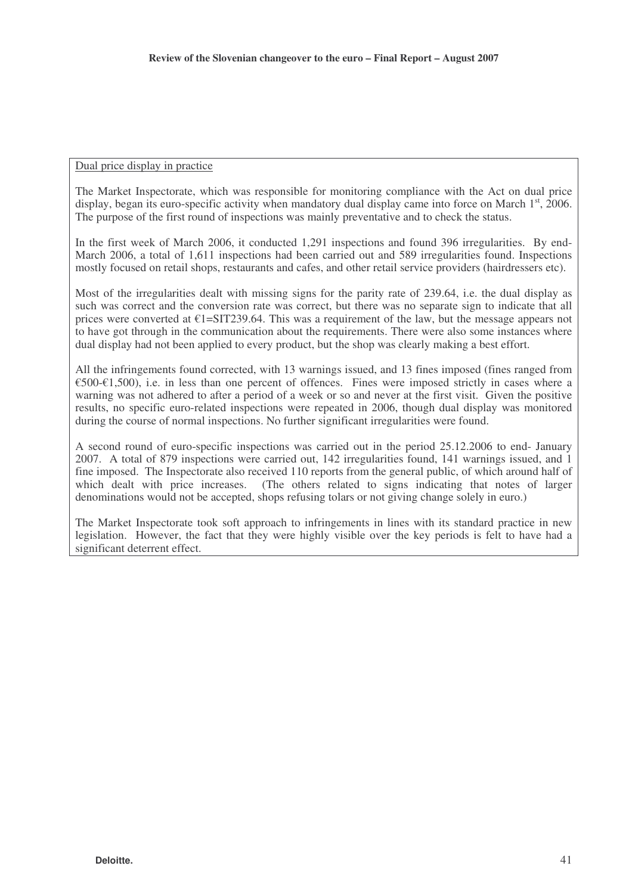#### Dual price display in practice

The Market Inspectorate, which was responsible for monitoring compliance with the Act on dual price display, began its euro-specific activity when mandatory dual display came into force on March  $1<sup>st</sup>$ , 2006. The purpose of the first round of inspections was mainly preventative and to check the status.

In the first week of March 2006, it conducted 1,291 inspections and found 396 irregularities. By end-March 2006, a total of 1,611 inspections had been carried out and 589 irregularities found. Inspections mostly focused on retail shops, restaurants and cafes, and other retail service providers (hairdressers etc).

Most of the irregularities dealt with missing signs for the parity rate of 239.64, i.e. the dual display as such was correct and the conversion rate was correct, but there was no separate sign to indicate that all prices were converted at  $E1 = SIT239.64$ . This was a requirement of the law, but the message appears not to have got through in the communication about the requirements. There were also some instances where dual display had not been applied to every product, but the shop was clearly making a best effort.

All the infringements found corrected, with 13 warnings issued, and 13 fines imposed (fines ranged from €500-€1,500), i.e. in less than one percent of offences. Fines were imposed strictly in cases where a warning was not adhered to after a period of a week or so and never at the first visit. Given the positive results, no specific euro-related inspections were repeated in 2006, though dual display was monitored during the course of normal inspections. No further significant irregularities were found.

A second round of euro-specific inspections was carried out in the period 25.12.2006 to end- January 2007. A total of 879 inspections were carried out, 142 irregularities found, 141 warnings issued, and 1 fine imposed. The Inspectorate also received 110 reports from the general public, of which around half of which dealt with price increases. (The others related to signs indicating that notes of larger denominations would not be accepted, shops refusing tolars or not giving change solely in euro.)

The Market Inspectorate took soft approach to infringements in lines with its standard practice in new legislation. However, the fact that they were highly visible over the key periods is felt to have had a significant deterrent effect.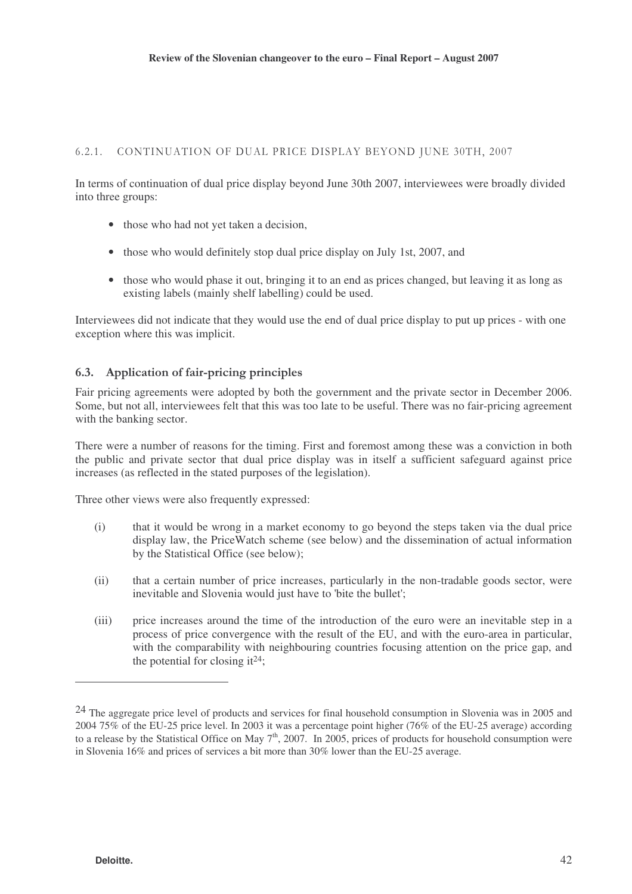#### $6.2.1.$ CONTINUATION OF DUAL PRICE DISPLAY BEYOND JUNE 30TH, 2007

In terms of continuation of dual price display beyond June 30th 2007, interviewees were broadly divided into three groups:

- those who had not yet taken a decision,
- those who would definitely stop dual price display on July 1st, 2007, and
- those who would phase it out, bringing it to an end as prices changed, but leaving it as long as existing labels (mainly shelf labelling) could be used.

Interviewees did not indicate that they would use the end of dual price display to put up prices - with one exception where this was implicit.

#### 6.3. Application of fair-pricing principles

Fair pricing agreements were adopted by both the government and the private sector in December 2006. Some, but not all, interviewees felt that this was too late to be useful. There was no fair-pricing agreement with the banking sector.

There were a number of reasons for the timing. First and foremost among these was a conviction in both the public and private sector that dual price display was in itself a sufficient safeguard against price increases (as reflected in the stated purposes of the legislation).

Three other views were also frequently expressed:

- (i) that it would be wrong in a market economy to go beyond the steps taken via the dual price display law, the PriceWatch scheme (see below) and the dissemination of actual information by the Statistical Office (see below);
- (ii) that a certain number of price increases, particularly in the non-tradable goods sector, were inevitable and Slovenia would just have to 'bite the bullet';
- (iii) price increases around the time of the introduction of the euro were an inevitable step in a process of price convergence with the result of the EU, and with the euro-area in particular, with the comparability with neighbouring countries focusing attention on the price gap, and the potential for closing it<sup>24</sup>;

<sup>&</sup>lt;sup>24</sup> The aggregate price level of products and services for final household consumption in Slovenia was in 2005 and 2004 75% of the EU-25 price level. In 2003 it was a percentage point higher (76% of the EU-25 average) according to a release by the Statistical Office on May  $7<sup>th</sup>$ , 2007. In 2005, prices of products for household consumption were in Slovenia 16% and prices of services a bit more than 30% lower than the EU-25 average.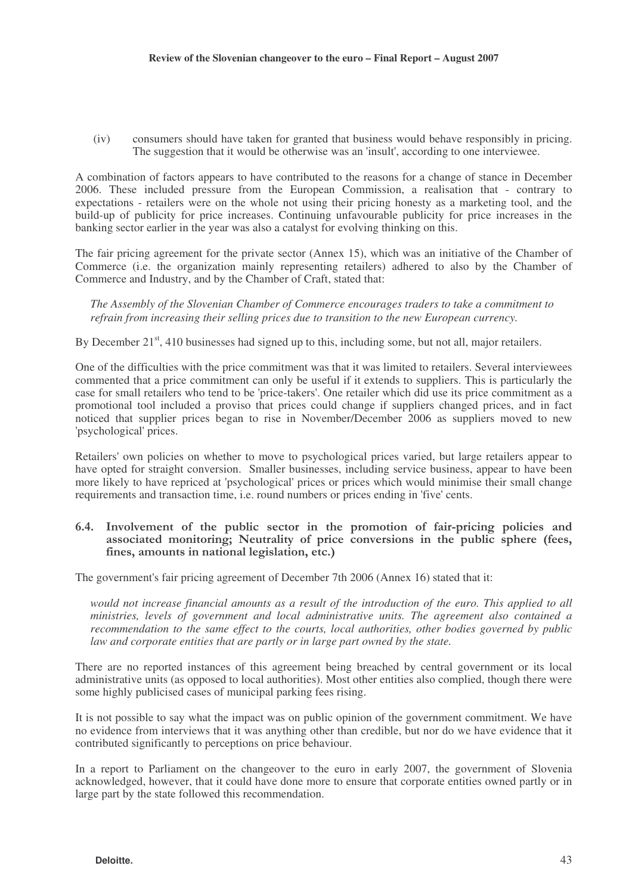(iv) consumers should have taken for granted that business would behave responsibly in pricing. The suggestion that it would be otherwise was an 'insult', according to one interviewee.

A combination of factors appears to have contributed to the reasons for a change of stance in December 2006. These included pressure from the European Commission, a realisation that - contrary to expectations - retailers were on the whole not using their pricing honesty as a marketing tool, and the build-up of publicity for price increases. Continuing unfavourable publicity for price increases in the banking sector earlier in the year was also a catalyst for evolving thinking on this.

The fair pricing agreement for the private sector (Annex 15), which was an initiative of the Chamber of Commerce (i.e. the organization mainly representing retailers) adhered to also by the Chamber of Commerce and Industry, and by the Chamber of Craft, stated that:

*The Assembly of the Slovenian Chamber of Commerce encourages traders to take a commitment to refrain from increasing their selling prices due to transition to the new European currency.*

By December 21<sup>st</sup>, 410 businesses had signed up to this, including some, but not all, major retailers.

One of the difficulties with the price commitment was that it was limited to retailers. Several interviewees commented that a price commitment can only be useful if it extends to suppliers. This is particularly the case for small retailers who tend to be 'price-takers'. One retailer which did use its price commitment as a promotional tool included a proviso that prices could change if suppliers changed prices, and in fact noticed that supplier prices began to rise in November/December 2006 as suppliers moved to new 'psychological' prices.

Retailers' own policies on whether to move to psychological prices varied, but large retailers appear to have opted for straight conversion. Smaller businesses, including service business, appear to have been more likely to have repriced at 'psychological' prices or prices which would minimise their small change requirements and transaction time, i.e. round numbers or prices ending in 'five' cents.

### 6.4. Involvement of the public sector in the promotion of fair-pricing policies and associated monitoring; Neutrality of price conversions in the public sphere (fees, fines, amounts in national legislation, etc.)

The government's fair pricing agreement of December 7th 2006 (Annex 16) stated that it:

would not increase financial amounts as a result of the introduction of the euro. This applied to all *ministries, levels of government and local administrative units. The agreement also contained a recommendation to the same effect to the courts, local authorities, other bodies governed by public law and corporate entities that are partly or in large part owned by the state.*

There are no reported instances of this agreement being breached by central government or its local administrative units (as opposed to local authorities). Most other entities also complied, though there were some highly publicised cases of municipal parking fees rising.

It is not possible to say what the impact was on public opinion of the government commitment. We have no evidence from interviews that it was anything other than credible, but nor do we have evidence that it contributed significantly to perceptions on price behaviour.

In a report to Parliament on the changeover to the euro in early 2007, the government of Slovenia acknowledged, however, that it could have done more to ensure that corporate entities owned partly or in large part by the state followed this recommendation.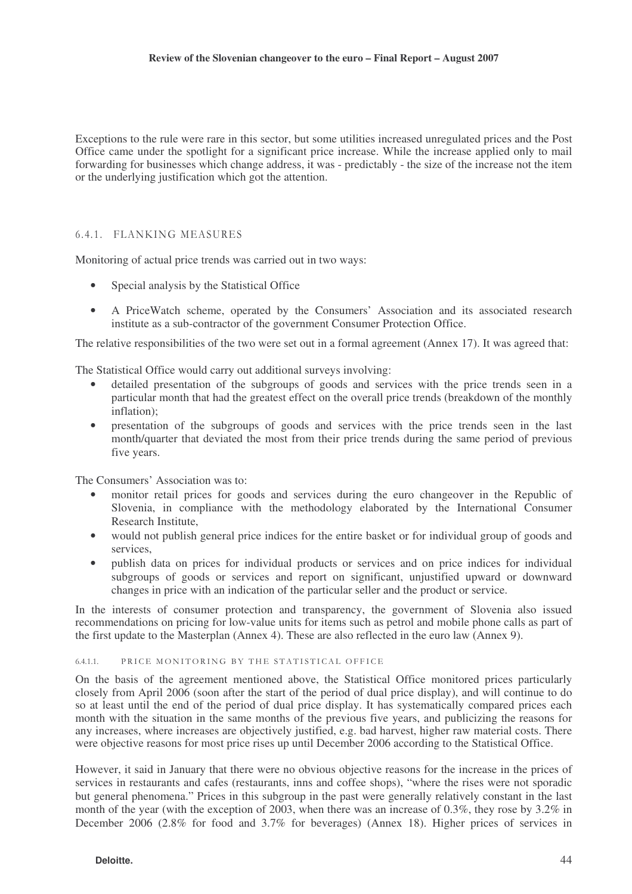Exceptions to the rule were rare in this sector, but some utilities increased unregulated prices and the Post Office came under the spotlight for a significant price increase. While the increase applied only to mail forwarding for businesses which change address, it was - predictably - the size of the increase not the item or the underlying justification which got the attention.

#### 6.4.1. FLANKING MEASURES

Monitoring of actual price trends was carried out in two ways:

- Special analysis by the Statistical Office
- A PriceWatch scheme, operated by the Consumers' Association and its associated research institute as a sub-contractor of the government Consumer Protection Office.

The relative responsibilities of the two were set out in a formal agreement (Annex 17). It was agreed that:

The Statistical Office would carry out additional surveys involving:

- detailed presentation of the subgroups of goods and services with the price trends seen in a particular month that had the greatest effect on the overall price trends (breakdown of the monthly inflation);
- presentation of the subgroups of goods and services with the price trends seen in the last month/quarter that deviated the most from their price trends during the same period of previous five years.

The Consumers' Association was to:

- monitor retail prices for goods and services during the euro changeover in the Republic of Slovenia, in compliance with the methodology elaborated by the International Consumer Research Institute,
- would not publish general price indices for the entire basket or for individual group of goods and services,
- publish data on prices for individual products or services and on price indices for individual subgroups of goods or services and report on significant, unjustified upward or downward changes in price with an indication of the particular seller and the product or service.

In the interests of consumer protection and transparency, the government of Slovenia also issued recommendations on pricing for low-value units for items such as petrol and mobile phone calls as part of the first update to the Masterplan (Annex 4). These are also reflected in the euro law (Annex 9).

#### $6.4.1.1$ . PRICE MONITORING BY THE STATISTICAL OFFICE

On the basis of the agreement mentioned above, the Statistical Office monitored prices particularly closely from April 2006 (soon after the start of the period of dual price display), and will continue to do so at least until the end of the period of dual price display. It has systematically compared prices each month with the situation in the same months of the previous five years, and publicizing the reasons for any increases, where increases are objectively justified, e.g. bad harvest, higher raw material costs. There were objective reasons for most price rises up until December 2006 according to the Statistical Office.

However, it said in January that there were no obvious objective reasons for the increase in the prices of services in restaurants and cafes (restaurants, inns and coffee shops), "where the rises were not sporadic but general phenomena." Prices in this subgroup in the past were generally relatively constant in the last month of the year (with the exception of 2003, when there was an increase of 0.3%, they rose by 3.2% in December 2006 (2.8% for food and 3.7% for beverages) (Annex 18). Higher prices of services in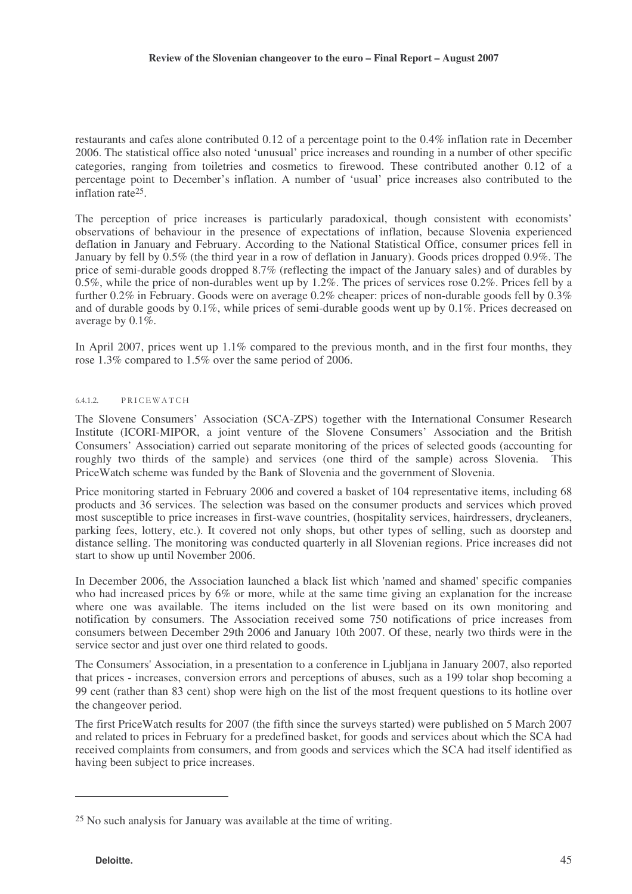restaurants and cafes alone contributed 0.12 of a percentage point to the 0.4% inflation rate in December 2006. The statistical office also noted 'unusual' price increases and rounding in a number of other specific categories, ranging from toiletries and cosmetics to firewood. These contributed another 0.12 of a percentage point to December's inflation. A number of 'usual' price increases also contributed to the inflation rate 25 .

The perception of price increases is particularly paradoxical, though consistent with economists' observations of behaviour in the presence of expectations of inflation, because Slovenia experienced deflation in January and February. According to the National Statistical Office, consumer prices fell in January by fell by 0.5% (the third year in a row of deflation in January). Goods prices dropped 0.9%. The price of semi-durable goods dropped 8.7% (reflecting the impact of the January sales) and of durables by 0.5%, while the price of non-durables went up by 1.2%. The prices of services rose 0.2%. Prices fell by a further 0.2% in February. Goods were on average 0.2% cheaper: prices of non-durable goods fell by 0.3% and of durable goods by 0.1%, while prices of semi-durable goods went up by 0.1%. Prices decreased on average by  $0.1\%$ .

In April 2007, prices went up 1.1% compared to the previous month, and in the first four months, they rose 1.3% compared to 1.5% over the same period of 2006.

#### $6.4.1.2.$ PRICEWATCH

The Slovene Consumers' Association (SCA-ZPS) together with the International Consumer Research Institute (ICORI-MIPOR, a joint venture of the Slovene Consumers' Association and the British Consumers' Association) carried out separate monitoring of the prices of selected goods (accounting for roughly two thirds of the sample) and services (one third of the sample) across Slovenia. This PriceWatch scheme was funded by the Bank of Slovenia and the government of Slovenia.

Price monitoring started in February 2006 and covered a basket of 104 representative items, including 68 products and 36 services. The selection was based on the consumer products and services which proved most susceptible to price increases in first-wave countries, (hospitality services, hairdressers, drycleaners, parking fees, lottery, etc.). It covered not only shops, but other types of selling, such as doorstep and distance selling. The monitoring was conducted quarterly in all Slovenian regions. Price increases did not start to show up until November 2006.

In December 2006, the Association launched a black list which 'named and shamed' specific companies who had increased prices by 6% or more, while at the same time giving an explanation for the increase where one was available. The items included on the list were based on its own monitoring and notification by consumers. The Association received some 750 notifications of price increases from consumers between December 29th 2006 and January 10th 2007. Of these, nearly two thirds were in the service sector and just over one third related to goods.

The Consumers' Association, in a presentation to a conference in Ljubljana in January 2007, also reported that prices - increases, conversion errors and perceptions of abuses, such as a 199 tolar shop becoming a 99 cent (rather than 83 cent) shop were high on the list of the most frequent questions to its hotline over the changeover period.

The first PriceWatch results for 2007 (the fifth since the surveys started) were published on 5 March 2007 and related to prices in February for a predefined basket, for goods and services about which the SCA had received complaints from consumers, and from goods and services which the SCA had itself identified as having been subject to price increases.

<sup>25</sup> No such analysis for January was available at the time of writing.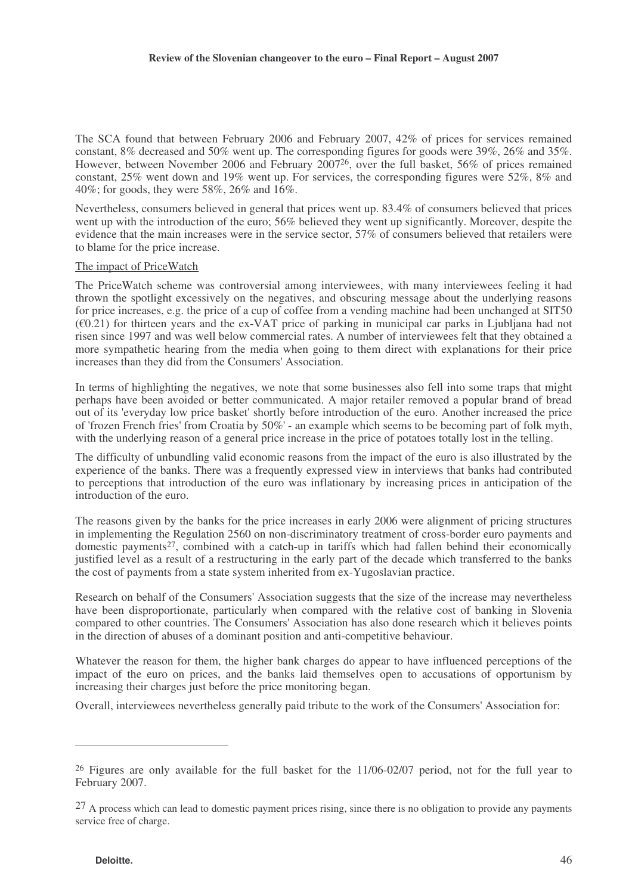The SCA found that between February 2006 and February 2007, 42% of prices for services remained constant, 8% decreased and 50% went up. The corresponding figures for goods were 39%, 26% and 35%. However, between November 2006 and February 2007<sup>26</sup>, over the full basket, 56% of prices remained constant, 25% went down and 19% went up. For services, the corresponding figures were 52%, 8% and 40%; for goods, they were 58%, 26% and 16%.

Nevertheless, consumers believed in general that prices went up. 83.4% of consumers believed that prices went up with the introduction of the euro; 56% believed they went up significantly. Moreover, despite the evidence that the main increases were in the service sector, 57% of consumers believed that retailers were to blame for the price increase.

#### The impact of PriceWatch

The PriceWatch scheme was controversial among interviewees, with many interviewees feeling it had thrown the spotlight excessively on the negatives, and obscuring message about the underlying reasons for price increases, e.g. the price of a cup of coffee from a vending machine had been unchanged at SIT50  $(60.21)$  for thirteen years and the ex-VAT price of parking in municipal car parks in Ljubljana had not risen since 1997 and was well below commercial rates. A number of interviewees felt that they obtained a more sympathetic hearing from the media when going to them direct with explanations for their price increases than they did from the Consumers' Association.

In terms of highlighting the negatives, we note that some businesses also fell into some traps that might perhaps have been avoided or better communicated. A major retailer removed a popular brand of bread out of its 'everyday low price basket' shortly before introduction of the euro. Another increased the price of 'frozen French fries' from Croatia by 50%' - an example which seems to be becoming part of folk myth, with the underlying reason of a general price increase in the price of potatoes totally lost in the telling.

The difficulty of unbundling valid economic reasons from the impact of the euro is also illustrated by the experience of the banks. There was a frequently expressed view in interviews that banks had contributed to perceptions that introduction of the euro was inflationary by increasing prices in anticipation of the introduction of the euro.

The reasons given by the banks for the price increases in early 2006 were alignment of pricing structures in implementing the Regulation 2560 on non-discriminatory treatment of cross-border euro payments and domestic payments<sup>27</sup>, combined with a catch-up in tariffs which had fallen behind their economically justified level as a result of a restructuring in the early part of the decade which transferred to the banks the cost of payments from a state system inherited from ex-Yugoslavian practice.

Research on behalf of the Consumers' Association suggests that the size of the increase may nevertheless have been disproportionate, particularly when compared with the relative cost of banking in Slovenia compared to other countries. The Consumers' Association has also done research which it believes points in the direction of abuses of a dominant position and anti-competitive behaviour.

Whatever the reason for them, the higher bank charges do appear to have influenced perceptions of the impact of the euro on prices, and the banks laid themselves open to accusations of opportunism by increasing their charges just before the price monitoring began.

Overall, interviewees nevertheless generally paid tribute to the work of the Consumers' Association for:

<sup>26</sup> Figures are only available for the full basket for the 11/06-02/07 period, not for the full year to February 2007.

 $^{27}$  A process which can lead to domestic payment prices rising, since there is no obligation to provide any payments service free of charge.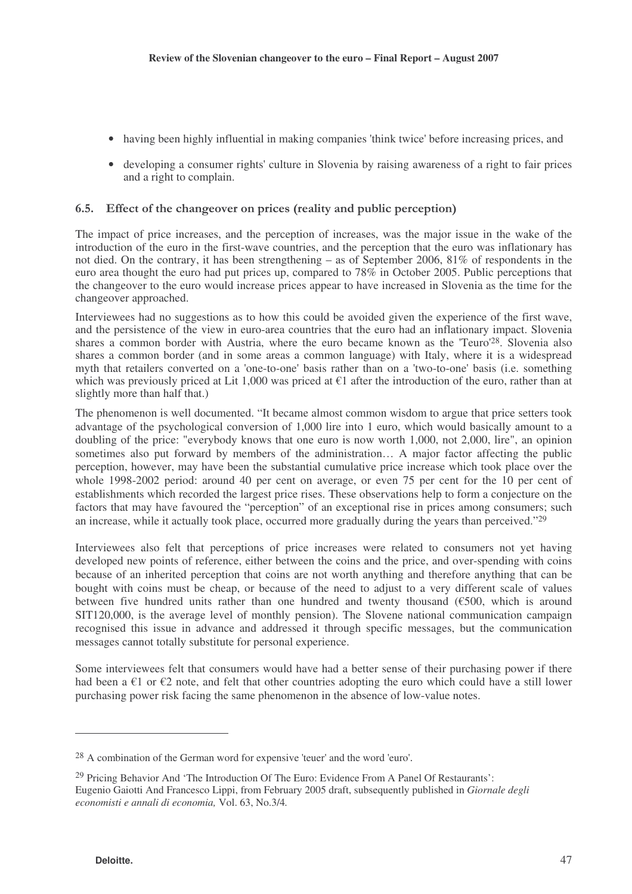- having been highly influential in making companies 'think twice' before increasing prices, and
- developing a consumer rights' culture in Slovenia by raising awareness of a right to fair prices and a right to complain.

# 6.5. Effect of the changeover on prices (reality and public perception)

The impact of price increases, and the perception of increases, was the major issue in the wake of the introduction of the euro in the first-wave countries, and the perception that the euro was inflationary has not died. On the contrary, it has been strengthening – as of September 2006, 81% of respondents in the euro area thought the euro had put prices up, compared to 78% in October 2005. Public perceptions that the changeover to the euro would increase prices appear to have increased in Slovenia as the time for the changeover approached.

Interviewees had no suggestions as to how this could be avoided given the experience of the first wave, and the persistence of the view in euro-area countries that the euro had an inflationary impact. Slovenia shares a common border with Austria, where the euro became known as the 'Teuro'<sup>28</sup>. Slovenia also shares a common border (and in some areas a common language) with Italy, where it is a widespread myth that retailers converted on a 'one-to-one' basis rather than on a 'two-to-one' basis (i.e. something which was previously priced at Lit 1,000 was priced at  $\epsilon$ 1 after the introduction of the euro, rather than at slightly more than half that.)

The phenomenon is well documented. "It became almost common wisdom to argue that price setters took advantage of the psychological conversion of 1,000 lire into 1 euro, which would basically amount to a doubling of the price: "everybody knows that one euro is now worth 1,000, not 2,000, lire", an opinion sometimes also put forward by members of the administration… A major factor affecting the public perception, however, may have been the substantial cumulative price increase which took place over the whole 1998-2002 period: around 40 per cent on average, or even 75 per cent for the 10 per cent of establishments which recorded the largest price rises. These observations help to form a conjecture on the factors that may have favoured the "perception" of an exceptional rise in prices among consumers; such an increase, while it actually took place, occurred more gradually during the years than perceived."<sup>29</sup>

Interviewees also felt that perceptions of price increases were related to consumers not yet having developed new points of reference, either between the coins and the price, and over-spending with coins because of an inherited perception that coins are not worth anything and therefore anything that can be bought with coins must be cheap, or because of the need to adjust to a very different scale of values between five hundred units rather than one hundred and twenty thousand  $(E500,$  which is around SIT120,000, is the average level of monthly pension). The Slovene national communication campaign recognised this issue in advance and addressed it through specific messages, but the communication messages cannot totally substitute for personal experience.

Some interviewees felt that consumers would have had a better sense of their purchasing power if there had been a  $\epsilon$ 1 or  $\epsilon$ 2 note, and felt that other countries adopting the euro which could have a still lower purchasing power risk facing the same phenomenon in the absence of low-value notes.

<sup>28</sup> A combination of the German word for expensive 'teuer' and the word 'euro'.

<sup>29</sup> Pricing Behavior And 'The Introduction Of The Euro: Evidence From A Panel Of Restaurants': Eugenio Gaiotti And Francesco Lippi, from February 2005 draft, subsequently published in *Giornale degli economisti e annali di economia,* Vol. 63, No.3/4*.*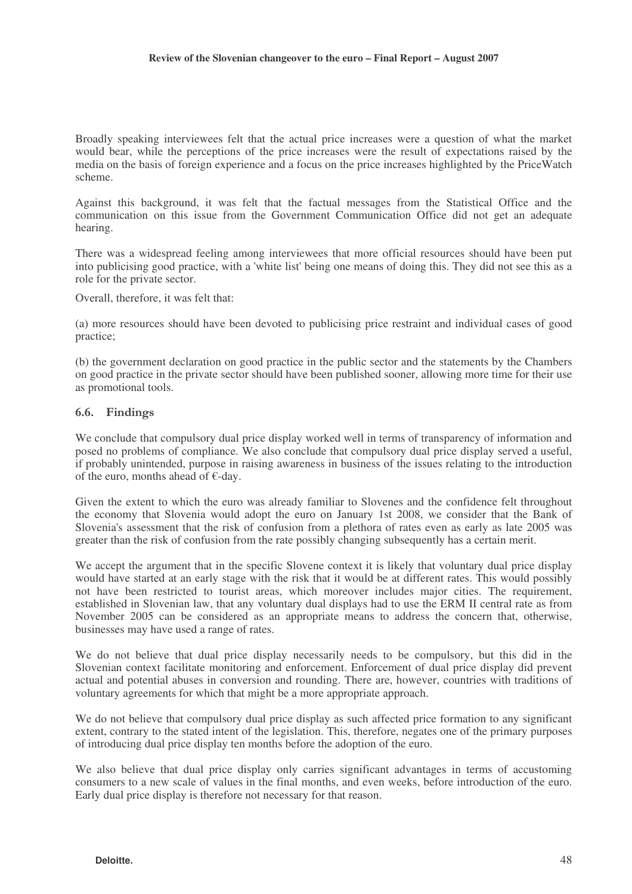Broadly speaking interviewees felt that the actual price increases were a question of what the market would bear, while the perceptions of the price increases were the result of expectations raised by the media on the basis of foreign experience and a focus on the price increases highlighted by the PriceWatch scheme.

Against this background, it was felt that the factual messages from the Statistical Office and the communication on this issue from the Government Communication Office did not get an adequate hearing.

There was a widespread feeling among interviewees that more official resources should have been put into publicising good practice, with a 'white list' being one means of doing this. They did not see this as a role for the private sector.

Overall, therefore, it was felt that:

(a) more resources should have been devoted to publicising price restraint and individual cases of good practice;

(b) the government declaration on good practice in the public sector and the statements by the Chambers on good practice in the private sector should have been published sooner, allowing more time for their use as promotional tools.

#### 6.6. Findings

We conclude that compulsory dual price display worked well in terms of transparency of information and posed no problems of compliance. We also conclude that compulsory dual price display served a useful, if probably unintended, purpose in raising awareness in business of the issues relating to the introduction of the euro, months ahead of €-day.

Given the extent to which the euro was already familiar to Slovenes and the confidence felt throughout the economy that Slovenia would adopt the euro on January 1st 2008, we consider that the Bank of Slovenia's assessment that the risk of confusion from a plethora of rates even as early as late 2005 was greater than the risk of confusion from the rate possibly changing subsequently has a certain merit.

We accept the argument that in the specific Slovene context it is likely that voluntary dual price display would have started at an early stage with the risk that it would be at different rates. This would possibly not have been restricted to tourist areas, which moreover includes major cities. The requirement, established in Slovenian law, that any voluntary dual displays had to use the ERM II central rate as from November 2005 can be considered as an appropriate means to address the concern that, otherwise, businesses may have used a range of rates.

We do not believe that dual price display necessarily needs to be compulsory, but this did in the Slovenian context facilitate monitoring and enforcement. Enforcement of dual price display did prevent actual and potential abuses in conversion and rounding. There are, however, countries with traditions of voluntary agreements for which that might be a more appropriate approach.

We do not believe that compulsory dual price display as such affected price formation to any significant extent, contrary to the stated intent of the legislation. This, therefore, negates one of the primary purposes of introducing dual price display ten months before the adoption of the euro.

We also believe that dual price display only carries significant advantages in terms of accustoming consumers to a new scale of values in the final months, and even weeks, before introduction of the euro. Early dual price display is therefore not necessary for that reason.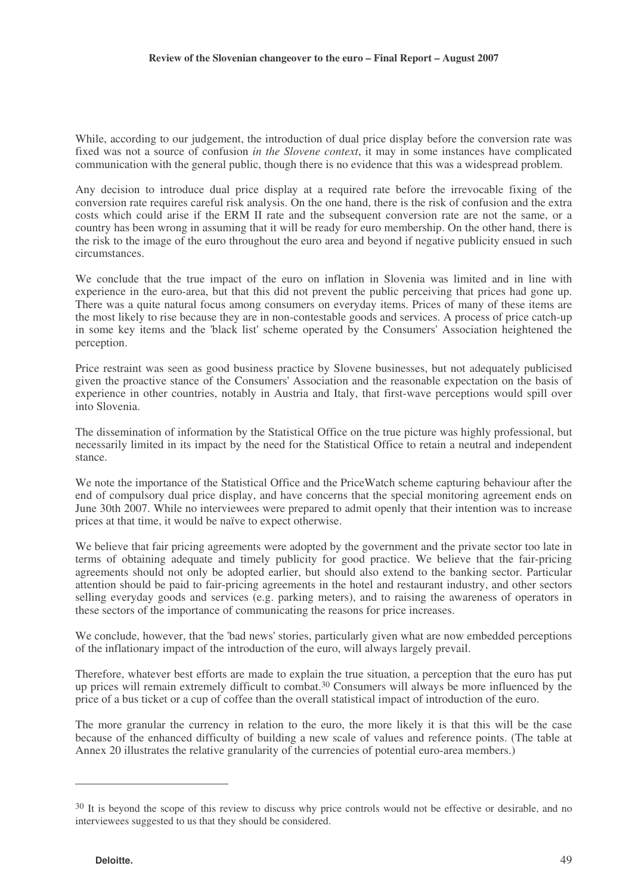While, according to our judgement, the introduction of dual price display before the conversion rate was fixed was not a source of confusion *in the Slovene context*, it may in some instances have complicated communication with the general public, though there is no evidence that this was a widespread problem.

Any decision to introduce dual price display at a required rate before the irrevocable fixing of the conversion rate requires careful risk analysis. On the one hand, there is the risk of confusion and the extra costs which could arise if the ERM II rate and the subsequent conversion rate are not the same, or a country has been wrong in assuming that it will be ready for euro membership. On the other hand, there is the risk to the image of the euro throughout the euro area and beyond if negative publicity ensued in such circumstances.

We conclude that the true impact of the euro on inflation in Slovenia was limited and in line with experience in the euro-area, but that this did not prevent the public perceiving that prices had gone up. There was a quite natural focus among consumers on everyday items. Prices of many of these items are the most likely to rise because they are in non-contestable goods and services. A process of price catch-up in some key items and the 'black list' scheme operated by the Consumers' Association heightened the perception.

Price restraint was seen as good business practice by Slovene businesses, but not adequately publicised given the proactive stance of the Consumers' Association and the reasonable expectation on the basis of experience in other countries, notably in Austria and Italy, that first-wave perceptions would spill over into Slovenia.

The dissemination of information by the Statistical Office on the true picture was highly professional, but necessarily limited in its impact by the need for the Statistical Office to retain a neutral and independent stance.

We note the importance of the Statistical Office and the PriceWatch scheme capturing behaviour after the end of compulsory dual price display, and have concerns that the special monitoring agreement ends on June 30th 2007. While no interviewees were prepared to admit openly that their intention was to increase prices at that time, it would be naïve to expect otherwise.

We believe that fair pricing agreements were adopted by the government and the private sector too late in terms of obtaining adequate and timely publicity for good practice. We believe that the fair-pricing agreements should not only be adopted earlier, but should also extend to the banking sector. Particular attention should be paid to fair-pricing agreements in the hotel and restaurant industry, and other sectors selling everyday goods and services (e.g. parking meters), and to raising the awareness of operators in these sectors of the importance of communicating the reasons for price increases.

We conclude, however, that the 'bad news' stories, particularly given what are now embedded perceptions of the inflationary impact of the introduction of the euro, will always largely prevail.

Therefore, whatever best efforts are made to explain the true situation, a perception that the euro has put up prices will remain extremely difficult to combat. <sup>30</sup> Consumers will always be more influenced by the price of a bus ticket or a cup of coffee than the overall statistical impact of introduction of the euro.

The more granular the currency in relation to the euro, the more likely it is that this will be the case because of the enhanced difficulty of building a new scale of values and reference points. (The table at Annex 20 illustrates the relative granularity of the currencies of potential euro-area members.)

<sup>&</sup>lt;sup>30</sup> It is beyond the scope of this review to discuss why price controls would not be effective or desirable, and no interviewees suggested to us that they should be considered.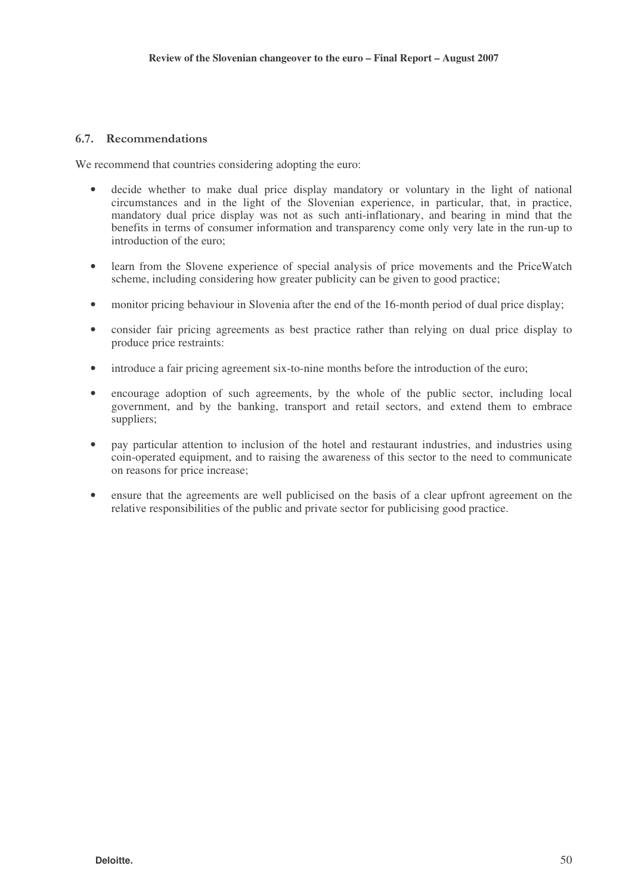## 6.7. Recommendations

We recommend that countries considering adopting the euro:

- decide whether to make dual price display mandatory or voluntary in the light of national circumstances and in the light of the Slovenian experience, in particular, that, in practice, mandatory dual price display was not as such anti-inflationary, and bearing in mind that the benefits in terms of consumer information and transparency come only very late in the run-up to introduction of the euro;
- learn from the Slovene experience of special analysis of price movements and the PriceWatch scheme, including considering how greater publicity can be given to good practice;
- monitor pricing behaviour in Slovenia after the end of the 16-month period of dual price display;
- consider fair pricing agreements as best practice rather than relying on dual price display to produce price restraints:
- introduce a fair pricing agreement six-to-nine months before the introduction of the euro;
- encourage adoption of such agreements, by the whole of the public sector, including local government, and by the banking, transport and retail sectors, and extend them to embrace suppliers;
- pay particular attention to inclusion of the hotel and restaurant industries, and industries using coin-operated equipment, and to raising the awareness of this sector to the need to communicate on reasons for price increase;
- ensure that the agreements are well publicised on the basis of a clear upfront agreement on the relative responsibilities of the public and private sector for publicising good practice.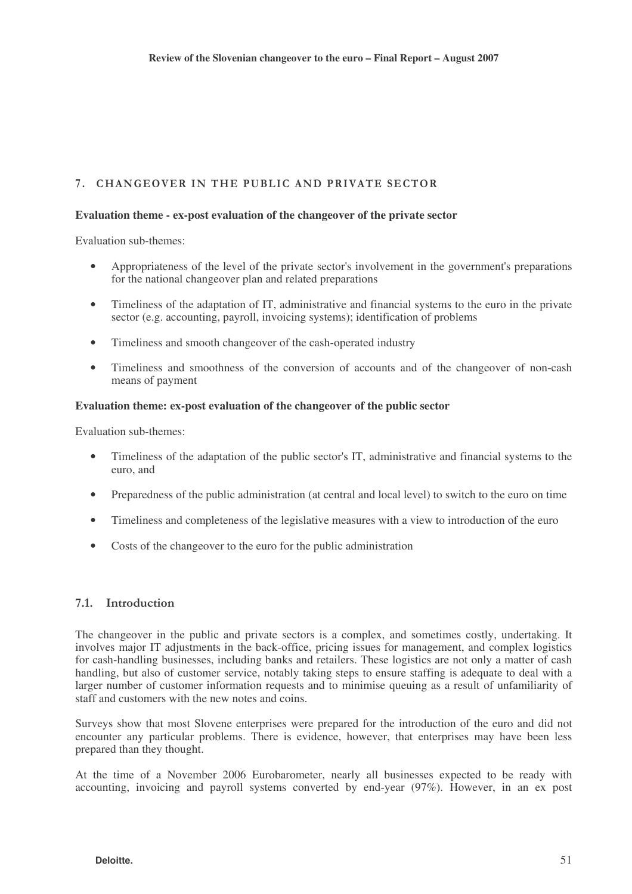# 7. CHANGEOVER IN THE PUBLIC AND PRIVATE SECTOR

### **Evaluation theme - ex-post evaluation of the changeover of the private sector**

Evaluation sub-themes:

- Appropriateness of the level of the private sector's involvement in the government's preparations for the national changeover plan and related preparations
- Timeliness of the adaptation of IT, administrative and financial systems to the euro in the private sector (e.g. accounting, payroll, invoicing systems); identification of problems
- Timeliness and smooth changeover of the cash-operated industry
- Timeliness and smoothness of the conversion of accounts and of the changeover of non-cash means of payment

### **Evaluation theme: ex-post evaluation of the changeover of the public sector**

Evaluation sub-themes:

- Timeliness of the adaptation of the public sector's IT, administrative and financial systems to the euro, and
- Preparedness of the public administration (at central and local level) to switch to the euro on time
- Timeliness and completeness of the legislative measures with a view to introduction of the euro
- Costs of the changeover to the euro for the public administration

# 7.1. Introduction

The changeover in the public and private sectors is a complex, and sometimes costly, undertaking. It involves major IT adjustments in the back-office, pricing issues for management, and complex logistics for cash-handling businesses, including banks and retailers. These logistics are not only a matter of cash handling, but also of customer service, notably taking steps to ensure staffing is adequate to deal with a larger number of customer information requests and to minimise queuing as a result of unfamiliarity of staff and customers with the new notes and coins.

Surveys show that most Slovene enterprises were prepared for the introduction of the euro and did not encounter any particular problems. There is evidence, however, that enterprises may have been less prepared than they thought.

At the time of a November 2006 Eurobarometer, nearly all businesses expected to be ready with accounting, invoicing and payroll systems converted by end-year (97%). However, in an ex post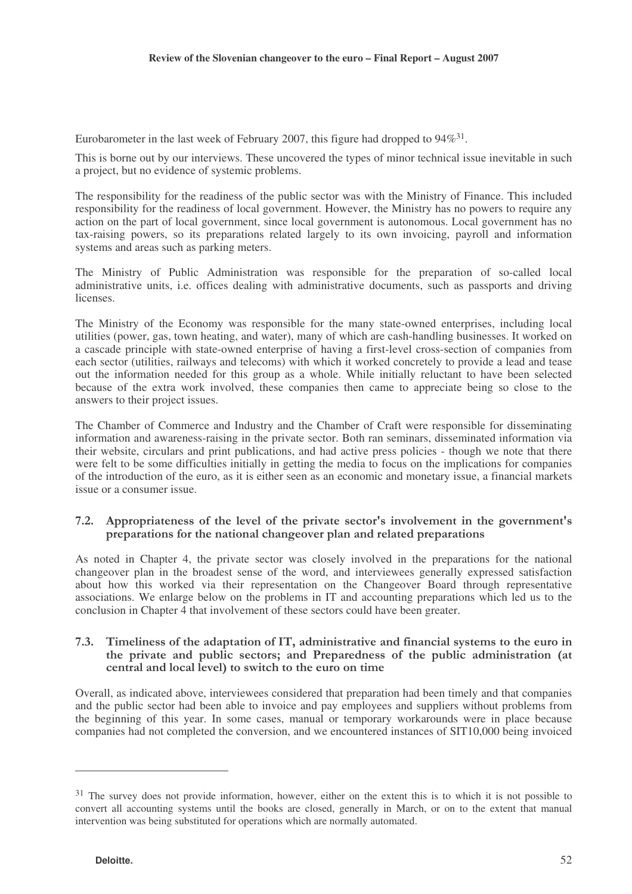Eurobarometer in the last week of February 2007, this figure had dropped to  $94\%^{31}$ .

This is borne out by our interviews. These uncovered the types of minor technical issue inevitable in such a project, but no evidence of systemic problems.

The responsibility for the readiness of the public sector was with the Ministry of Finance. This included responsibility for the readiness of local government. However, the Ministry has no powers to require any action on the part of local government, since local government is autonomous. Local government has no tax-raising powers, so its preparations related largely to its own invoicing, payroll and information systems and areas such as parking meters.

The Ministry of Public Administration was responsible for the preparation of so-called local administrative units, i.e. offices dealing with administrative documents, such as passports and driving licenses.

The Ministry of the Economy was responsible for the many state-owned enterprises, including local utilities (power, gas, town heating, and water), many of which are cash-handling businesses. It worked on a cascade principle with state-owned enterprise of having a first-level cross-section of companies from each sector (utilities, railways and telecoms) with which it worked concretely to provide a lead and tease out the information needed for this group as a whole. While initially reluctant to have been selected because of the extra work involved, these companies then came to appreciate being so close to the answers to their project issues.

The Chamber of Commerce and Industry and the Chamber of Craft were responsible for disseminating information and awareness-raising in the private sector. Both ran seminars, disseminated information via their website, circulars and print publications, and had active press policies - though we note that there were felt to be some difficulties initially in getting the media to focus on the implications for companies of the introduction of the euro, as it is either seen as an economic and monetary issue, a financial markets issue or a consumer issue.

### 7.2. Appropriateness of the level of the private sector's involvement in the government's preparations for the national change over plan and related preparations

As noted in Chapter 4, the private sector was closely involved in the preparations for the national changeover plan in the broadest sense of the word, and interviewees generally expressed satisfaction about how this worked via their representation on the Changeover Board through representative associations. We enlarge below on the problems in IT and accounting preparations which led us to the conclusion in Chapter 4 that involvement of these sectors could have been greater.

### 7.3. Timeliness of the adaptation of IT, administrative and financial systems to the euro in the private and public sectors; and Preparedness of the public administration (at central and local level) to switch to the euro on time

Overall, as indicated above, interviewees considered that preparation had been timely and that companies and the public sector had been able to invoice and pay employees and suppliers without problems from the beginning of this year. In some cases, manual or temporary workarounds were in place because companies had not completed the conversion, and we encountered instances of SIT10,000 being invoiced

<sup>&</sup>lt;sup>31</sup> The survey does not provide information, however, either on the extent this is to which it is not possible to convert all accounting systems until the books are closed, generally in March, or on to the extent that manual intervention was being substituted for operations which are normally automated.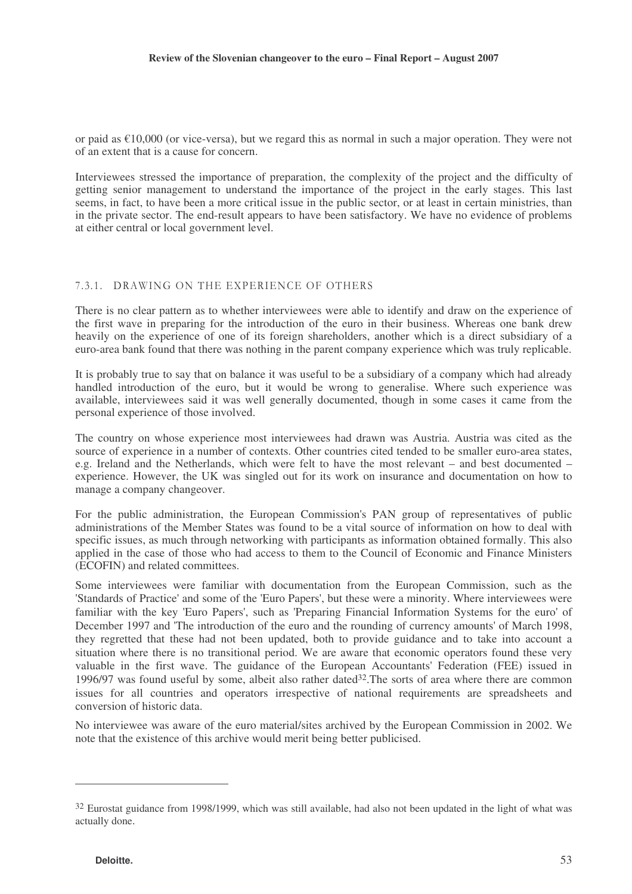or paid as  $\epsilon$ 10,000 (or vice-versa), but we regard this as normal in such a major operation. They were not of an extent that is a cause for concern.

Interviewees stressed the importance of preparation, the complexity of the project and the difficulty of getting senior management to understand the importance of the project in the early stages. This last seems, in fact, to have been a more critical issue in the public sector, or at least in certain ministries, than in the private sector. The end-result appears to have been satisfactory. We have no evidence of problems at either central or local government level.

## 7.3.1. DRAWING ON THE EXPERIENCE OF OTHERS

There is no clear pattern as to whether interviewees were able to identify and draw on the experience of the first wave in preparing for the introduction of the euro in their business. Whereas one bank drew heavily on the experience of one of its foreign shareholders, another which is a direct subsidiary of a euro-area bank found that there was nothing in the parent company experience which was truly replicable.

It is probably true to say that on balance it was useful to be a subsidiary of a company which had already handled introduction of the euro, but it would be wrong to generalise. Where such experience was available, interviewees said it was well generally documented, though in some cases it came from the personal experience of those involved.

The country on whose experience most interviewees had drawn was Austria. Austria was cited as the source of experience in a number of contexts. Other countries cited tended to be smaller euro-area states, e.g. Ireland and the Netherlands, which were felt to have the most relevant – and best documented – experience. However, the UK was singled out for its work on insurance and documentation on how to manage a company changeover.

For the public administration, the European Commission's PAN group of representatives of public administrations of the Member States was found to be a vital source of information on how to deal with specific issues, as much through networking with participants as information obtained formally. This also applied in the case of those who had access to them to the Council of Economic and Finance Ministers (ECOFIN) and related committees.

Some interviewees were familiar with documentation from the European Commission, such as the 'Standards of Practice' and some of the 'Euro Papers', but these were a minority. Where interviewees were familiar with the key 'Euro Papers', such as 'Preparing Financial Information Systems for the euro' of December 1997 and 'The introduction of the euro and the rounding of currency amounts' of March 1998, they regretted that these had not been updated, both to provide guidance and to take into account a situation where there is no transitional period. We are aware that economic operators found these very valuable in the first wave. The guidance of the European Accountants' Federation (FEE) issued in 1996/97 was found useful by some, albeit also rather dated 32 .The sorts of area where there are common issues for all countries and operators irrespective of national requirements are spreadsheets and conversion of historic data.

No interviewee was aware of the euro material/sites archived by the European Commission in 2002. We note that the existence of this archive would merit being better publicised.

<sup>&</sup>lt;sup>32</sup> Eurostat guidance from 1998/1999, which was still available, had also not been updated in the light of what was actually done.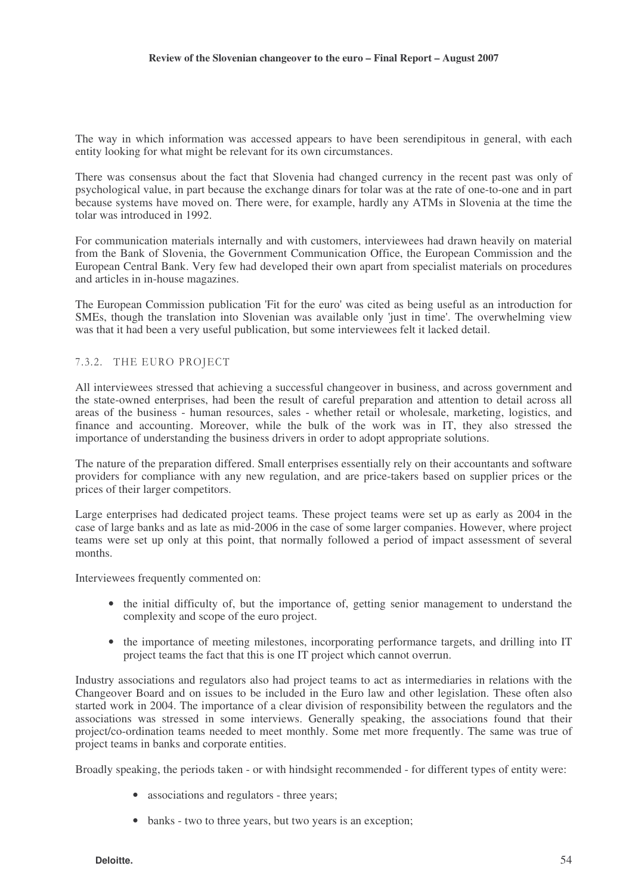The way in which information was accessed appears to have been serendipitous in general, with each entity looking for what might be relevant for its own circumstances.

There was consensus about the fact that Slovenia had changed currency in the recent past was only of psychological value, in part because the exchange dinars for tolar was at the rate of one-to-one and in part because systems have moved on. There were, for example, hardly any ATMs in Slovenia at the time the tolar was introduced in 1992.

For communication materials internally and with customers, interviewees had drawn heavily on material from the Bank of Slovenia, the Government Communication Office, the European Commission and the European Central Bank. Very few had developed their own apart from specialist materials on procedures and articles in in-house magazines.

The European Commission publication 'Fit for the euro' was cited as being useful as an introduction for SMEs, though the translation into Slovenian was available only 'just in time'. The overwhelming view was that it had been a very useful publication, but some interviewees felt it lacked detail.

## 7.3.2. THE EURO PROJECT

All interviewees stressed that achieving a successful changeover in business, and across government and the state-owned enterprises, had been the result of careful preparation and attention to detail across all areas of the business - human resources, sales - whether retail or wholesale, marketing, logistics, and finance and accounting. Moreover, while the bulk of the work was in IT, they also stressed the importance of understanding the business drivers in order to adopt appropriate solutions.

The nature of the preparation differed. Small enterprises essentially rely on their accountants and software providers for compliance with any new regulation, and are price-takers based on supplier prices or the prices of their larger competitors.

Large enterprises had dedicated project teams. These project teams were set up as early as 2004 in the case of large banks and as late as mid-2006 in the case of some larger companies. However, where project teams were set up only at this point, that normally followed a period of impact assessment of several months.

Interviewees frequently commented on:

- the initial difficulty of, but the importance of, getting senior management to understand the complexity and scope of the euro project.
- the importance of meeting milestones, incorporating performance targets, and drilling into IT project teams the fact that this is one IT project which cannot overrun.

Industry associations and regulators also had project teams to act as intermediaries in relations with the Changeover Board and on issues to be included in the Euro law and other legislation. These often also started work in 2004. The importance of a clear division of responsibility between the regulators and the associations was stressed in some interviews. Generally speaking, the associations found that their project/co-ordination teams needed to meet monthly. Some met more frequently. The same was true of project teams in banks and corporate entities.

Broadly speaking, the periods taken - or with hindsight recommended - for different types of entity were:

- associations and regulators three years;
- banks two to three years, but two years is an exception;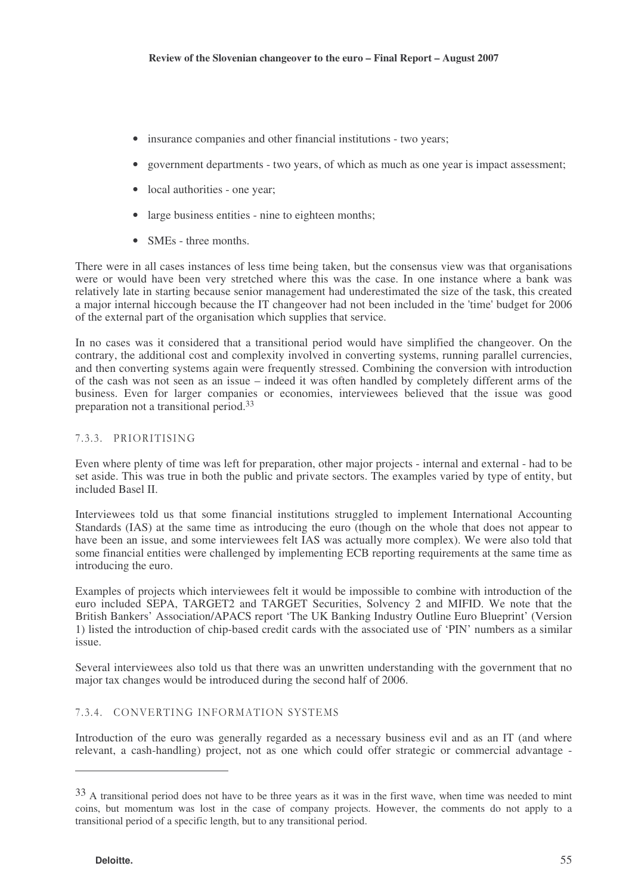- insurance companies and other financial institutions two years;
- government departments two years, of which as much as one year is impact assessment;
- local authorities one year;
- large business entities nine to eighteen months;
- SMEs three months.

There were in all cases instances of less time being taken, but the consensus view was that organisations were or would have been very stretched where this was the case. In one instance where a bank was relatively late in starting because senior management had underestimated the size of the task, this created a major internal hiccough because the IT changeover had not been included in the 'time' budget for 2006 of the external part of the organisation which supplies that service.

In no cases was it considered that a transitional period would have simplified the changeover. On the contrary, the additional cost and complexity involved in converting systems, running parallel currencies, and then converting systems again were frequently stressed. Combining the conversion with introduction of the cash was not seen as an issue – indeed it was often handled by completely different arms of the business. Even for larger companies or economies, interviewees believed that the issue was good preparation not a transitional period. 33

## 7.3.3. PRIORITISING

Even where plenty of time was left for preparation, other major projects - internal and external - had to be set aside. This was true in both the public and private sectors. The examples varied by type of entity, but included Basel II.

Interviewees told us that some financial institutions struggled to implement International Accounting Standards (IAS) at the same time as introducing the euro (though on the whole that does not appear to have been an issue, and some interviewees felt IAS was actually more complex). We were also told that some financial entities were challenged by implementing ECB reporting requirements at the same time as introducing the euro.

Examples of projects which interviewees felt it would be impossible to combine with introduction of the euro included SEPA, TARGET2 and TARGET Securities, Solvency 2 and MIFID. We note that the British Bankers' Association/APACS report 'The UK Banking Industry Outline Euro Blueprint' (Version 1) listed the introduction of chip-based credit cards with the associated use of 'PIN' numbers as a similar issue.

Several interviewees also told us that there was an unwritten understanding with the government that no major tax changes would be introduced during the second half of 2006.

#### 7.3.4. CONVERTING INFORMATION SYSTEMS

Introduction of the euro was generally regarded as a necessary business evil and as an IT (and where relevant, a cash-handling) project, not as one which could offer strategic or commercial advantage -

<sup>&</sup>lt;sup>33</sup> A transitional period does not have to be three years as it was in the first wave, when time was needed to mint coins, but momentum was lost in the case of company projects. However, the comments do not apply to a transitional period of a specific length, but to any transitional period.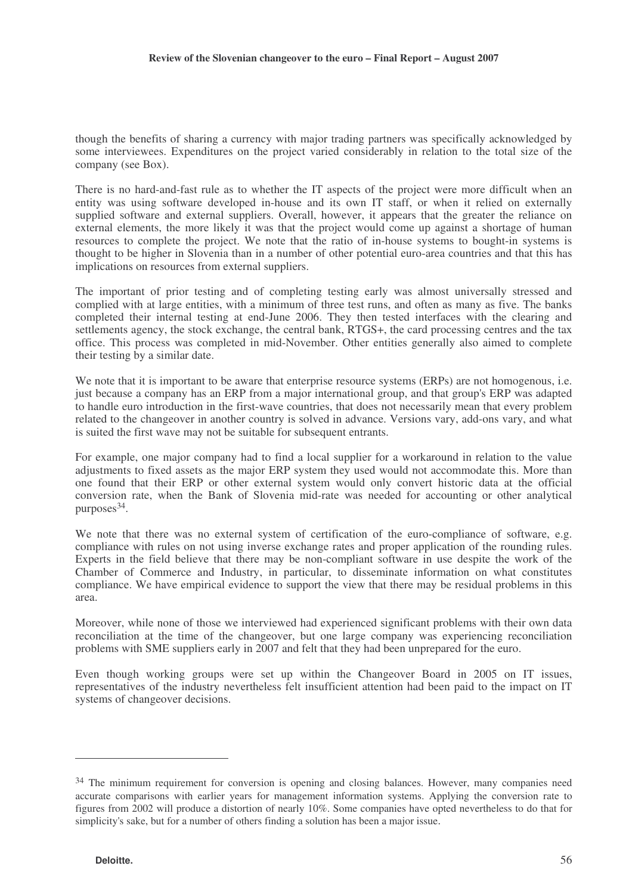though the benefits of sharing a currency with major trading partners was specifically acknowledged by some interviewees. Expenditures on the project varied considerably in relation to the total size of the company (see Box).

There is no hard-and-fast rule as to whether the IT aspects of the project were more difficult when an entity was using software developed in-house and its own IT staff, or when it relied on externally supplied software and external suppliers. Overall, however, it appears that the greater the reliance on external elements, the more likely it was that the project would come up against a shortage of human resources to complete the project. We note that the ratio of in-house systems to bought-in systems is thought to be higher in Slovenia than in a number of other potential euro-area countries and that this has implications on resources from external suppliers.

The important of prior testing and of completing testing early was almost universally stressed and complied with at large entities, with a minimum of three test runs, and often as many as five. The banks completed their internal testing at end-June 2006. They then tested interfaces with the clearing and settlements agency, the stock exchange, the central bank, RTGS+, the card processing centres and the tax office. This process was completed in mid-November. Other entities generally also aimed to complete their testing by a similar date.

We note that it is important to be aware that enterprise resource systems (ERPs) are not homogenous, i.e. just because a company has an ERP from a major international group, and that group's ERP was adapted to handle euro introduction in the first-wave countries, that does not necessarily mean that every problem related to the changeover in another country is solved in advance. Versions vary, add-ons vary, and what is suited the first wave may not be suitable for subsequent entrants.

For example, one major company had to find a local supplier for a workaround in relation to the value adjustments to fixed assets as the major ERP system they used would not accommodate this. More than one found that their ERP or other external system would only convert historic data at the official conversion rate, when the Bank of Slovenia mid-rate was needed for accounting or other analytical purposes 34 .

We note that there was no external system of certification of the euro-compliance of software, e.g. compliance with rules on not using inverse exchange rates and proper application of the rounding rules. Experts in the field believe that there may be non-compliant software in use despite the work of the Chamber of Commerce and Industry, in particular, to disseminate information on what constitutes compliance. We have empirical evidence to support the view that there may be residual problems in this area.

Moreover, while none of those we interviewed had experienced significant problems with their own data reconciliation at the time of the changeover, but one large company was experiencing reconciliation problems with SME suppliers early in 2007 and felt that they had been unprepared for the euro.

Even though working groups were set up within the Changeover Board in 2005 on IT issues, representatives of the industry nevertheless felt insufficient attention had been paid to the impact on IT systems of changeover decisions.

<sup>&</sup>lt;sup>34</sup> The minimum requirement for conversion is opening and closing balances. However, many companies need accurate comparisons with earlier years for management information systems. Applying the conversion rate to figures from 2002 will produce a distortion of nearly 10%. Some companies have opted nevertheless to do that for simplicity's sake, but for a number of others finding a solution has been a major issue.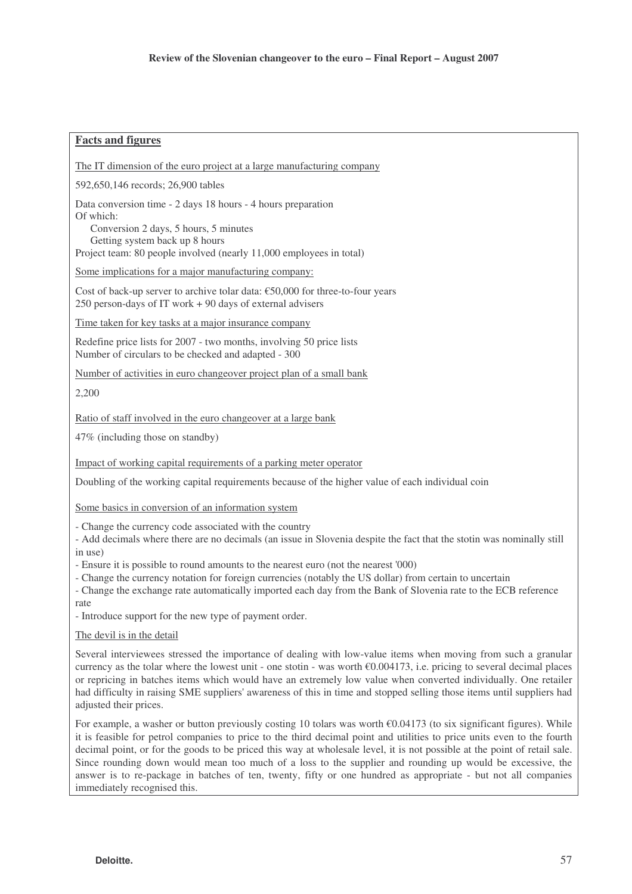### **Facts and figures**

The IT dimension of the euro project at a large manufacturing company

592,650,146 records; 26,900 tables

Data conversion time - 2 days 18 hours - 4 hours preparation

Of which: Conversion 2 days, 5 hours, 5 minutes

Getting system back up 8 hours

Project team: 80 people involved (nearly 11,000 employees in total)

Some implications for a major manufacturing company:

Cost of back-up server to archive tolar data:  $€50,000$  for three-to-four years 250 person-days of IT work + 90 days of external advisers

Time taken for key tasks at a major insurance company

Redefine price lists for 2007 - two months, involving 50 price lists Number of circulars to be checked and adapted - 300

Number of activities in euro changeover project plan of a small bank

2,200

Ratio of staff involved in the euro changeover at a large bank

47% (including those on standby)

Impact of working capital requirements of a parking meter operator

Doubling of the working capital requirements because of the higher value of each individual coin

Some basics in conversion of an information system

- Change the currency code associated with the country

- Add decimals where there are no decimals (an issue in Slovenia despite the fact that the stotin was nominally still in use)

- Ensure it is possible to round amounts to the nearest euro (not the nearest '000)

- Change the currency notation for foreign currencies (notably the US dollar) from certain to uncertain

- Change the exchange rate automatically imported each day from the Bank of Slovenia rate to the ECB reference rate

- Introduce support for the new type of payment order.

#### The devil is in the detail

Several interviewees stressed the importance of dealing with low-value items when moving from such a granular currency as the tolar where the lowest unit - one stotin - was worth  $\epsilon$ 0.004173, i.e. pricing to several decimal places or repricing in batches items which would have an extremely low value when converted individually. One retailer had difficulty in raising SME suppliers' awareness of this in time and stopped selling those items until suppliers had adjusted their prices.

For example, a washer or button previously costing 10 tolars was worth  $\epsilon$ 0.04173 (to six significant figures). While it is feasible for petrol companies to price to the third decimal point and utilities to price units even to the fourth decimal point, or for the goods to be priced this way at wholesale level, it is not possible at the point of retail sale. Since rounding down would mean too much of a loss to the supplier and rounding up would be excessive, the answer is to re-package in batches of ten, twenty, fifty or one hundred as appropriate - but not all companies immediately recognised this.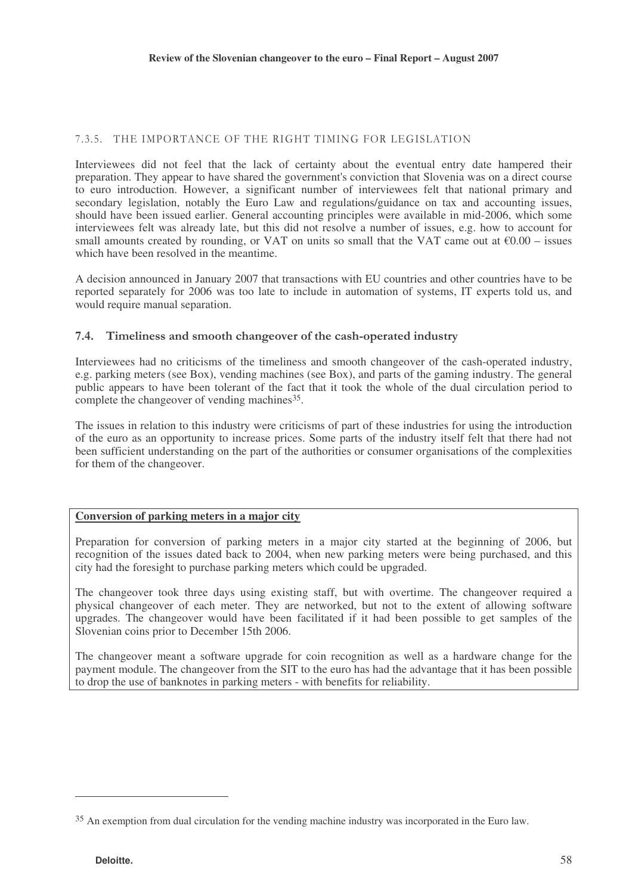## 7.3.5. THE IMPORTANCE OF THE RIGHT TIMING FOR LEGISLATION

Interviewees did not feel that the lack of certainty about the eventual entry date hampered their preparation. They appear to have shared the government's conviction that Slovenia was on a direct course to euro introduction. However, a significant number of interviewees felt that national primary and secondary legislation, notably the Euro Law and regulations/guidance on tax and accounting issues, should have been issued earlier. General accounting principles were available in mid-2006, which some interviewees felt was already late, but this did not resolve a number of issues, e.g. how to account for small amounts created by rounding, or VAT on units so small that the VAT came out at  $\epsilon 0.00$  – issues which have been resolved in the meantime.

A decision announced in January 2007 that transactions with EU countries and other countries have to be reported separately for 2006 was too late to include in automation of systems, IT experts told us, and would require manual separation.

## 7.4. Timeliness and smooth changeover of the cash-operated industry

Interviewees had no criticisms of the timeliness and smooth changeover of the cash-operated industry, e.g. parking meters (see Box), vending machines (see Box), and parts of the gaming industry. The general public appears to have been tolerant of the fact that it took the whole of the dual circulation period to complete the changeover of vending machines<sup>35</sup>.

The issues in relation to this industry were criticisms of part of these industries for using the introduction of the euro as an opportunity to increase prices. Some parts of the industry itself felt that there had not been sufficient understanding on the part of the authorities or consumer organisations of the complexities for them of the changeover.

## **Conversion of parking meters in a major city**

Preparation for conversion of parking meters in a major city started at the beginning of 2006, but recognition of the issues dated back to 2004, when new parking meters were being purchased, and this city had the foresight to purchase parking meters which could be upgraded.

The changeover took three days using existing staff, but with overtime. The changeover required a physical changeover of each meter. They are networked, but not to the extent of allowing software upgrades. The changeover would have been facilitated if it had been possible to get samples of the Slovenian coins prior to December 15th 2006.

The changeover meant a software upgrade for coin recognition as well as a hardware change for the payment module. The changeover from the SIT to the euro has had the advantage that it has been possible to drop the use of banknotes in parking meters - with benefits for reliability.

<sup>35</sup> An exemption from dual circulation for the vending machine industry was incorporated in the Euro law.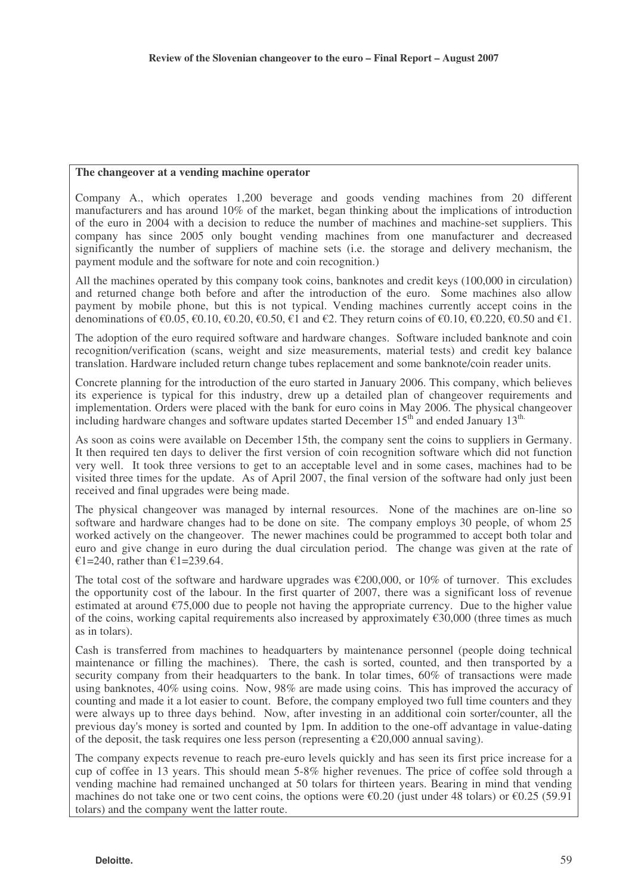#### **The changeover at a vending machine operator**

Company A., which operates 1,200 beverage and goods vending machines from 20 different manufacturers and has around 10% of the market, began thinking about the implications of introduction of the euro in 2004 with a decision to reduce the number of machines and machine-set suppliers. This company has since 2005 only bought vending machines from one manufacturer and decreased significantly the number of suppliers of machine sets (i.e. the storage and delivery mechanism, the payment module and the software for note and coin recognition.)

All the machines operated by this company took coins, banknotes and credit keys (100,000 in circulation) and returned change both before and after the introduction of the euro. Some machines also allow payment by mobile phone, but this is not typical. Vending machines currently accept coins in the denominations of  $\epsilon$ 0.05,  $\epsilon$ 0.10,  $\epsilon$ 0.20,  $\epsilon$ 0.50,  $\epsilon$ 1 and  $\epsilon$ 2. They return coins of  $\epsilon$ 0.10,  $\epsilon$ 0.220,  $\epsilon$ 0.50 and  $\epsilon$ 1.

The adoption of the euro required software and hardware changes. Software included banknote and coin recognition/verification (scans, weight and size measurements, material tests) and credit key balance translation. Hardware included return change tubes replacement and some banknote/coin reader units.

Concrete planning for the introduction of the euro started in January 2006. This company, which believes its experience is typical for this industry, drew up a detailed plan of changeover requirements and implementation. Orders were placed with the bank for euro coins in May 2006. The physical changeover including hardware changes and software updates started December  $15<sup>th</sup>$  and ended January  $13<sup>th</sup>$ .

As soon as coins were available on December 15th, the company sent the coins to suppliers in Germany. It then required ten days to deliver the first version of coin recognition software which did not function very well. It took three versions to get to an acceptable level and in some cases, machines had to be visited three times for the update. As of April 2007, the final version of the software had only just been received and final upgrades were being made.

The physical changeover was managed by internal resources. None of the machines are on-line so software and hardware changes had to be done on site. The company employs 30 people, of whom 25 worked actively on the changeover. The newer machines could be programmed to accept both tolar and euro and give change in euro during the dual circulation period. The change was given at the rate of €1=240, rather than €1=239.64.

The total cost of the software and hardware upgrades was  $\epsilon$ 200,000, or 10% of turnover. This excludes the opportunity cost of the labour. In the first quarter of 2007, there was a significant loss of revenue estimated at around  $\epsilon$ 75,000 due to people not having the appropriate currency. Due to the higher value of the coins, working capital requirements also increased by approximately  $\epsilon$ 30,000 (three times as much as in tolars).

Cash is transferred from machines to headquarters by maintenance personnel (people doing technical maintenance or filling the machines). There, the cash is sorted, counted, and then transported by a security company from their headquarters to the bank. In tolar times, 60% of transactions were made using banknotes, 40% using coins. Now, 98% are made using coins. This has improved the accuracy of counting and made it a lot easier to count. Before, the company employed two full time counters and they were always up to three days behind. Now, after investing in an additional coin sorter/counter, all the previous day's money is sorted and counted by 1pm. In addition to the one-off advantage in value-dating of the deposit, the task requires one less person (representing a  $\epsilon$ 20,000 annual saving).

The company expects revenue to reach pre-euro levels quickly and has seen its first price increase for a cup of coffee in 13 years. This should mean 5-8% higher revenues. The price of coffee sold through a vending machine had remained unchanged at 50 tolars for thirteen years. Bearing in mind that vending machines do not take one or two cent coins, the options were  $\epsilon$ 0.20 (just under 48 tolars) or  $\epsilon$ 0.25 (59.91) tolars) and the company went the latter route.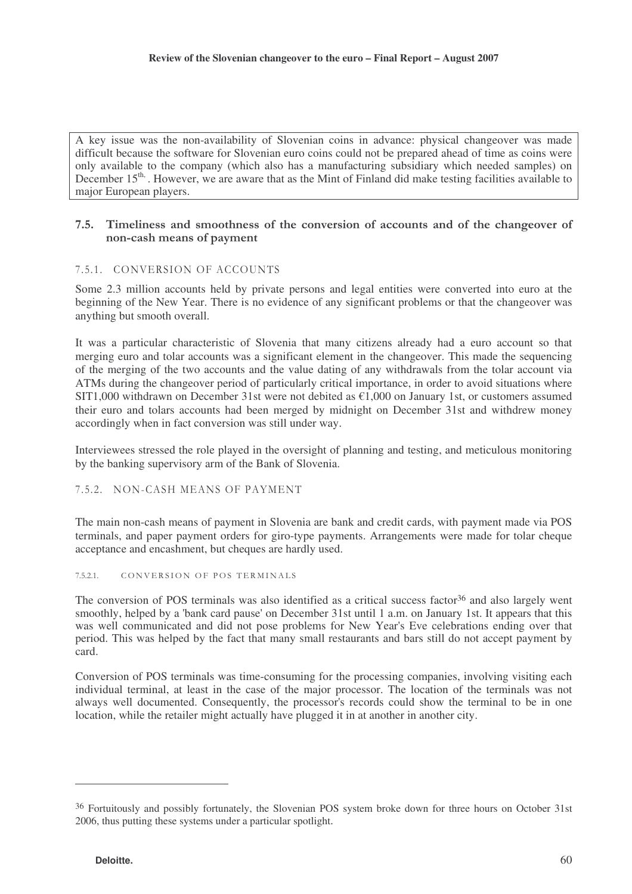A key issue was the non-availability of Slovenian coins in advance: physical changeover was made difficult because the software for Slovenian euro coins could not be prepared ahead of time as coins were only available to the company (which also has a manufacturing subsidiary which needed samples) on December 15<sup>th</sup>. However, we are aware that as the Mint of Finland did make testing facilities available to major European players.

### 7.5. Timeliness and smoothness of the conversion of accounts and of the changeover of non-cash means of payment

## 7.5.1. CONVERSION OF ACCOUNTS

Some 2.3 million accounts held by private persons and legal entities were converted into euro at the beginning of the New Year. There is no evidence of any significant problems or that the changeover was anything but smooth overall.

It was a particular characteristic of Slovenia that many citizens already had a euro account so that merging euro and tolar accounts was a significant element in the changeover. This made the sequencing of the merging of the two accounts and the value dating of any withdrawals from the tolar account via ATMs during the changeover period of particularly critical importance, in order to avoid situations where SIT1,000 withdrawn on December 31st were not debited as  $\epsilon$ 1,000 on January 1st, or customers assumed their euro and tolars accounts had been merged by midnight on December 31st and withdrew money accordingly when in fact conversion was still under way.

Interviewees stressed the role played in the oversight of planning and testing, and meticulous monitoring by the banking supervisory arm of the Bank of Slovenia.

## 7.5.2. NON-CASH MEANS OF PAYMENT

The main non-cash means of payment in Slovenia are bank and credit cards, with payment made via POS terminals, and paper payment orders for giro-type payments. Arrangements were made for tolar cheque acceptance and encashment, but cheques are hardly used.

#### $7.5.2.1.$ CONVERSION OF POS TERMINALS

The conversion of POS terminals was also identified as a critical success factor<sup>36</sup> and also largely went smoothly, helped by a 'bank card pause' on December 31st until 1 a.m. on January 1st. It appears that this was well communicated and did not pose problems for New Year's Eve celebrations ending over that period. This was helped by the fact that many small restaurants and bars still do not accept payment by card.

Conversion of POS terminals was time-consuming for the processing companies, involving visiting each individual terminal, at least in the case of the major processor. The location of the terminals was not always well documented. Consequently, the processor's records could show the terminal to be in one location, while the retailer might actually have plugged it in at another in another city.

<sup>36</sup> Fortuitously and possibly fortunately, the Slovenian POS system broke down for three hours on October 31st 2006, thus putting these systems under a particular spotlight.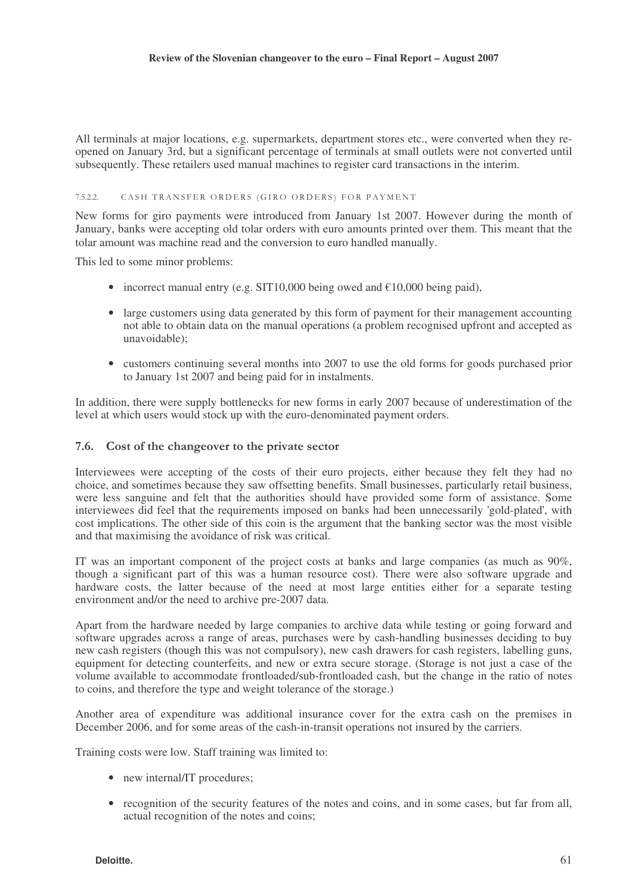All terminals at major locations, e.g. supermarkets, department stores etc., were converted when they reopened on January 3rd, but a significant percentage of terminals at small outlets were not converted until subsequently. These retailers used manual machines to register card transactions in the interim.

#### $7.5.2.2.$ CASH TRANSFER ORDERS (GIRO ORDERS) FOR PAYMENT

New forms for giro payments were introduced from January 1st 2007. However during the month of January, banks were accepting old tolar orders with euro amounts printed over them. This meant that the tolar amount was machine read and the conversion to euro handled manually.

This led to some minor problems:

- incorrect manual entry (e.g. SIT10,000 being owed and  $\epsilon$ 10,000 being paid),
- large customers using data generated by this form of payment for their management accounting not able to obtain data on the manual operations (a problem recognised upfront and accepted as unavoidable);
- customers continuing several months into 2007 to use the old forms for goods purchased prior to January 1st 2007 and being paid for in instalments.

In addition, there were supply bottlenecks for new forms in early 2007 because of underestimation of the level at which users would stock up with the euro-denominated payment orders.

### 7.6. Cost of the changeover to the private sector

Interviewees were accepting of the costs of their euro projects, either because they felt they had no choice, and sometimes because they saw offsetting benefits. Small businesses, particularly retail business, were less sanguine and felt that the authorities should have provided some form of assistance. Some interviewees did feel that the requirements imposed on banks had been unnecessarily 'gold-plated', with cost implications. The other side of this coin is the argument that the banking sector was the most visible and that maximising the avoidance of risk was critical.

IT was an important component of the project costs at banks and large companies (as much as 90%, though a significant part of this was a human resource cost). There were also software upgrade and hardware costs, the latter because of the need at most large entities either for a separate testing environment and/or the need to archive pre-2007 data.

Apart from the hardware needed by large companies to archive data while testing or going forward and software upgrades across a range of areas, purchases were by cash-handling businesses deciding to buy new cash registers (though this was not compulsory), new cash drawers for cash registers, labelling guns, equipment for detecting counterfeits, and new or extra secure storage. (Storage is not just a case of the volume available to accommodate frontloaded/sub-frontloaded cash, but the change in the ratio of notes to coins, and therefore the type and weight tolerance of the storage.)

Another area of expenditure was additional insurance cover for the extra cash on the premises in December 2006, and for some areas of the cash-in-transit operations not insured by the carriers.

Training costs were low. Staff training was limited to:

- new internal/IT procedures;
- recognition of the security features of the notes and coins, and in some cases, but far from all, actual recognition of the notes and coins;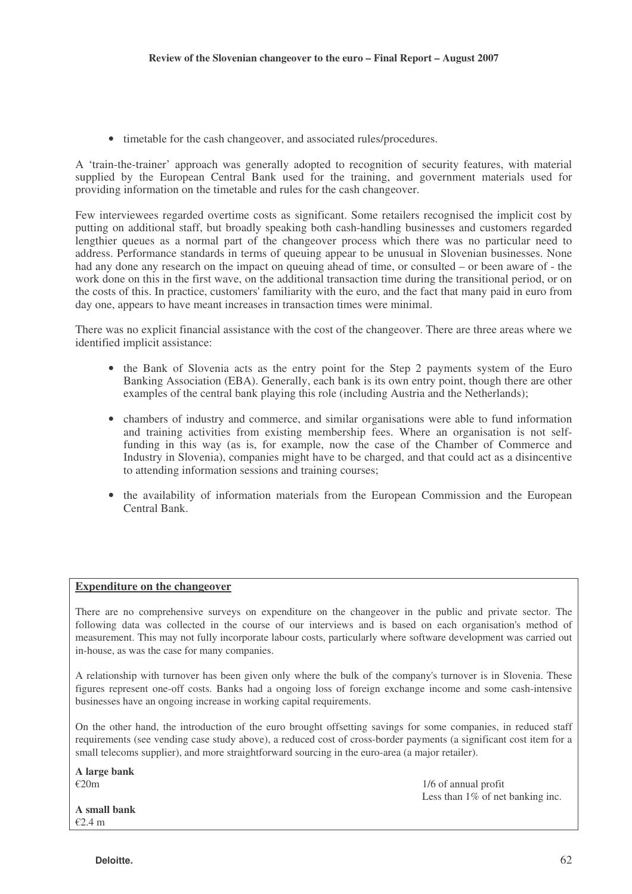• timetable for the cash changeover, and associated rules/procedures.

A 'train-the-trainer' approach was generally adopted to recognition of security features, with material supplied by the European Central Bank used for the training, and government materials used for providing information on the timetable and rules for the cash changeover.

Few interviewees regarded overtime costs as significant. Some retailers recognised the implicit cost by putting on additional staff, but broadly speaking both cash-handling businesses and customers regarded lengthier queues as a normal part of the changeover process which there was no particular need to address. Performance standards in terms of queuing appear to be unusual in Slovenian businesses. None had any done any research on the impact on queuing ahead of time, or consulted – or been aware of - the work done on this in the first wave, on the additional transaction time during the transitional period, or on the costs of this. In practice, customers' familiarity with the euro, and the fact that many paid in euro from day one, appears to have meant increases in transaction times were minimal.

There was no explicit financial assistance with the cost of the changeover. There are three areas where we identified implicit assistance:

- the Bank of Slovenia acts as the entry point for the Step 2 payments system of the Euro Banking Association (EBA). Generally, each bank is its own entry point, though there are other examples of the central bank playing this role (including Austria and the Netherlands);
- chambers of industry and commerce, and similar organisations were able to fund information and training activities from existing membership fees. Where an organisation is not selffunding in this way (as is, for example, now the case of the Chamber of Commerce and Industry in Slovenia), companies might have to be charged, and that could act as a disincentive to attending information sessions and training courses;
- the availability of information materials from the European Commission and the European Central Bank.

#### **Expenditure on the changeover**

There are no comprehensive surveys on expenditure on the changeover in the public and private sector. The following data was collected in the course of our interviews and is based on each organisation's method of measurement. This may not fully incorporate labour costs, particularly where software development was carried out in-house, as was the case for many companies.

A relationship with turnover has been given only where the bulk of the company's turnover is in Slovenia. These figures represent one-off costs. Banks had a ongoing loss of foreign exchange income and some cash-intensive businesses have an ongoing increase in working capital requirements.

On the other hand, the introduction of the euro brought offsetting savings for some companies, in reduced staff requirements (see vending case study above), a reduced cost of cross-border payments (a significant cost item for a small telecoms supplier), and more straightforward sourcing in the euro-area (a major retailer).

**A large bank**

 $\epsilon$ 20m 1/6 of annual profit Less than  $1\%$  of net banking inc.

**A small bank** €2.4 m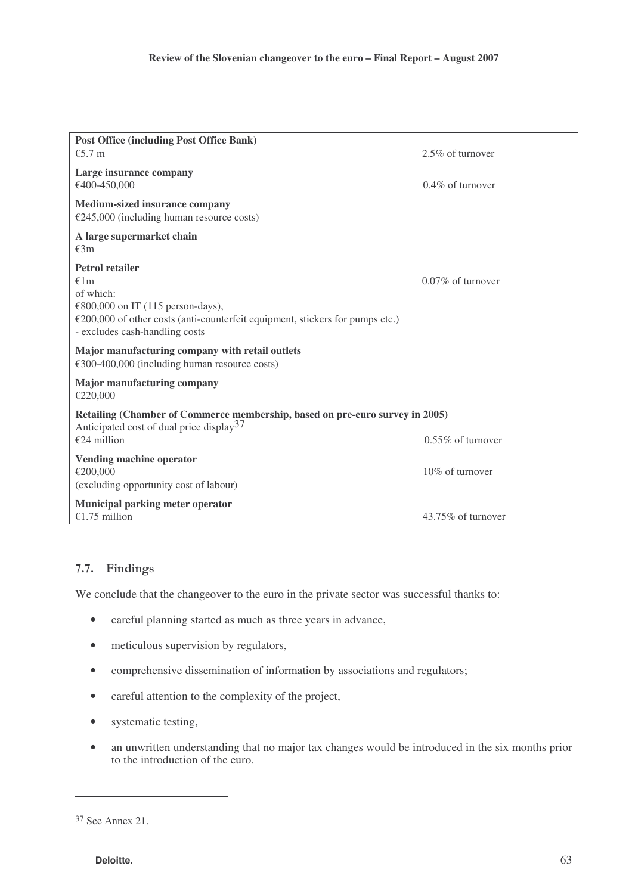| <b>Post Office (including Post Office Bank)</b>                                                                                                                                                    |                      |
|----------------------------------------------------------------------------------------------------------------------------------------------------------------------------------------------------|----------------------|
| $€5.7$ m                                                                                                                                                                                           | 2.5% of turnover     |
| Large insurance company<br>€400-450,000                                                                                                                                                            | $0.4\%$ of turnover  |
| <b>Medium-sized insurance company</b><br>$£245,000$ (including human resource costs)                                                                                                               |                      |
| A large supermarket chain<br>€3m                                                                                                                                                                   |                      |
| <b>Petrol retailer</b><br>€1m<br>of which:<br>€800,000 on IT (115 person-days),<br>€200,000 of other costs (anti-counterfeit equipment, stickers for pumps etc.)<br>- excludes cash-handling costs | $0.07\%$ of turnover |
| Major manufacturing company with retail outlets<br>€300-400,000 (including human resource costs)                                                                                                   |                      |
| <b>Major manufacturing company</b><br>€220,000                                                                                                                                                     |                      |
| Retailing (Chamber of Commerce membership, based on pre-euro survey in 2005)<br>Anticipated cost of dual price display <sup>37</sup><br>€24 million                                                | $0.55\%$ of turnover |
| Vending machine operator<br>€200,000<br>(excluding opportunity cost of labour)                                                                                                                     | 10% of turnover      |
| <b>Municipal parking meter operator</b><br>€1.75 million                                                                                                                                           | 43.75% of turnover   |

# 7.7. Findings

We conclude that the changeover to the euro in the private sector was successful thanks to:

- careful planning started as much as three years in advance,
- meticulous supervision by regulators,
- comprehensive dissemination of information by associations and regulators;
- careful attention to the complexity of the project,
- systematic testing,
- an unwritten understanding that no major tax changes would be introduced in the six months prior to the introduction of the euro.

<sup>37</sup> See Annex 21.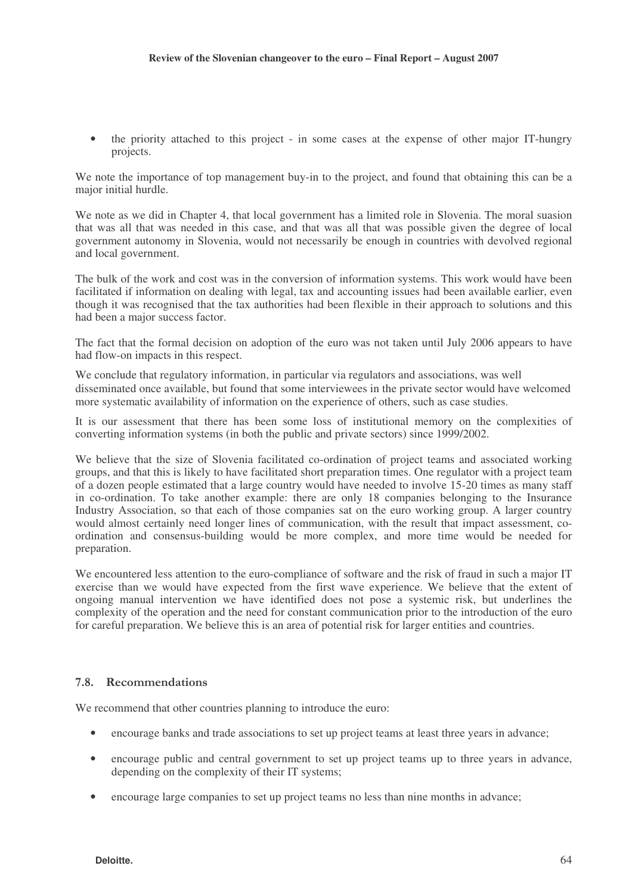• the priority attached to this project - in some cases at the expense of other major IT-hungry projects.

We note the importance of top management buy-in to the project, and found that obtaining this can be a major initial hurdle.

We note as we did in Chapter 4, that local government has a limited role in Slovenia. The moral suasion that was all that was needed in this case, and that was all that was possible given the degree of local government autonomy in Slovenia, would not necessarily be enough in countries with devolved regional and local government.

The bulk of the work and cost was in the conversion of information systems. This work would have been facilitated if information on dealing with legal, tax and accounting issues had been available earlier, even though it was recognised that the tax authorities had been flexible in their approach to solutions and this had been a major success factor.

The fact that the formal decision on adoption of the euro was not taken until July 2006 appears to have had flow-on impacts in this respect.

We conclude that regulatory information, in particular via regulators and associations, was well disseminated once available, but found that some interviewees in the private sector would have welcomed more systematic availability of information on the experience of others, such as case studies.

It is our assessment that there has been some loss of institutional memory on the complexities of converting information systems (in both the public and private sectors) since 1999/2002.

We believe that the size of Slovenia facilitated co-ordination of project teams and associated working groups, and that this is likely to have facilitated short preparation times. One regulator with a project team of a dozen people estimated that a large country would have needed to involve 15-20 times as many staff in co-ordination. To take another example: there are only 18 companies belonging to the Insurance Industry Association, so that each of those companies sat on the euro working group. A larger country would almost certainly need longer lines of communication, with the result that impact assessment, coordination and consensus-building would be more complex, and more time would be needed for preparation.

We encountered less attention to the euro-compliance of software and the risk of fraud in such a major IT exercise than we would have expected from the first wave experience. We believe that the extent of ongoing manual intervention we have identified does not pose a systemic risk, but underlines the complexity of the operation and the need for constant communication prior to the introduction of the euro for careful preparation. We believe this is an area of potential risk for larger entities and countries.

### 7.8. Recommendations

We recommend that other countries planning to introduce the euro:

- encourage banks and trade associations to set up project teams at least three years in advance;
- encourage public and central government to set up project teams up to three years in advance, depending on the complexity of their IT systems;
- encourage large companies to set up project teams no less than nine months in advance;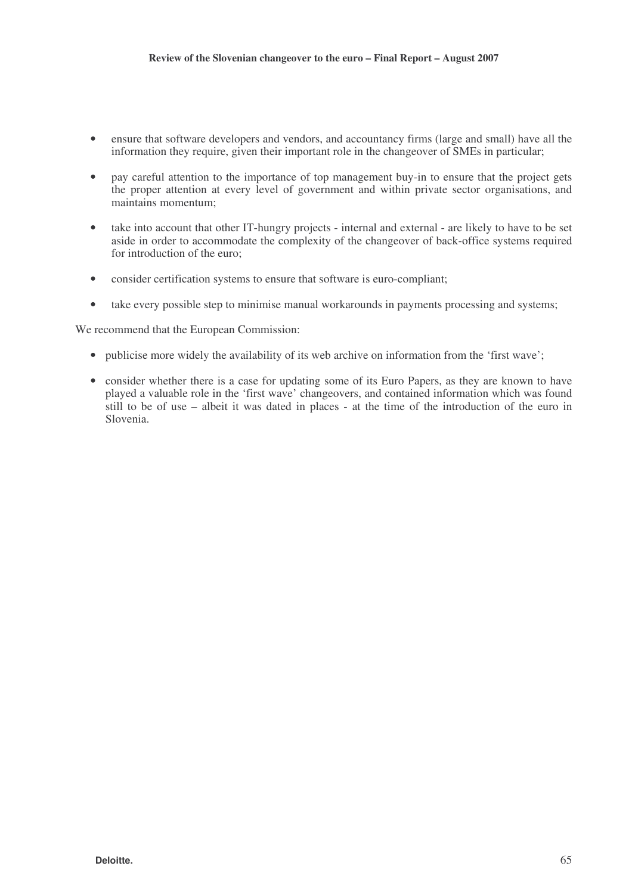- ensure that software developers and vendors, and accountancy firms (large and small) have all the information they require, given their important role in the changeover of SMEs in particular;
- pay careful attention to the importance of top management buy-in to ensure that the project gets the proper attention at every level of government and within private sector organisations, and maintains momentum;
- take into account that other IT-hungry projects internal and external are likely to have to be set aside in order to accommodate the complexity of the changeover of back-office systems required for introduction of the euro;
- consider certification systems to ensure that software is euro-compliant;
- take every possible step to minimise manual workarounds in payments processing and systems;

We recommend that the European Commission:

- publicise more widely the availability of its web archive on information from the 'first wave';
- consider whether there is a case for updating some of its Euro Papers, as they are known to have played a valuable role in the 'first wave' changeovers, and contained information which was found still to be of use – albeit it was dated in places - at the time of the introduction of the euro in Slovenia.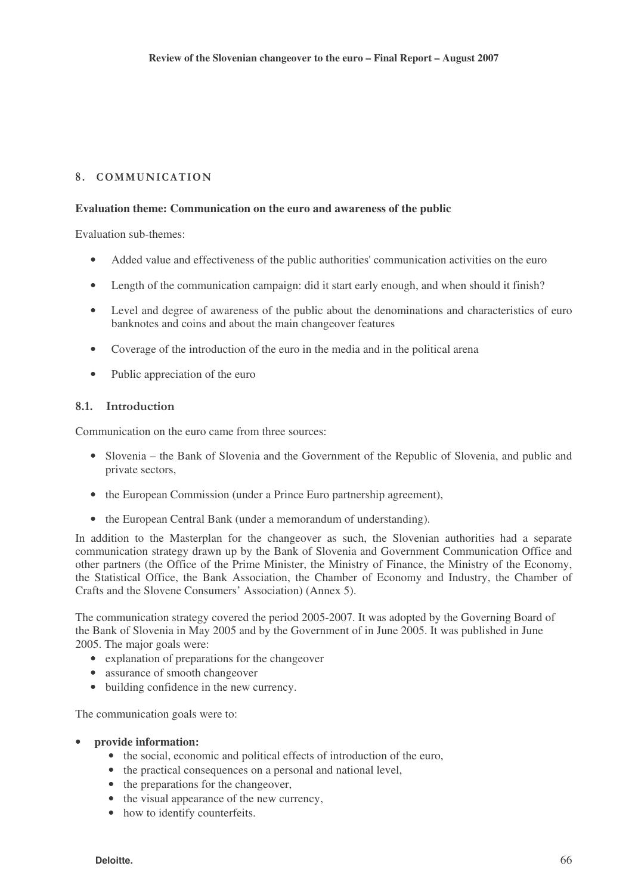# 8. COMMUNICATION

#### **Evaluation theme: Communication on the euro and awareness of the public**

Evaluation sub-themes:

- Added value and effectiveness of the public authorities' communication activities on the euro
- Length of the communication campaign: did it start early enough, and when should it finish?
- Level and degree of awareness of the public about the denominations and characteristics of euro banknotes and coins and about the main changeover features
- Coverage of the introduction of the euro in the media and in the political arena
- Public appreciation of the euro

#### 8.1 Introduction

Communication on the euro came from three sources:

- Slovenia the Bank of Slovenia and the Government of the Republic of Slovenia, and public and private sectors,
- the European Commission (under a Prince Euro partnership agreement),
- the European Central Bank (under a memorandum of understanding).

In addition to the Masterplan for the changeover as such, the Slovenian authorities had a separate communication strategy drawn up by the Bank of Slovenia and Government Communication Office and other partners (the Office of the Prime Minister, the Ministry of Finance, the Ministry of the Economy, the Statistical Office, the Bank Association, the Chamber of Economy and Industry, the Chamber of Crafts and the Slovene Consumers' Association) (Annex 5).

The communication strategy covered the period 2005-2007. It was adopted by the Governing Board of the Bank of Slovenia in May 2005 and by the Government of in June 2005. It was published in June 2005. The major goals were:

- explanation of preparations for the changeover
- assurance of smooth changeover
- building confidence in the new currency.

The communication goals were to:

#### • **provide information:**

- the social, economic and political effects of introduction of the euro,
- the practical consequences on a personal and national level,
- the preparations for the changeover,
- the visual appearance of the new currency,
- how to identify counterfeits.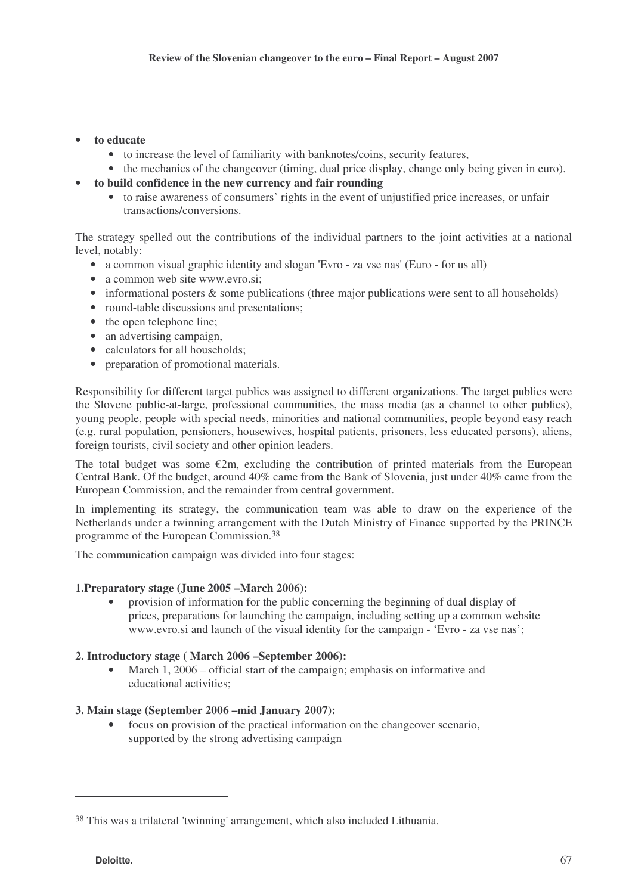### • **to educate**

- to increase the level of familiarity with banknotes/coins, security features,
- the mechanics of the changeover (timing, dual price display, change only being given in euro).

## • **to build confidence in the new currency and fair rounding**

• to raise awareness of consumers' rights in the event of unjustified price increases, or unfair transactions/conversions.

The strategy spelled out the contributions of the individual partners to the joint activities at a national level, notably:

- a common visual graphic identity and slogan 'Evro za vse nas' (Euro for us all)
- a common web site www.evro.si;
- informational posters & some publications (three major publications were sent to all households)
- round-table discussions and presentations;
- the open telephone line;
- an advertising campaign,
- calculators for all households;
- preparation of promotional materials.

Responsibility for different target publics was assigned to different organizations. The target publics were the Slovene public-at-large, professional communities, the mass media (as a channel to other publics), young people, people with special needs, minorities and national communities, people beyond easy reach (e.g. rural population, pensioners, housewives, hospital patients, prisoners, less educated persons), aliens, foreign tourists, civil society and other opinion leaders.

The total budget was some  $\epsilon$ 2m, excluding the contribution of printed materials from the European Central Bank. Of the budget, around 40% came from the Bank of Slovenia, just under 40% came from the European Commission, and the remainder from central government.

In implementing its strategy, the communication team was able to draw on the experience of the Netherlands under a twinning arrangement with the Dutch Ministry of Finance supported by the PRINCE programme of the European Commission. 38

The communication campaign was divided into four stages:

### **1.Preparatory stage (June 2005 –March 2006):**

• provision of information for the public concerning the beginning of dual display of prices, preparations for launching the campaign, including setting up a common website www.evro.si and launch of the visual identity for the campaign - 'Evro - za vse nas';

### **2. Introductory stage ( March 2006 –September 2006):**

• March 1, 2006 – official start of the campaign; emphasis on informative and educational activities;

### **3. Main stage (September 2006 –mid January 2007):**

• focus on provision of the practical information on the changeover scenario, supported by the strong advertising campaign

<sup>38</sup> This was a trilateral 'twinning' arrangement, which also included Lithuania.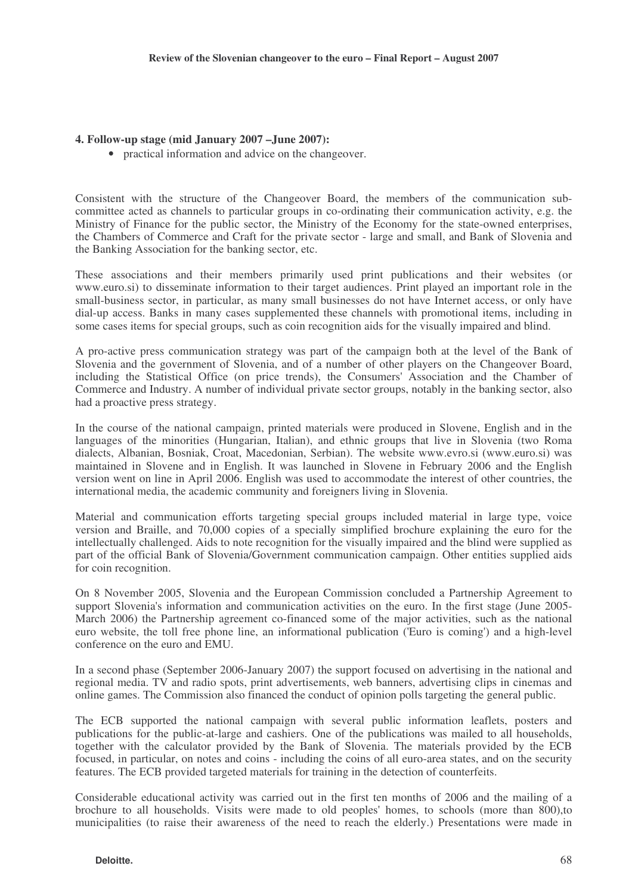#### **4. Follow-up stage (mid January 2007 –June 2007):**

• practical information and advice on the changeover.

Consistent with the structure of the Changeover Board, the members of the communication subcommittee acted as channels to particular groups in co-ordinating their communication activity, e.g. the Ministry of Finance for the public sector, the Ministry of the Economy for the state-owned enterprises, the Chambers of Commerce and Craft for the private sector - large and small, and Bank of Slovenia and the Banking Association for the banking sector, etc.

These associations and their members primarily used print publications and their websites (or www.euro.si) to disseminate information to their target audiences. Print played an important role in the small-business sector, in particular, as many small businesses do not have Internet access, or only have dial-up access. Banks in many cases supplemented these channels with promotional items, including in some cases items for special groups, such as coin recognition aids for the visually impaired and blind.

A pro-active press communication strategy was part of the campaign both at the level of the Bank of Slovenia and the government of Slovenia, and of a number of other players on the Changeover Board, including the Statistical Office (on price trends), the Consumers' Association and the Chamber of Commerce and Industry. A number of individual private sector groups, notably in the banking sector, also had a proactive press strategy.

In the course of the national campaign, printed materials were produced in Slovene, English and in the languages of the minorities (Hungarian, Italian), and ethnic groups that live in Slovenia (two Roma dialects, Albanian, Bosniak, Croat, Macedonian, Serbian). The website www.evro.si (www.euro.si) was maintained in Slovene and in English. It was launched in Slovene in February 2006 and the English version went on line in April 2006. English was used to accommodate the interest of other countries, the international media, the academic community and foreigners living in Slovenia.

Material and communication efforts targeting special groups included material in large type, voice version and Braille, and 70,000 copies of a specially simplified brochure explaining the euro for the intellectually challenged. Aids to note recognition for the visually impaired and the blind were supplied as part of the official Bank of Slovenia/Government communication campaign. Other entities supplied aids for coin recognition.

On 8 November 2005, Slovenia and the European Commission concluded a Partnership Agreement to support Slovenia's information and communication activities on the euro. In the first stage (June 2005- March 2006) the Partnership agreement co-financed some of the major activities, such as the national euro website, the toll free phone line, an informational publication ('Euro is coming') and a high-level conference on the euro and EMU.

In a second phase (September 2006-January 2007) the support focused on advertising in the national and regional media. TV and radio spots, print advertisements, web banners, advertising clips in cinemas and online games. The Commission also financed the conduct of opinion polls targeting the general public.

The ECB supported the national campaign with several public information leaflets, posters and publications for the public-at-large and cashiers. One of the publications was mailed to all households, together with the calculator provided by the Bank of Slovenia. The materials provided by the ECB focused, in particular, on notes and coins - including the coins of all euro-area states, and on the security features. The ECB provided targeted materials for training in the detection of counterfeits.

Considerable educational activity was carried out in the first ten months of 2006 and the mailing of a brochure to all households. Visits were made to old peoples' homes, to schools (more than 800),to municipalities (to raise their awareness of the need to reach the elderly.) Presentations were made in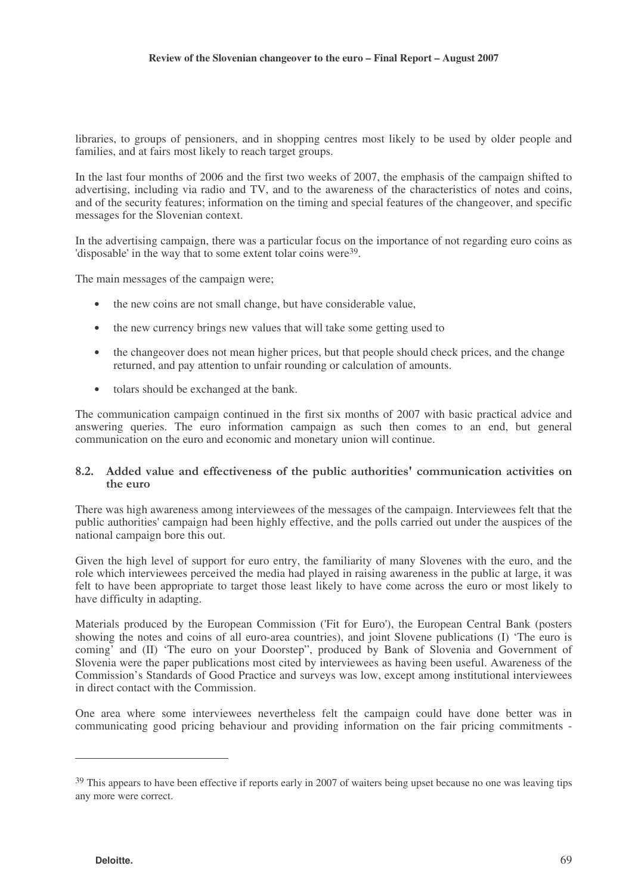libraries, to groups of pensioners, and in shopping centres most likely to be used by older people and families, and at fairs most likely to reach target groups.

In the last four months of 2006 and the first two weeks of 2007, the emphasis of the campaign shifted to advertising, including via radio and TV, and to the awareness of the characteristics of notes and coins, and of the security features; information on the timing and special features of the changeover, and specific messages for the Slovenian context.

In the advertising campaign, there was a particular focus on the importance of not regarding euro coins as disposable' in the way that to some extent tolar coins were<sup>39</sup>.

The main messages of the campaign were;

- the new coins are not small change, but have considerable value,
- the new currency brings new values that will take some getting used to
- the changeover does not mean higher prices, but that people should check prices, and the change returned, and pay attention to unfair rounding or calculation of amounts.
- tolars should be exchanged at the bank.

The communication campaign continued in the first six months of 2007 with basic practical advice and answering queries. The euro information campaign as such then comes to an end, but general communication on the euro and economic and monetary union will continue.

### 8.2. Added value and effectiveness of the public authorities' communication activities on the euro

There was high awareness among interviewees of the messages of the campaign. Interviewees felt that the public authorities' campaign had been highly effective, and the polls carried out under the auspices of the national campaign bore this out.

Given the high level of support for euro entry, the familiarity of many Slovenes with the euro, and the role which interviewees perceived the media had played in raising awareness in the public at large, it was felt to have been appropriate to target those least likely to have come across the euro or most likely to have difficulty in adapting.

Materials produced by the European Commission ('Fit for Euro'), the European Central Bank (posters showing the notes and coins of all euro-area countries), and joint Slovene publications (I) 'The euro is coming<sup>7</sup> and (II) 'The euro on your Doorstep'', produced by Bank of Slovenia and Government of Slovenia were the paper publications most cited by interviewees as having been useful. Awareness of the Commission's Standards of Good Practice and surveys was low, except among institutional interviewees in direct contact with the Commission.

One area where some interviewees nevertheless felt the campaign could have done better was in communicating good pricing behaviour and providing information on the fair pricing commitments -

<sup>&</sup>lt;sup>39</sup> This appears to have been effective if reports early in 2007 of waiters being upset because no one was leaving tips any more were correct.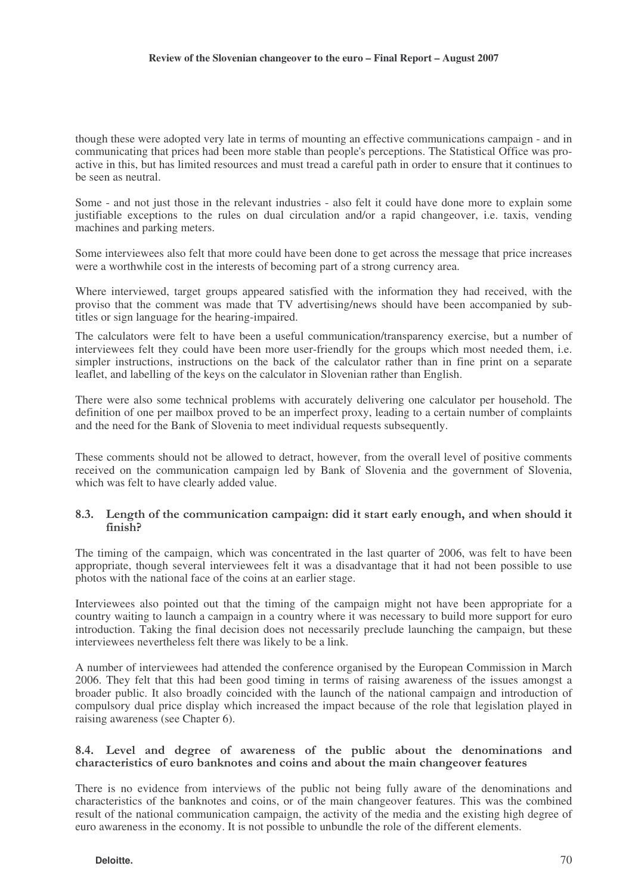though these were adopted very late in terms of mounting an effective communications campaign - and in communicating that prices had been more stable than people's perceptions. The Statistical Office was proactive in this, but has limited resources and must tread a careful path in order to ensure that it continues to be seen as neutral.

Some - and not just those in the relevant industries - also felt it could have done more to explain some justifiable exceptions to the rules on dual circulation and/or a rapid changeover, i.e. taxis, vending machines and parking meters.

Some interviewees also felt that more could have been done to get across the message that price increases were a worthwhile cost in the interests of becoming part of a strong currency area.

Where interviewed, target groups appeared satisfied with the information they had received, with the proviso that the comment was made that TV advertising/news should have been accompanied by subtitles or sign language for the hearing-impaired.

The calculators were felt to have been a useful communication/transparency exercise, but a number of interviewees felt they could have been more user-friendly for the groups which most needed them, i.e. simpler instructions, instructions on the back of the calculator rather than in fine print on a separate leaflet, and labelling of the keys on the calculator in Slovenian rather than English.

There were also some technical problems with accurately delivering one calculator per household. The definition of one per mailbox proved to be an imperfect proxy, leading to a certain number of complaints and the need for the Bank of Slovenia to meet individual requests subsequently.

These comments should not be allowed to detract, however, from the overall level of positive comments received on the communication campaign led by Bank of Slovenia and the government of Slovenia, which was felt to have clearly added value.

### 8.3. Length of the communication campaign: did it start early enough, and when should it  $finis<sub>h</sub>$

The timing of the campaign, which was concentrated in the last quarter of 2006, was felt to have been appropriate, though several interviewees felt it was a disadvantage that it had not been possible to use photos with the national face of the coins at an earlier stage.

Interviewees also pointed out that the timing of the campaign might not have been appropriate for a country waiting to launch a campaign in a country where it was necessary to build more support for euro introduction. Taking the final decision does not necessarily preclude launching the campaign, but these interviewees nevertheless felt there was likely to be a link.

A number of interviewees had attended the conference organised by the European Commission in March 2006. They felt that this had been good timing in terms of raising awareness of the issues amongst a broader public. It also broadly coincided with the launch of the national campaign and introduction of compulsory dual price display which increased the impact because of the role that legislation played in raising awareness (see Chapter 6).

#### 8.4. Level and degree of awareness of the public about the denominations and characteristics of euro banknotes and coins and about the main change over features

There is no evidence from interviews of the public not being fully aware of the denominations and characteristics of the banknotes and coins, or of the main changeover features. This was the combined result of the national communication campaign, the activity of the media and the existing high degree of euro awareness in the economy. It is not possible to unbundle the role of the different elements.

#### **Deloitte.** 70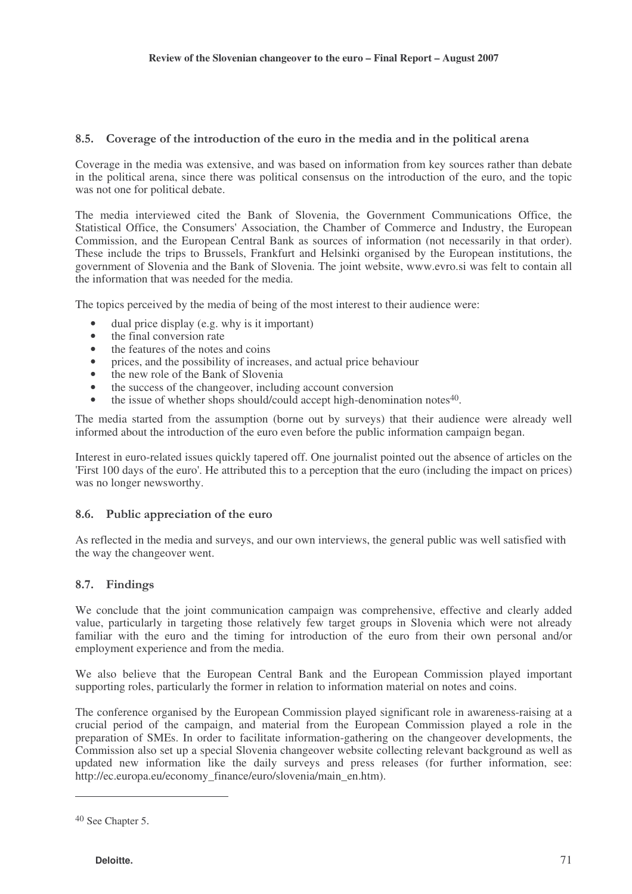## 8.5. Coverage of the introduction of the euro in the media and in the political arena

Coverage in the media was extensive, and was based on information from key sources rather than debate in the political arena, since there was political consensus on the introduction of the euro, and the topic was not one for political debate.

The media interviewed cited the Bank of Slovenia, the Government Communications Office, the Statistical Office, the Consumers' Association, the Chamber of Commerce and Industry, the European Commission, and the European Central Bank as sources of information (not necessarily in that order). These include the trips to Brussels, Frankfurt and Helsinki organised by the European institutions, the government of Slovenia and the Bank of Slovenia. The joint website, www.evro.si was felt to contain all the information that was needed for the media.

The topics perceived by the media of being of the most interest to their audience were:

- dual price display (e.g. why is it important)
- the final conversion rate
- the features of the notes and coins
- prices, and the possibility of increases, and actual price behaviour
- the new role of the Bank of Slovenia
- the success of the changeover, including account conversion
- the issue of whether shops should/could accept high-denomination notes<sup>40</sup>.

The media started from the assumption (borne out by surveys) that their audience were already well informed about the introduction of the euro even before the public information campaign began.

Interest in euro-related issues quickly tapered off. One journalist pointed out the absence of articles on the 'First 100 days of the euro'. He attributed this to a perception that the euro (including the impact on prices) was no longer newsworthy.

### 8.6. Public appreciation of the euro

As reflected in the media and surveys, and our own interviews, the general public was well satisfied with the way the changeover went.

# 8.7. Findings

We conclude that the joint communication campaign was comprehensive, effective and clearly added value, particularly in targeting those relatively few target groups in Slovenia which were not already familiar with the euro and the timing for introduction of the euro from their own personal and/or employment experience and from the media.

We also believe that the European Central Bank and the European Commission played important supporting roles, particularly the former in relation to information material on notes and coins.

The conference organised by the European Commission played significant role in awareness-raising at a crucial period of the campaign, and material from the European Commission played a role in the preparation of SMEs. In order to facilitate information-gathering on the changeover developments, the Commission also set up a special Slovenia changeover website collecting relevant background as well as updated new information like the daily surveys and press releases (for further information, see: http://ec.europa.eu/economy\_finance/euro/slovenia/main\_en.htm).

<sup>40</sup> See Chapter 5.